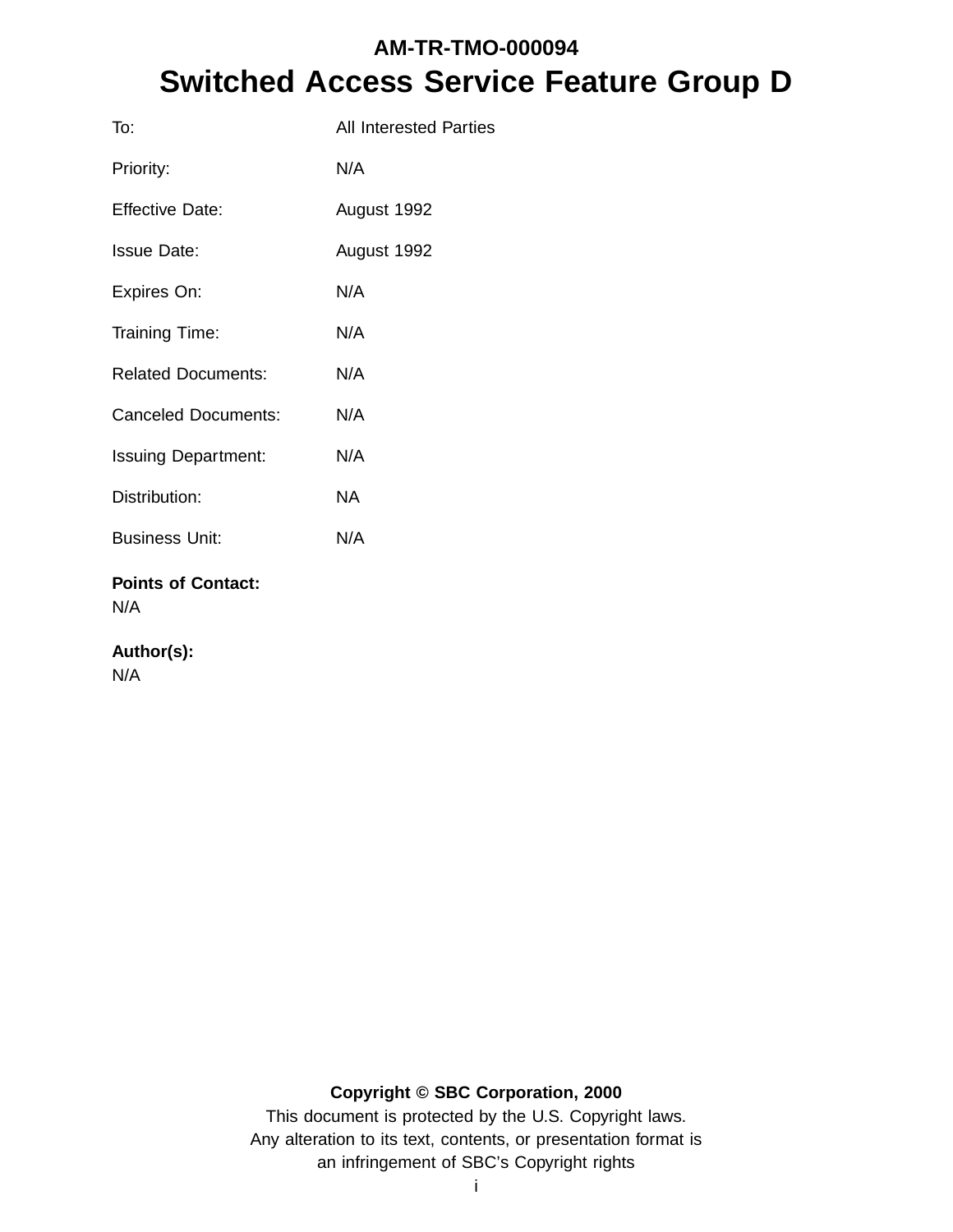# **AM-TR-TMO-000094 Switched Access Service Feature Group D**

| To:                        | All Interested Parties |
|----------------------------|------------------------|
| Priority:                  | N/A                    |
| <b>Effective Date:</b>     | August 1992            |
| <b>Issue Date:</b>         | August 1992            |
| Expires On:                | N/A                    |
| Training Time:             | N/A                    |
| <b>Related Documents:</b>  | N/A                    |
| <b>Canceled Documents:</b> | N/A                    |
| <b>Issuing Department:</b> | N/A                    |
| Distribution:              | <b>NA</b>              |
| <b>Business Unit:</b>      | N/A                    |
| Points of Contact:         |                        |

#### **Points of Contact:** N/A

**Author(s):**

N/A

# **Copyright © SBC Corporation, 2000**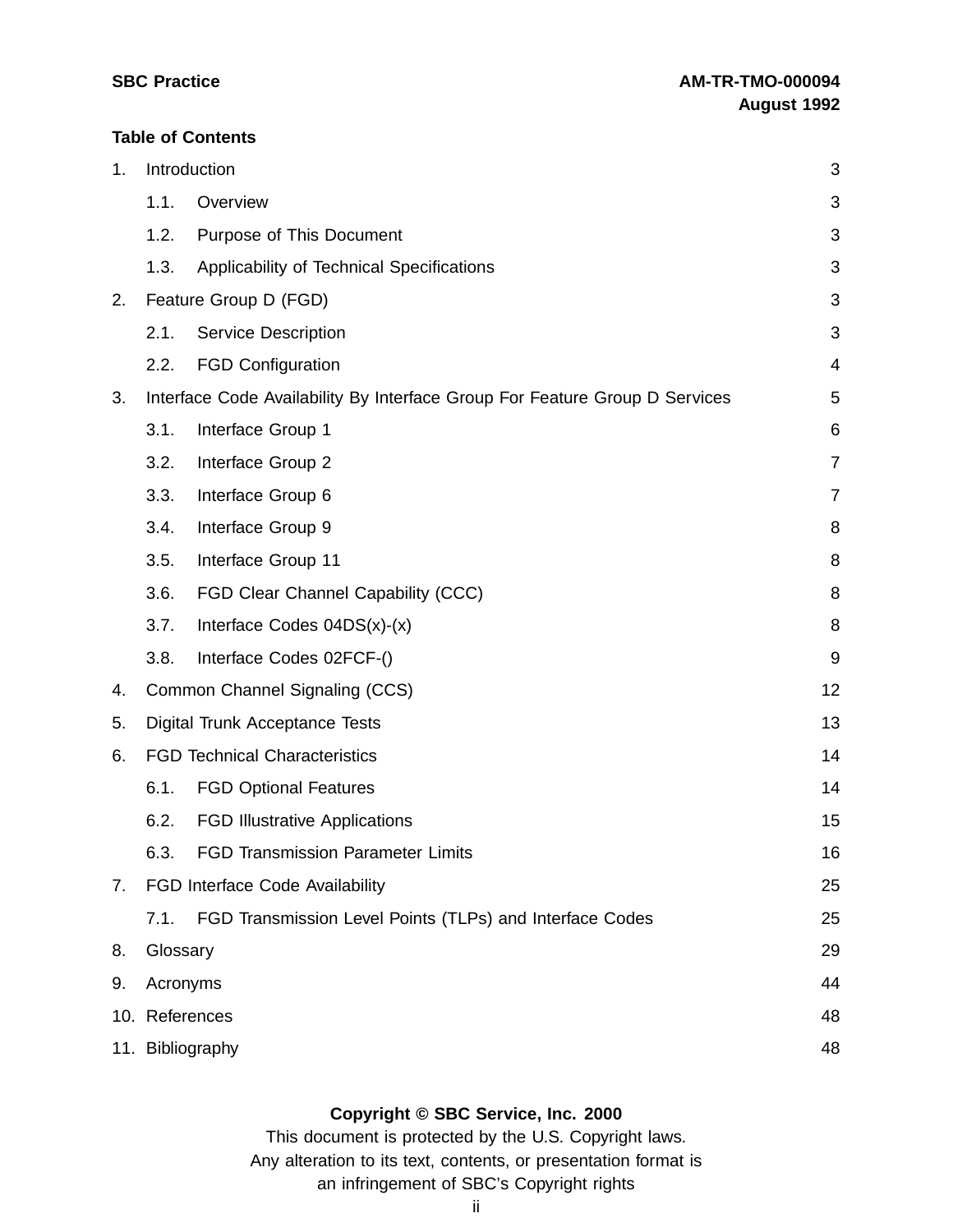# **Table of Contents**

| 1. |                | Introduction                                                                | 3              |
|----|----------------|-----------------------------------------------------------------------------|----------------|
|    | 1.1.           | Overview                                                                    | 3              |
|    | 1.2.           | Purpose of This Document                                                    | 3              |
|    | 1.3.           | Applicability of Technical Specifications                                   | 3              |
| 2. |                | Feature Group D (FGD)                                                       | 3              |
|    | 2.1.           | <b>Service Description</b>                                                  | 3              |
|    | 2.2.           | <b>FGD Configuration</b>                                                    | $\overline{4}$ |
| 3. |                | Interface Code Availability By Interface Group For Feature Group D Services | 5              |
|    | 3.1.           | Interface Group 1                                                           | 6              |
|    | 3.2.           | Interface Group 2                                                           | $\overline{7}$ |
|    | 3.3.           | Interface Group 6                                                           | $\overline{7}$ |
|    | 3.4.           | Interface Group 9                                                           | 8              |
|    | 3.5.           | Interface Group 11                                                          | 8              |
|    | 3.6.           | FGD Clear Channel Capability (CCC)                                          | 8              |
|    | 3.7.           | Interface Codes 04DS(x)-(x)                                                 | 8              |
|    | 3.8.           | Interface Codes 02FCF-()                                                    | 9              |
| 4. |                | Common Channel Signaling (CCS)                                              | 12             |
| 5. |                | Digital Trunk Acceptance Tests                                              | 13             |
| 6. |                | <b>FGD Technical Characteristics</b>                                        | 14             |
|    | 6.1.           | <b>FGD Optional Features</b>                                                | 14             |
|    | 6.2.           | <b>FGD Illustrative Applications</b>                                        | 15             |
|    | 6.3.           | <b>FGD Transmission Parameter Limits</b>                                    | 16             |
| 7. |                | FGD Interface Code Availability                                             | 25             |
|    | 7.1.           | FGD Transmission Level Points (TLPs) and Interface Codes                    | 25             |
| 8. | Glossary       |                                                                             | 29             |
| 9. | Acronyms       |                                                                             | 44             |
|    | 10. References |                                                                             | 48             |
|    |                | 11. Bibliography                                                            | 48             |

# **Copyright © SBC Service, Inc. 2000**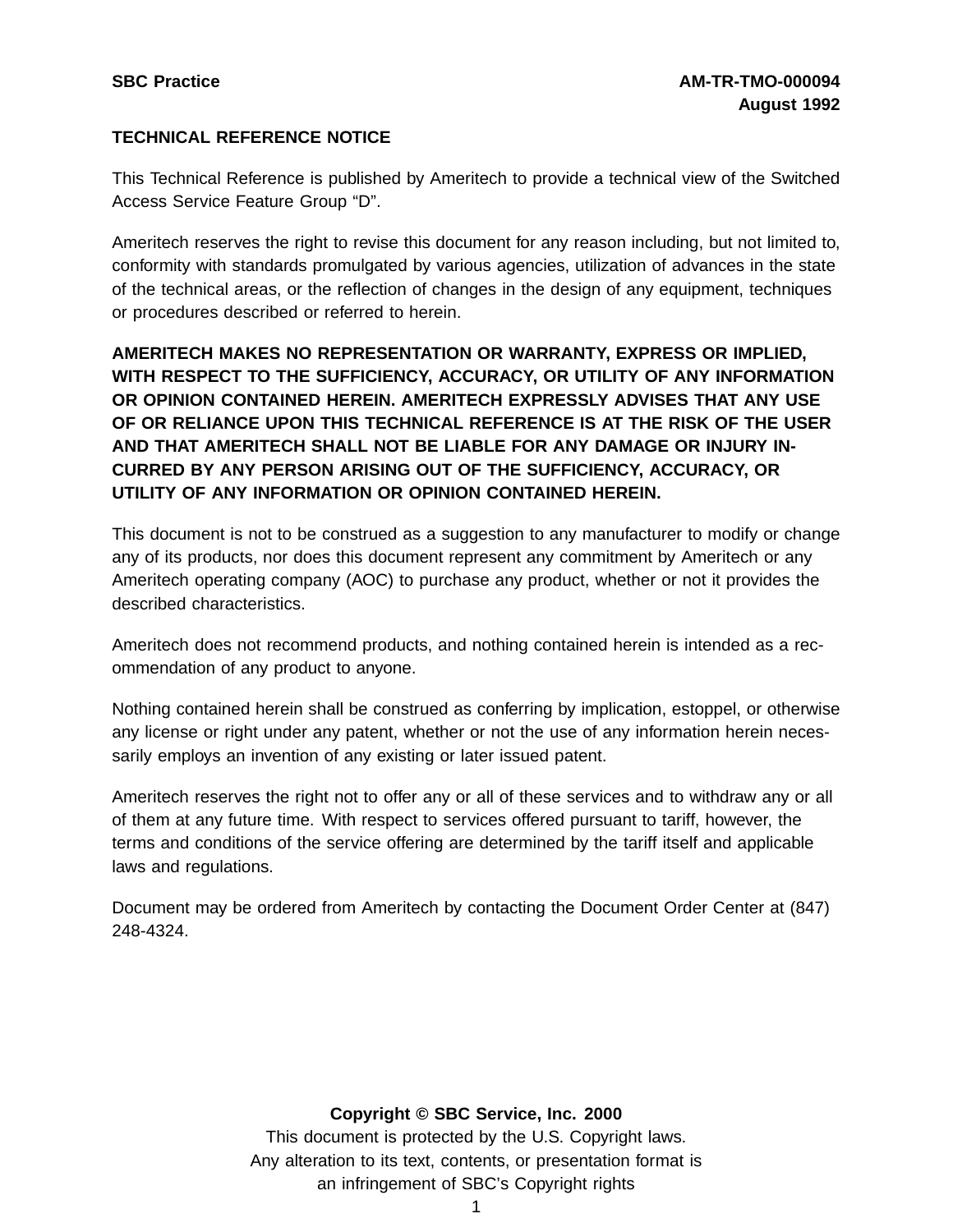# **TECHNICAL REFERENCE NOTICE**

This Technical Reference is published by Ameritech to provide a technical view of the Switched Access Service Feature Group "D".

Ameritech reserves the right to revise this document for any reason including, but not limited to, conformity with standards promulgated by various agencies, utilization of advances in the state of the technical areas, or the reflection of changes in the design of any equipment, techniques or procedures described or referred to herein.

**AMERITECH MAKES NO REPRESENTATION OR WARRANTY, EXPRESS OR IMPLIED, WITH RESPECT TO THE SUFFICIENCY, ACCURACY, OR UTILITY OF ANY INFORMATION OR OPINION CONTAINED HEREIN. AMERITECH EXPRESSLY ADVISES THAT ANY USE OF OR RELIANCE UPON THIS TECHNICAL REFERENCE IS AT THE RISK OF THE USER AND THAT AMERITECH SHALL NOT BE LIABLE FOR ANY DAMAGE OR INJURY IN-CURRED BY ANY PERSON ARISING OUT OF THE SUFFICIENCY, ACCURACY, OR UTILITY OF ANY INFORMATION OR OPINION CONTAINED HEREIN.**

This document is not to be construed as a suggestion to any manufacturer to modify or change any of its products, nor does this document represent any commitment by Ameritech or any Ameritech operating company (AOC) to purchase any product, whether or not it provides the described characteristics.

Ameritech does not recommend products, and nothing contained herein is intended as a recommendation of any product to anyone.

Nothing contained herein shall be construed as conferring by implication, estoppel, or otherwise any license or right under any patent, whether or not the use of any information herein necessarily employs an invention of any existing or later issued patent.

Ameritech reserves the right not to offer any or all of these services and to withdraw any or all of them at any future time. With respect to services offered pursuant to tariff, however, the terms and conditions of the service offering are determined by the tariff itself and applicable laws and regulations.

Document may be ordered from Ameritech by contacting the Document Order Center at (847) 248-4324.

#### **Copyright © SBC Service, Inc. 2000**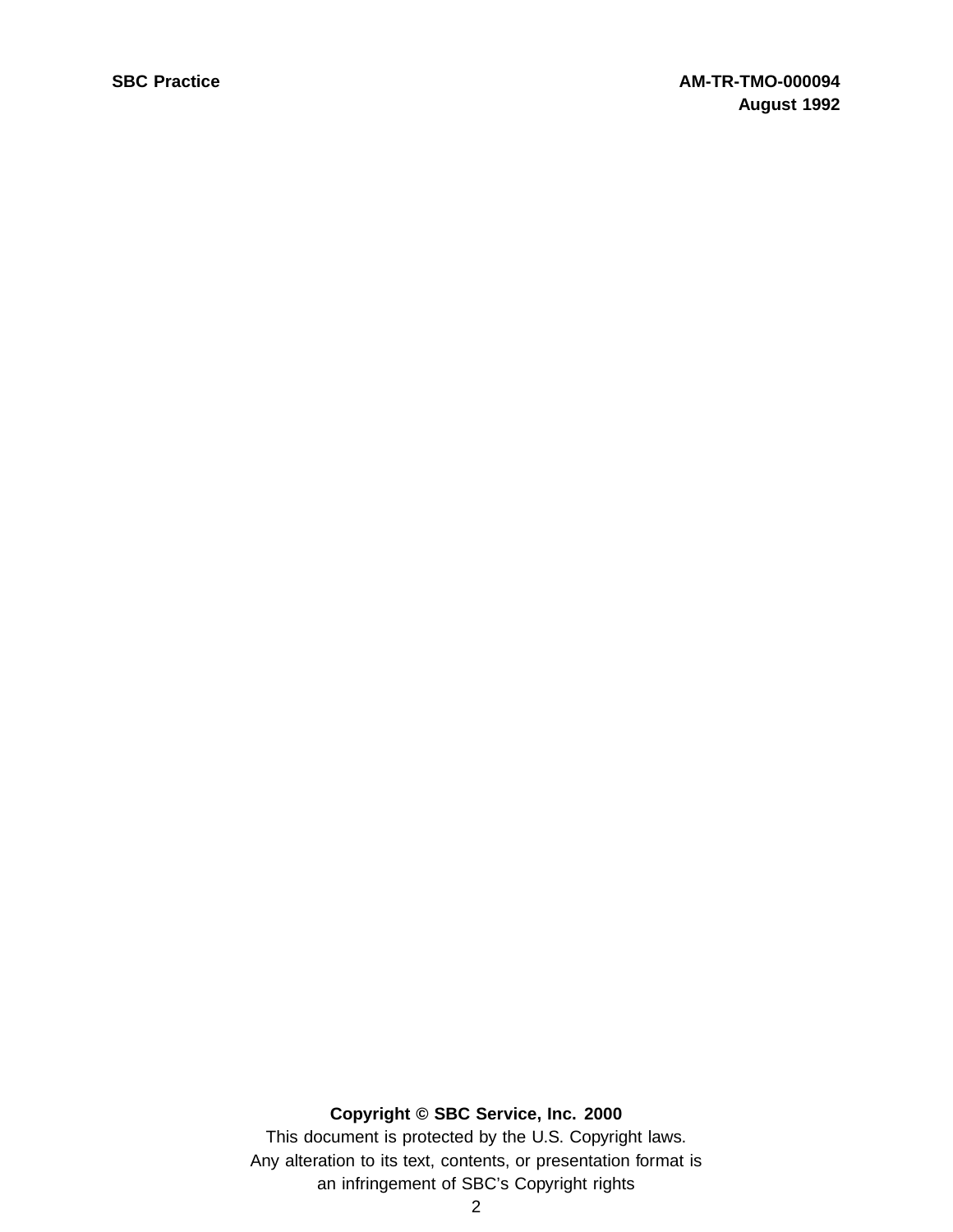# **Copyright © SBC Service, Inc. 2000**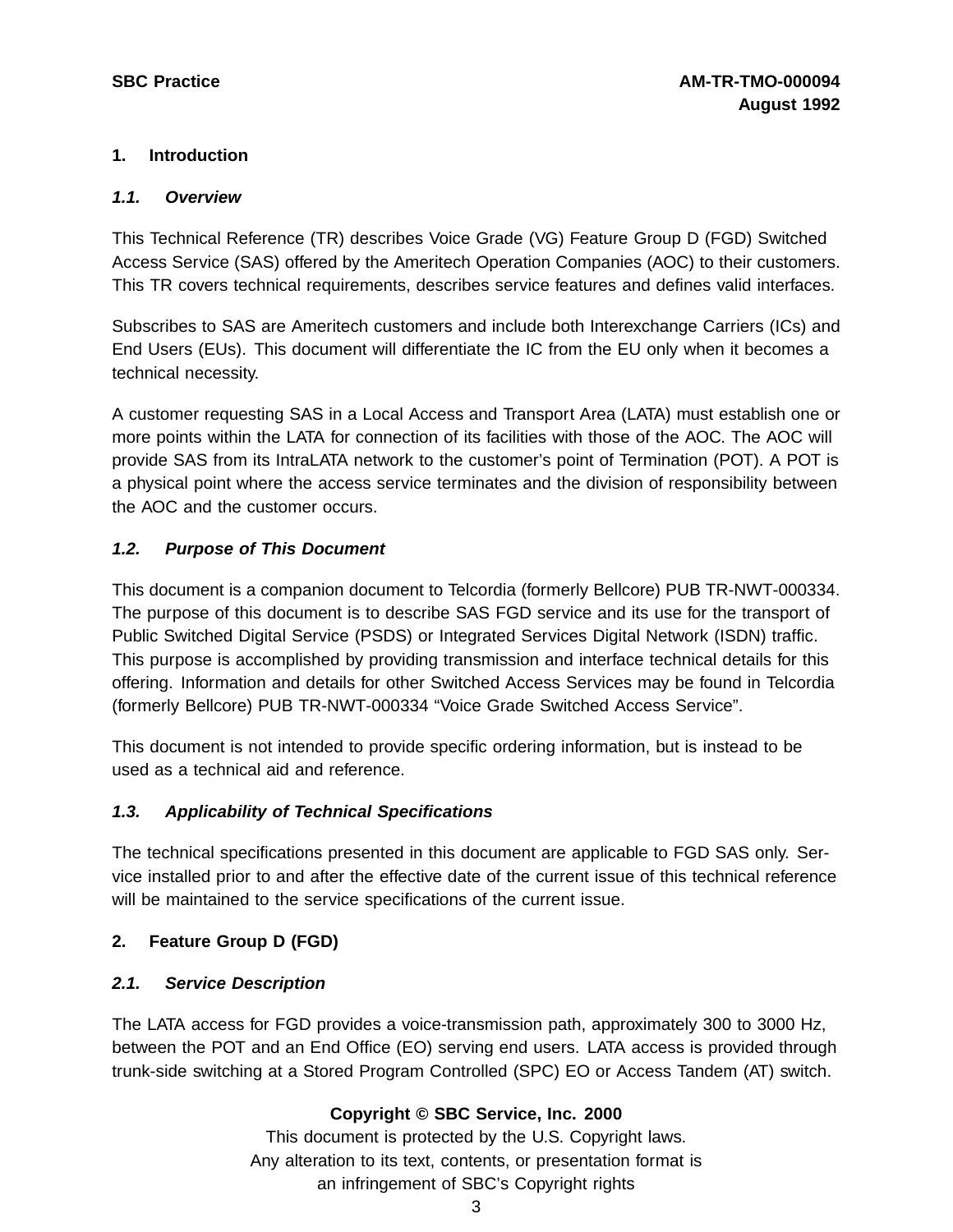## **1. Introduction**

## **1.1. Overview**

This Technical Reference (TR) describes Voice Grade (VG) Feature Group D (FGD) Switched Access Service (SAS) offered by the Ameritech Operation Companies (AOC) to their customers. This TR covers technical requirements, describes service features and defines valid interfaces.

Subscribes to SAS are Ameritech customers and include both Interexchange Carriers (ICs) and End Users (EUs). This document will differentiate the IC from the EU only when it becomes a technical necessity.

A customer requesting SAS in a Local Access and Transport Area (LATA) must establish one or more points within the LATA for connection of its facilities with those of the AOC. The AOC will provide SAS from its IntraLATA network to the customer's point of Termination (POT). A POT is a physical point where the access service terminates and the division of responsibility between the AOC and the customer occurs.

# **1.2. Purpose of This Document**

This document is a companion document to Telcordia (formerly Bellcore) PUB TR-NWT-000334. The purpose of this document is to describe SAS FGD service and its use for the transport of Public Switched Digital Service (PSDS) or Integrated Services Digital Network (ISDN) traffic. This purpose is accomplished by providing transmission and interface technical details for this offering. Information and details for other Switched Access Services may be found in Telcordia (formerly Bellcore) PUB TR-NWT-000334 "Voice Grade Switched Access Service".

This document is not intended to provide specific ordering information, but is instead to be used as a technical aid and reference.

# **1.3. Applicability of Technical Specifications**

The technical specifications presented in this document are applicable to FGD SAS only. Service installed prior to and after the effective date of the current issue of this technical reference will be maintained to the service specifications of the current issue.

# **2. Feature Group D (FGD)**

# **2.1. Service Description**

The LATA access for FGD provides a voice-transmission path, approximately 300 to 3000 Hz, between the POT and an End Office (EO) serving end users. LATA access is provided through trunk-side switching at a Stored Program Controlled (SPC) EO or Access Tandem (AT) switch.

# **Copyright © SBC Service, Inc. 2000**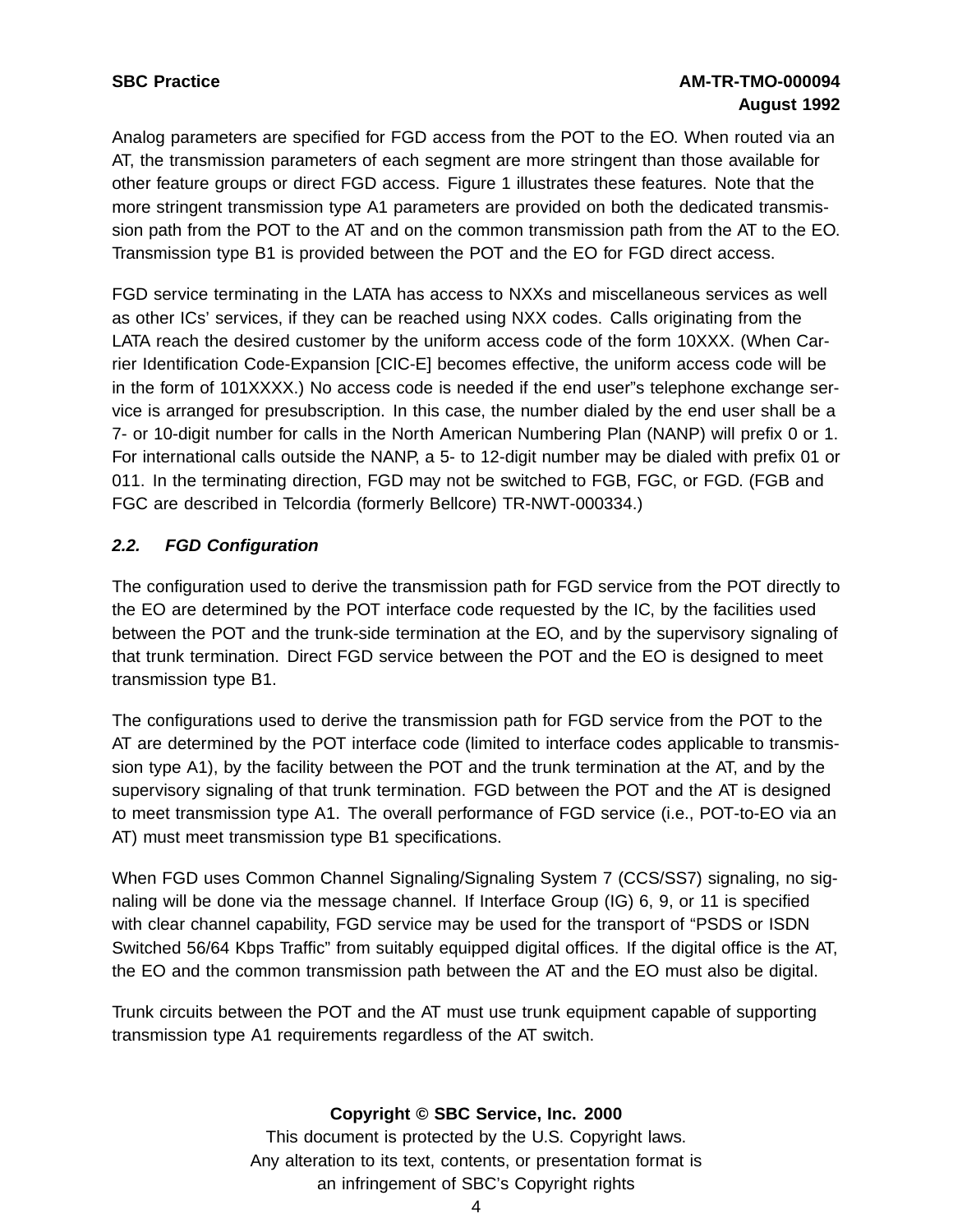Analog parameters are specified for FGD access from the POT to the EO. When routed via an AT, the transmission parameters of each segment are more stringent than those available for other feature groups or direct FGD access. Figure 1 illustrates these features. Note that the more stringent transmission type A1 parameters are provided on both the dedicated transmission path from the POT to the AT and on the common transmission path from the AT to the EO. Transmission type B1 is provided between the POT and the EO for FGD direct access.

FGD service terminating in the LATA has access to NXXs and miscellaneous services as well as other ICs' services, if they can be reached using NXX codes. Calls originating from the LATA reach the desired customer by the uniform access code of the form 10XXX. (When Carrier Identification Code-Expansion [CIC-E] becomes effective, the uniform access code will be in the form of 101XXXX.) No access code is needed if the end user"s telephone exchange service is arranged for presubscription. In this case, the number dialed by the end user shall be a 7- or 10-digit number for calls in the North American Numbering Plan (NANP) will prefix 0 or 1. For international calls outside the NANP, a 5- to 12-digit number may be dialed with prefix 01 or 011. In the terminating direction, FGD may not be switched to FGB, FGC, or FGD. (FGB and FGC are described in Telcordia (formerly Bellcore) TR-NWT-000334.)

# **2.2. FGD Configuration**

The configuration used to derive the transmission path for FGD service from the POT directly to the EO are determined by the POT interface code requested by the IC, by the facilities used between the POT and the trunk-side termination at the EO, and by the supervisory signaling of that trunk termination. Direct FGD service between the POT and the EO is designed to meet transmission type B1.

The configurations used to derive the transmission path for FGD service from the POT to the AT are determined by the POT interface code (limited to interface codes applicable to transmission type A1), by the facility between the POT and the trunk termination at the AT, and by the supervisory signaling of that trunk termination. FGD between the POT and the AT is designed to meet transmission type A1. The overall performance of FGD service (i.e., POT-to-EO via an AT) must meet transmission type B1 specifications.

When FGD uses Common Channel Signaling/Signaling System 7 (CCS/SS7) signaling, no signaling will be done via the message channel. If Interface Group (IG) 6, 9, or 11 is specified with clear channel capability, FGD service may be used for the transport of "PSDS or ISDN Switched 56/64 Kbps Traffic" from suitably equipped digital offices. If the digital office is the AT, the EO and the common transmission path between the AT and the EO must also be digital.

Trunk circuits between the POT and the AT must use trunk equipment capable of supporting transmission type A1 requirements regardless of the AT switch.

## **Copyright © SBC Service, Inc. 2000**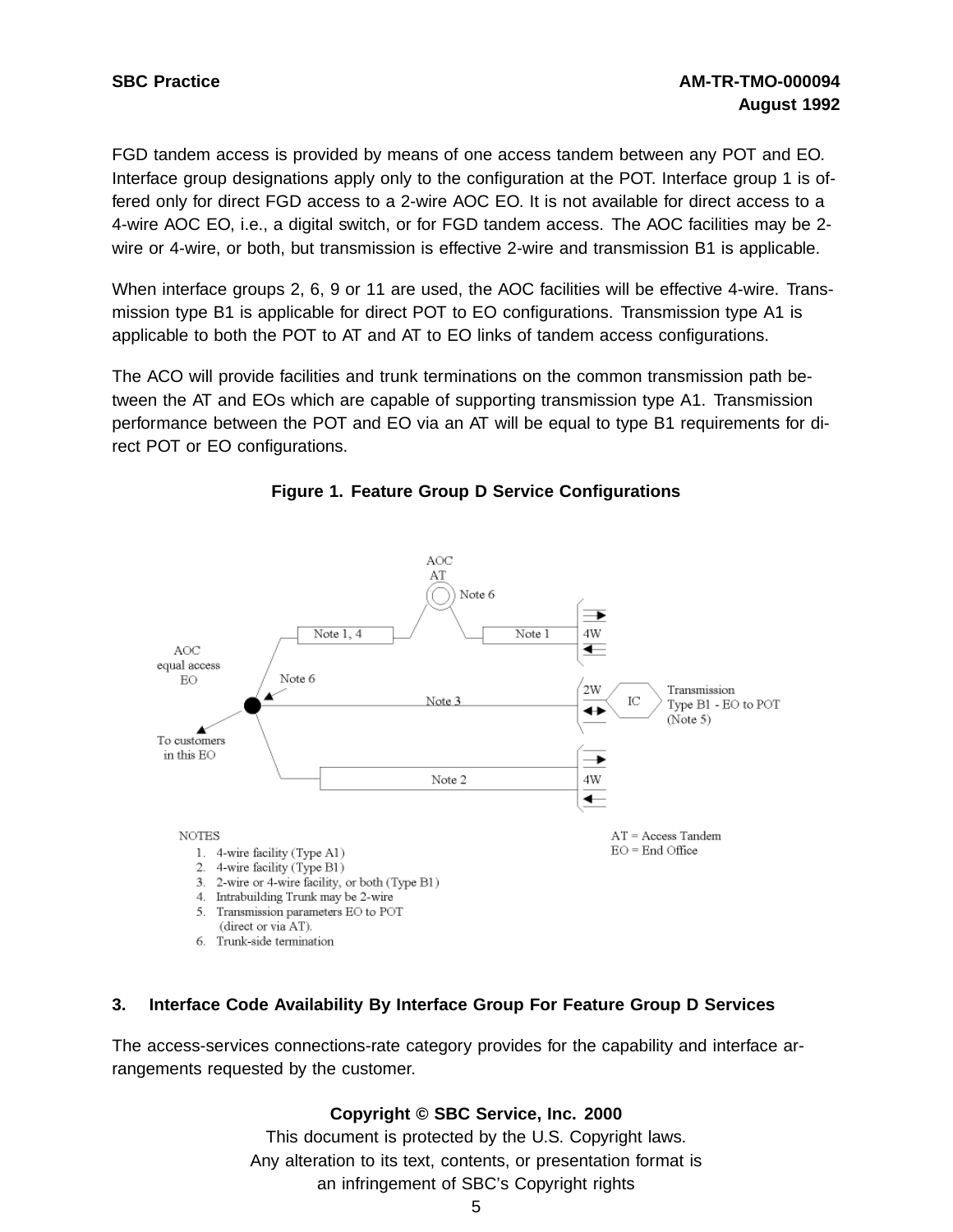FGD tandem access is provided by means of one access tandem between any POT and EO. Interface group designations apply only to the configuration at the POT. Interface group 1 is offered only for direct FGD access to a 2-wire AOC EO. It is not available for direct access to a 4-wire AOC EO, i.e., a digital switch, or for FGD tandem access. The AOC facilities may be 2 wire or 4-wire, or both, but transmission is effective 2-wire and transmission B1 is applicable.

When interface groups 2, 6, 9 or 11 are used, the AOC facilities will be effective 4-wire. Transmission type B1 is applicable for direct POT to EO configurations. Transmission type A1 is applicable to both the POT to AT and AT to EO links of tandem access configurations.

The ACO will provide facilities and trunk terminations on the common transmission path between the AT and EOs which are capable of supporting transmission type A1. Transmission performance between the POT and EO via an AT will be equal to type B1 requirements for direct POT or EO configurations.



**Figure 1. Feature Group D Service Configurations**

# **3. Interface Code Availability By Interface Group For Feature Group D Services**

The access-services connections-rate category provides for the capability and interface arrangements requested by the customer.

## **Copyright © SBC Service, Inc. 2000**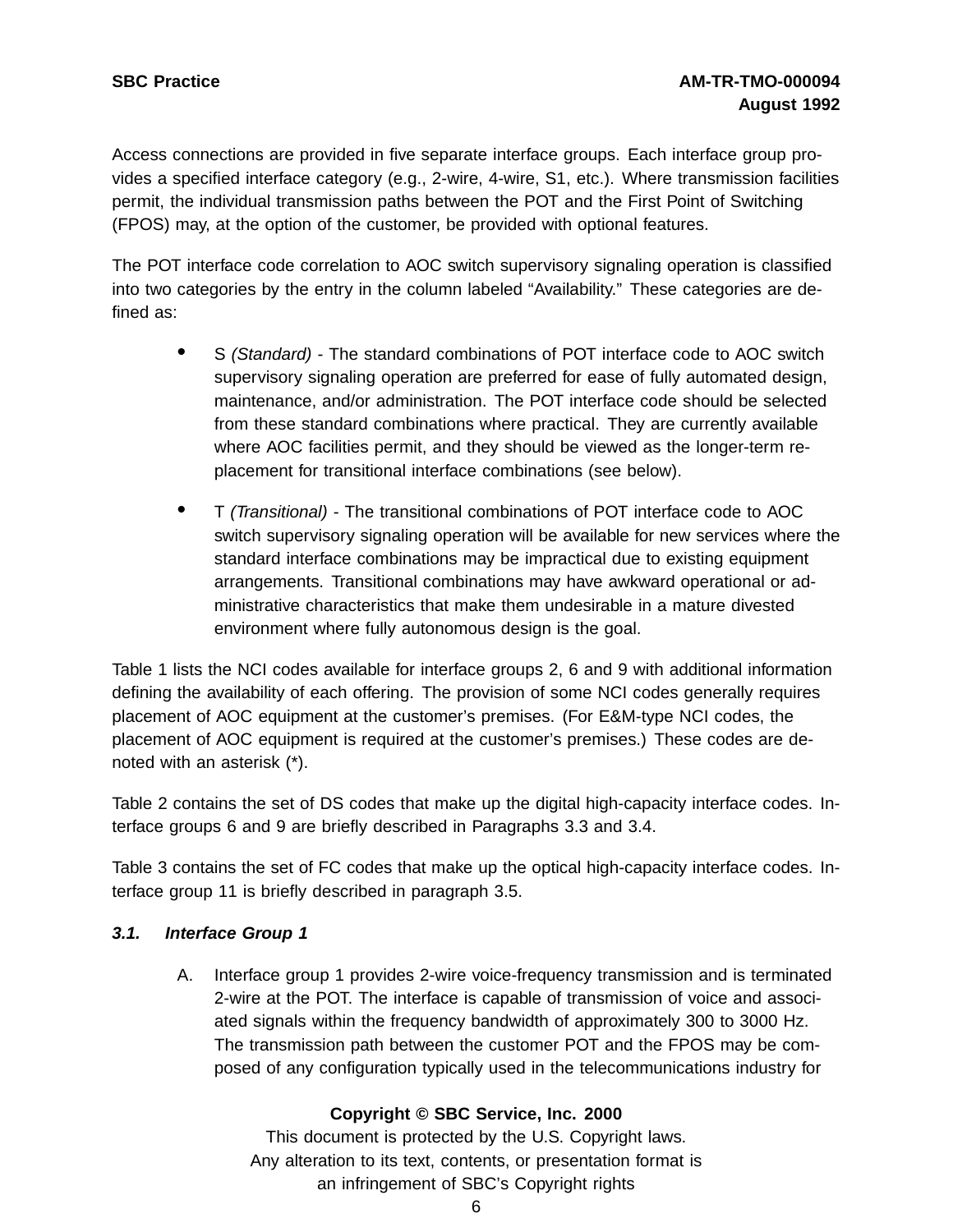Access connections are provided in five separate interface groups. Each interface group provides a specified interface category (e.g., 2-wire, 4-wire, S1, etc.). Where transmission facilities permit, the individual transmission paths between the POT and the First Point of Switching (FPOS) may, at the option of the customer, be provided with optional features.

The POT interface code correlation to AOC switch supervisory signaling operation is classified into two categories by the entry in the column labeled "Availability." These categories are defined as:

- <sup>S</sup> (Standard) The standard combinations of POT interface code to AOC switch supervisory signaling operation are preferred for ease of fully automated design, maintenance, and/or administration. The POT interface code should be selected from these standard combinations where practical. They are currently available where AOC facilities permit, and they should be viewed as the longer-term replacement for transitional interface combinations (see below).
- <sup>T</sup> (Transitional) The transitional combinations of POT interface code to AOC switch supervisory signaling operation will be available for new services where the standard interface combinations may be impractical due to existing equipment arrangements. Transitional combinations may have awkward operational or administrative characteristics that make them undesirable in a mature divested environment where fully autonomous design is the goal.

Table 1 lists the NCI codes available for interface groups 2, 6 and 9 with additional information defining the availability of each offering. The provision of some NCI codes generally requires placement of AOC equipment at the customer's premises. (For E&M-type NCI codes, the placement of AOC equipment is required at the customer's premises.) These codes are denoted with an asterisk (\*).

Table 2 contains the set of DS codes that make up the digital high-capacity interface codes. Interface groups 6 and 9 are briefly described in Paragraphs 3.3 and 3.4.

Table 3 contains the set of FC codes that make up the optical high-capacity interface codes. Interface group 11 is briefly described in paragraph 3.5.

## **3.1. Interface Group 1**

A. Interface group 1 provides 2-wire voice-frequency transmission and is terminated 2-wire at the POT. The interface is capable of transmission of voice and associated signals within the frequency bandwidth of approximately 300 to 3000 Hz. The transmission path between the customer POT and the FPOS may be composed of any configuration typically used in the telecommunications industry for

# **Copyright © SBC Service, Inc. 2000**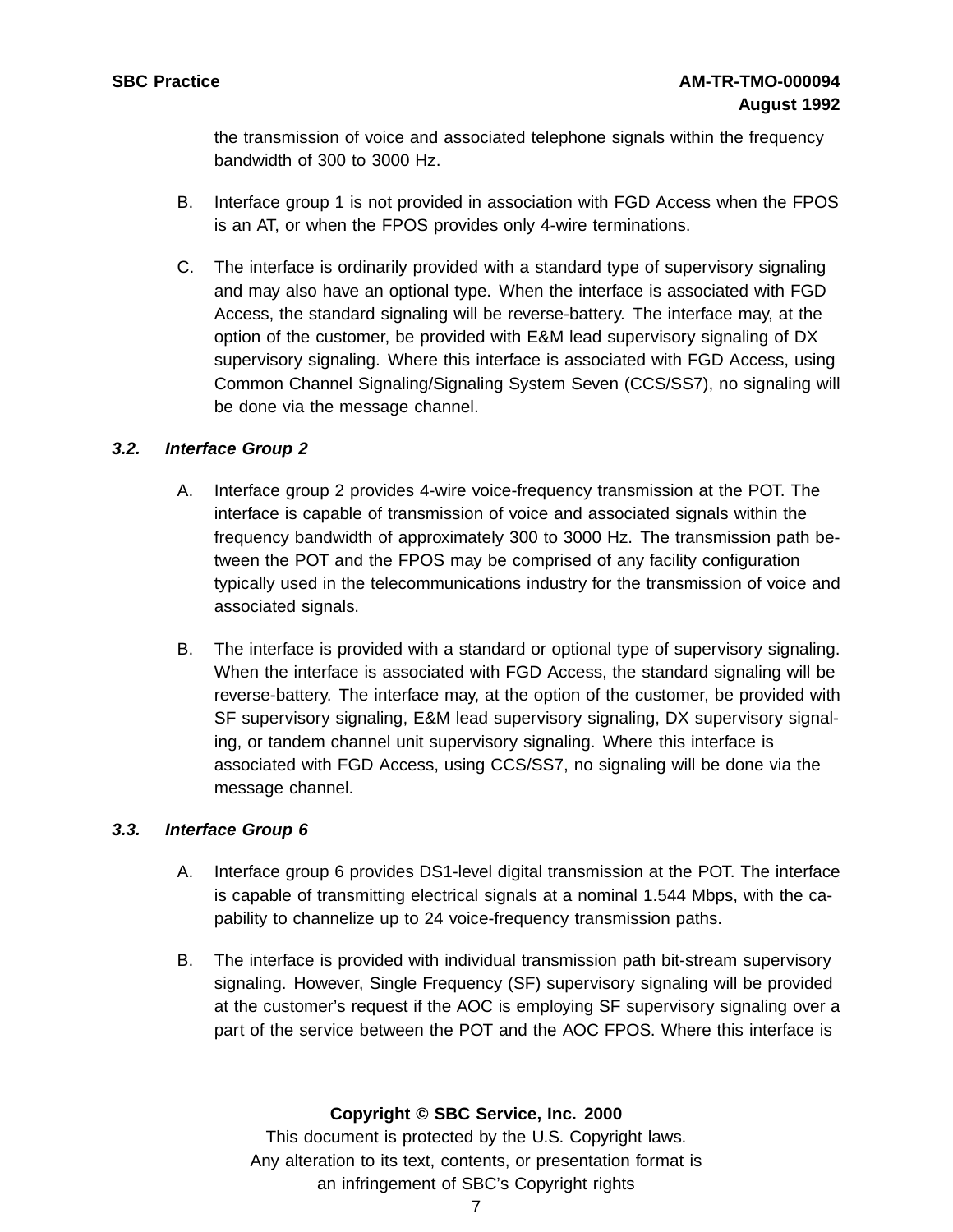the transmission of voice and associated telephone signals within the frequency bandwidth of 300 to 3000 Hz.

- B. Interface group 1 is not provided in association with FGD Access when the FPOS is an AT, or when the FPOS provides only 4-wire terminations.
- C. The interface is ordinarily provided with a standard type of supervisory signaling and may also have an optional type. When the interface is associated with FGD Access, the standard signaling will be reverse-battery. The interface may, at the option of the customer, be provided with E&M lead supervisory signaling of DX supervisory signaling. Where this interface is associated with FGD Access, using Common Channel Signaling/Signaling System Seven (CCS/SS7), no signaling will be done via the message channel.

# **3.2. Interface Group 2**

- A. Interface group 2 provides 4-wire voice-frequency transmission at the POT. The interface is capable of transmission of voice and associated signals within the frequency bandwidth of approximately 300 to 3000 Hz. The transmission path between the POT and the FPOS may be comprised of any facility configuration typically used in the telecommunications industry for the transmission of voice and associated signals.
- B. The interface is provided with a standard or optional type of supervisory signaling. When the interface is associated with FGD Access, the standard signaling will be reverse-battery. The interface may, at the option of the customer, be provided with SF supervisory signaling, E&M lead supervisory signaling, DX supervisory signaling, or tandem channel unit supervisory signaling. Where this interface is associated with FGD Access, using CCS/SS7, no signaling will be done via the message channel.

## **3.3. Interface Group 6**

- A. Interface group 6 provides DS1-level digital transmission at the POT. The interface is capable of transmitting electrical signals at a nominal 1.544 Mbps, with the capability to channelize up to 24 voice-frequency transmission paths.
- B. The interface is provided with individual transmission path bit-stream supervisory signaling. However, Single Frequency (SF) supervisory signaling will be provided at the customer's request if the AOC is employing SF supervisory signaling over a part of the service between the POT and the AOC FPOS. Where this interface is

## **Copyright © SBC Service, Inc. 2000**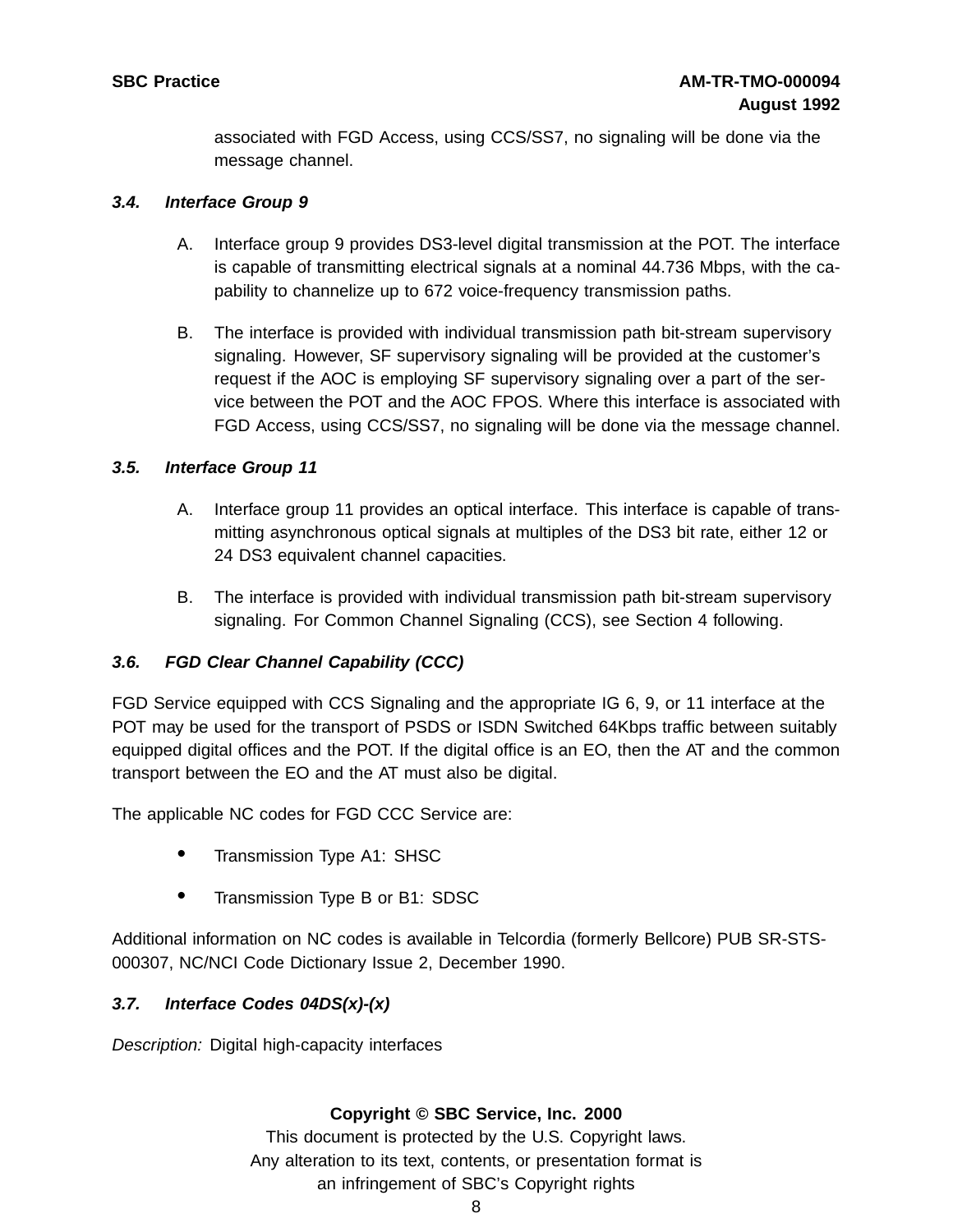associated with FGD Access, using CCS/SS7, no signaling will be done via the message channel.

## **3.4. Interface Group 9**

- A. Interface group 9 provides DS3-level digital transmission at the POT. The interface is capable of transmitting electrical signals at a nominal 44.736 Mbps, with the capability to channelize up to 672 voice-frequency transmission paths.
- B. The interface is provided with individual transmission path bit-stream supervisory signaling. However, SF supervisory signaling will be provided at the customer's request if the AOC is employing SF supervisory signaling over a part of the service between the POT and the AOC FPOS. Where this interface is associated with FGD Access, using CCS/SS7, no signaling will be done via the message channel.

# **3.5. Interface Group 11**

- A. Interface group 11 provides an optical interface. This interface is capable of transmitting asynchronous optical signals at multiples of the DS3 bit rate, either 12 or 24 DS3 equivalent channel capacities.
- B. The interface is provided with individual transmission path bit-stream supervisory signaling. For Common Channel Signaling (CCS), see Section 4 following.

# **3.6. FGD Clear Channel Capability (CCC)**

FGD Service equipped with CCS Signaling and the appropriate IG 6, 9, or 11 interface at the POT may be used for the transport of PSDS or ISDN Switched 64Kbps traffic between suitably equipped digital offices and the POT. If the digital office is an EO, then the AT and the common transport between the EO and the AT must also be digital.

The applicable NC codes for FGD CCC Service are:

- Transmission Type A1: SHSC
- Transmission Type B or B1: SDSC

Additional information on NC codes is available in Telcordia (formerly Bellcore) PUB SR-STS-000307, NC/NCI Code Dictionary Issue 2, December 1990.

# **3.7. Interface Codes 04DS(x)-(x)**

Description: Digital high-capacity interfaces

## **Copyright © SBC Service, Inc. 2000**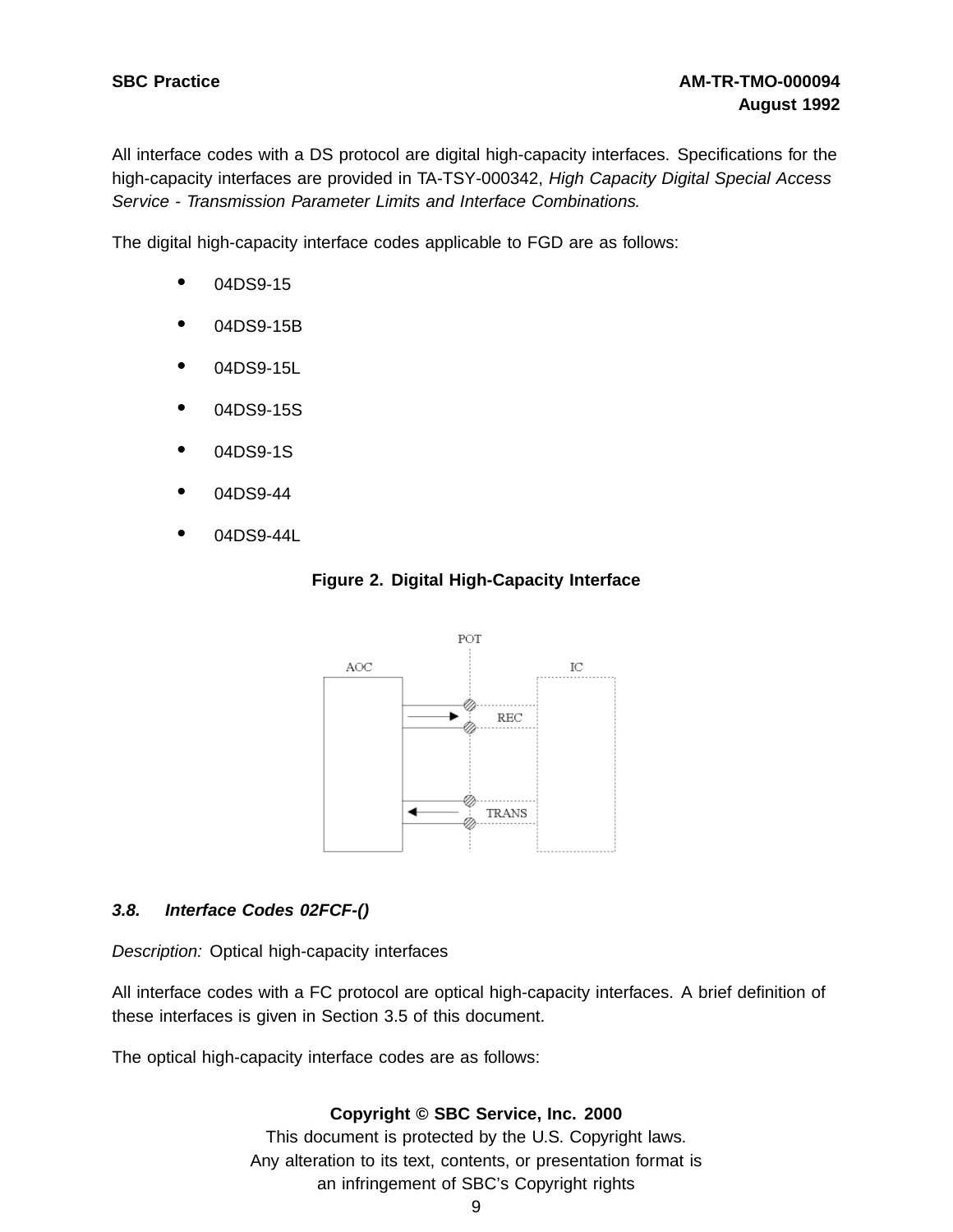All interface codes with a DS protocol are digital high-capacity interfaces. Specifications for the high-capacity interfaces are provided in TA-TSY-000342, High Capacity Digital Special Access Service - Transmission Parameter Limits and Interface Combinations.

The digital high-capacity interface codes applicable to FGD are as follows:

- 04DS9-15
- 04DS9-15B
- 04DS9-15L
- 04DS9-15S
- 04DS9-1S
- 04DS9-44
- 04DS9-44L

# **Figure 2. Digital High-Capacity Interface**



## **3.8. Interface Codes 02FCF-()**

Description: Optical high-capacity interfaces

All interface codes with a FC protocol are optical high-capacity interfaces. A brief definition of these interfaces is given in Section 3.5 of this document.

The optical high-capacity interface codes are as follows:

## **Copyright © SBC Service, Inc. 2000**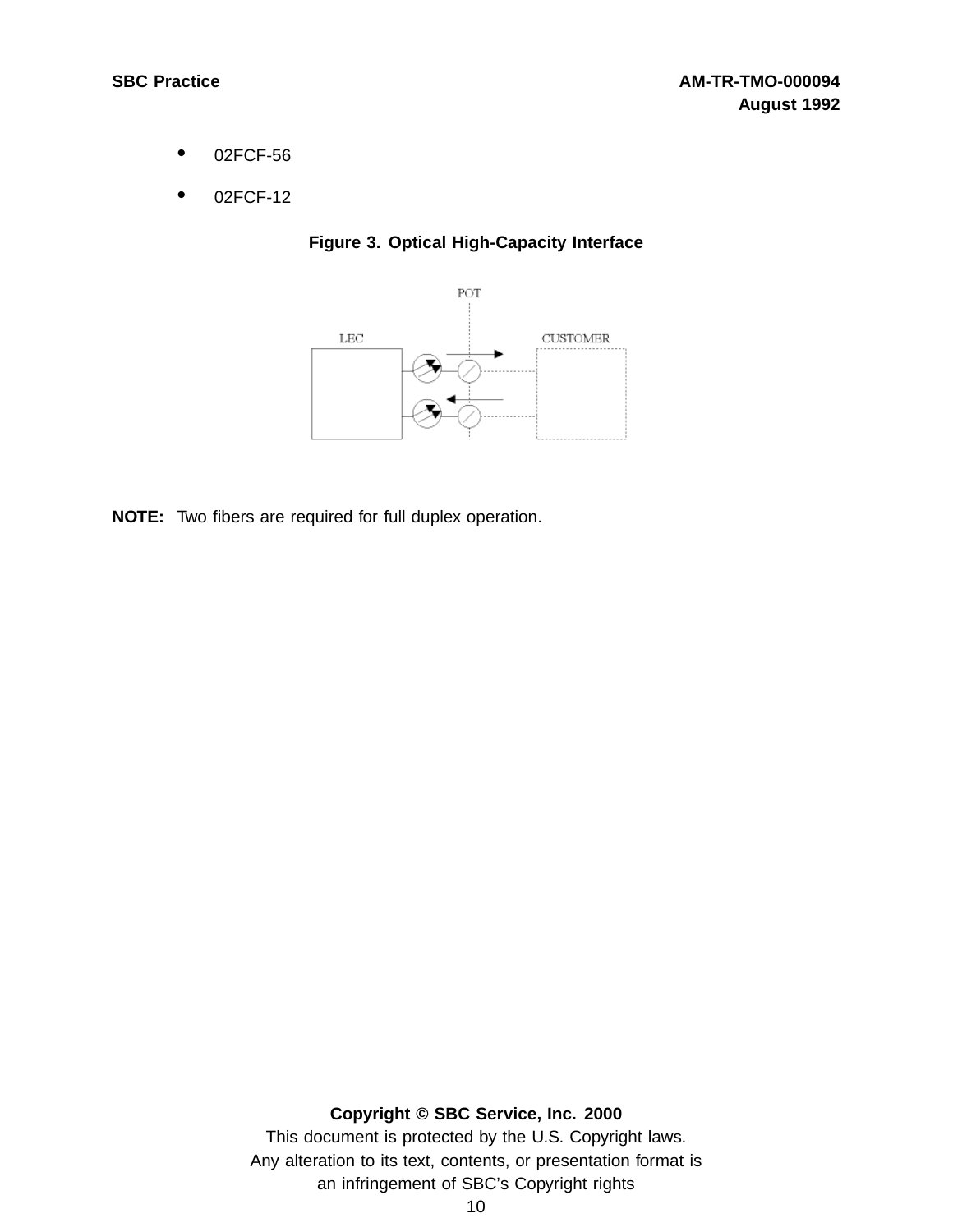- 02FCF-56
- 02FCF-12





**NOTE:** Two fibers are required for full duplex operation.

**Copyright © SBC Service, Inc. 2000**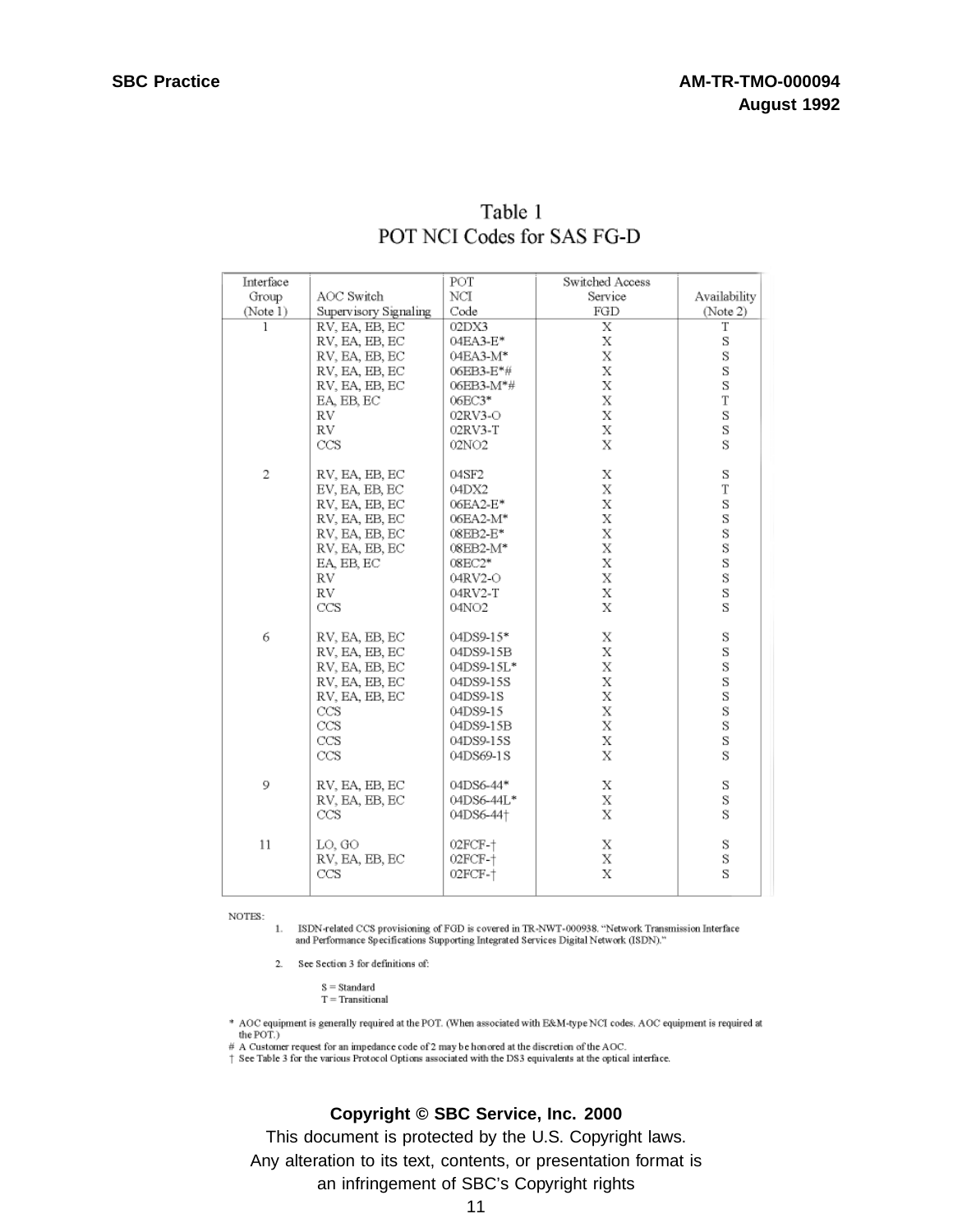| Interface |                       | POT                   | Switched Access |              |
|-----------|-----------------------|-----------------------|-----------------|--------------|
| Group     | AOC Switch            | NCI                   | Service         | Availability |
| (Note 1)  | Supervisory Signaling | Code                  | FGD             | (Note 2)     |
| 1         | RV, EA, EB, EC        | 02DX3                 | Х               | T            |
|           | RV, EA, EB, EC        | 04EA3-E*              | Χ               | S            |
|           | RV. EA, EB, EC        | 04EA3-M*              | Х               | S            |
|           | RV, EA, EB, EC        | 06EB3-E*#             | Х               | S            |
|           | RV, EA, EB, EC        | 06EB3-M*#             | Х               | S            |
|           | EA EB EC              | 06EC3*                | X               | T            |
|           | RV                    | 02RV3-O               | Χ               | S            |
|           | RV                    | 02RV3-T               | X               | S            |
|           | CCS                   | 02NO2                 | X               | S            |
| 2         | RV, EA, EB, EC        | 04SF2                 | Χ               | S            |
|           | EV, EA, EB, EC        | 04DX2                 | Χ               | T            |
|           | RV, EA, EB, EC        | 06EA2-E*              | Χ               | S            |
|           | RV, EA, EB, EC        | 06EA2-M*              | Χ               | S            |
|           | RV, EA, EB, EC        | 08EB2-E*              | X               | S            |
|           | RV, EA, EB, EC        | 08EB2-M*              | X               | S            |
|           | EA, EB, EC            | 08EC2*                | Χ               | S            |
|           | RV.                   | 04RV2-O               | X               | S            |
|           | RV                    | 04RV2-T               | X               | S            |
|           | CCS                   | 04NO2                 | Х               | S            |
|           |                       |                       |                 |              |
| 6         | RV, EA, EB, EC        | 04DS9-15*             | Х               | S            |
|           | RV, EA, EB, EC        | 04DS9-15B             | Χ               | S            |
|           | RV, EA, EB, EC        | 04DS9-15L*            | X               | S            |
|           | RV, EA, EB, EC        | 04DS9-15S             | Χ               | S            |
|           | RV, EA, EB, EC        | 04DS9-1S              | Χ               | S            |
|           | CCS                   | 04DS9-15              | Х               | S            |
|           | CCS                   | 04DS9-15B             | X               | S            |
|           | CCS                   | 04DS9-15S             | Х               | S            |
|           | CCS                   | 04DS69-1S             | X               | S            |
| 9         | RV, EA, EB, EC        | 04DS6-44*             | Χ               | S            |
|           | RV, EA, EB, EC        | 04DS6-44L*            | X               | S            |
|           | $_{\rm CCS}$          | 04DS6-44 <sup>+</sup> | X               | S            |
| 11        | LO, GO                | 02FCF-+               | Х               | S            |
|           | RV, EA, EB, EC        | 02FCF-+               | Х               | S            |
|           | CCS                   | 02FCF-1               | X               | S            |
|           |                       |                       |                 |              |

# Table 1 POT NCI Codes for SAS FG-D

NOTES:

1. ISDN-related CCS provisioning of FGD is covered in TR-NWT-000938. "Network Transmission Interface and Performance Specifications Supporting Integrated Services Digital Network (ISDN)."

2. See Section 3 for definitions of:

 $\mathbf{S} = \mathbf{Standard}$  $T =$ Transitional

\* AOC equipment is generally required at the POT. (When associated with E&M-type NCI codes. AOC equipment is required at the POT.)

# A Customer request for an impedance code of 2 may be honored at the discretion of the AOC.

<sup>†</sup> See Table 3 for the various Protocol Options associated with the DS3 equivalents at the optical interface.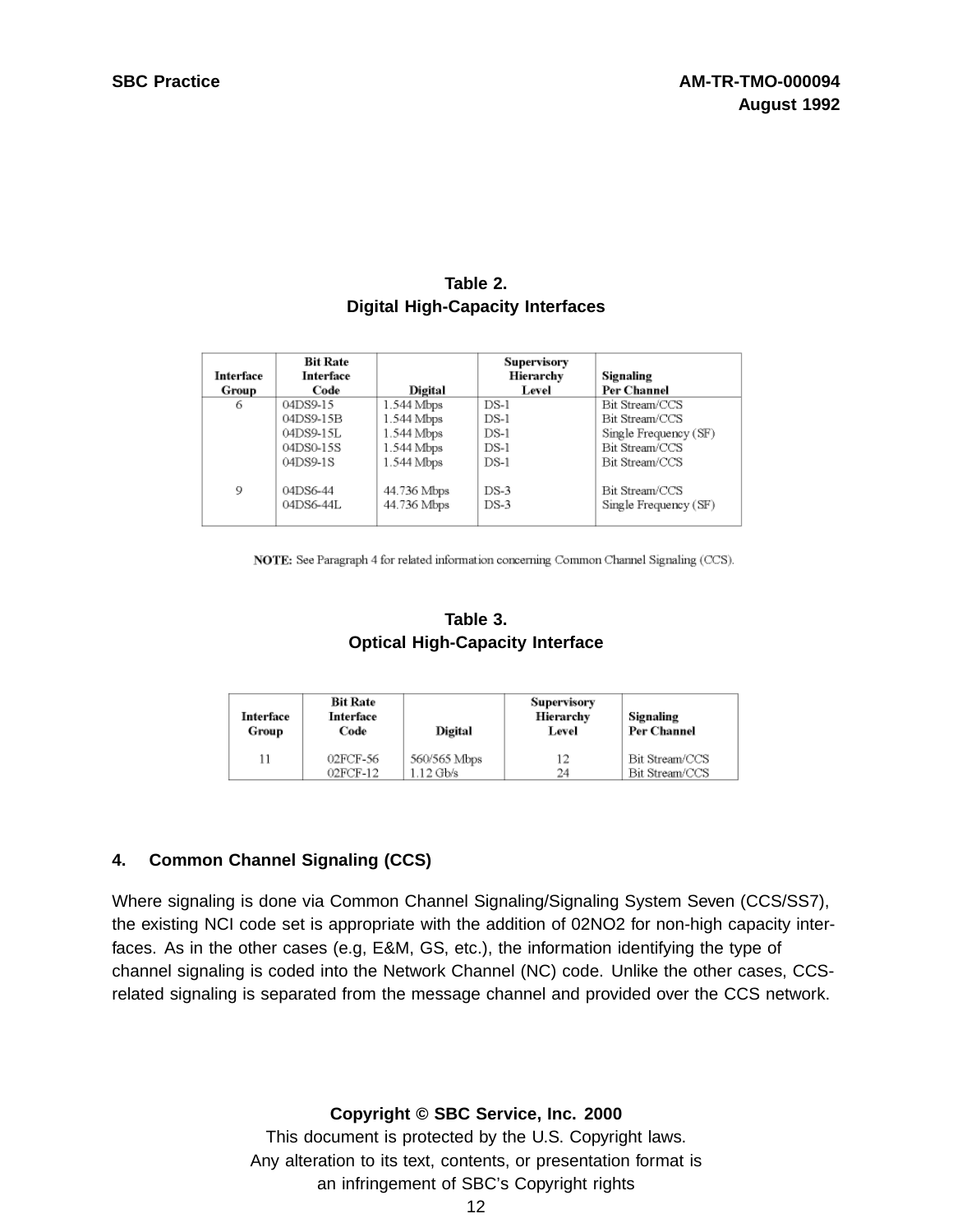# **Table 2. Digital High-Capacity Interfaces**

| Interface<br>Group | <b>Bit Rate</b><br><b>Interface</b><br>Code | Digital     | Supervisory<br>Hierarchy<br>Level | Signaling<br>Per Channel |
|--------------------|---------------------------------------------|-------------|-----------------------------------|--------------------------|
| 6                  | 04DS9-15                                    | 1.544 Mbps  | $DS-1$                            | Bit Stream/CCS           |
|                    | 04DS9-15B                                   | 1.544 Mbps  | $DS-1$                            | Bit Stream/CCS           |
|                    | 04DS9-15L                                   | 1.544 Mbps  | $DS-1$                            | Single Frequency (SF)    |
|                    | 04DS0-15S                                   | 1.544 Mbps  | $DS-1$                            | Bit Stream/CCS           |
|                    | 04DS9-1S                                    | 1.544 Mbps  | $DS-1$                            | Bit Stream/CCS           |
| 9                  | 04DS6-44                                    | 44.736 Mbps | $DS-3$                            | Bit Stream/CCS           |
|                    | 04DS6-44L                                   | 44.736 Mbps | $DS-3$                            | Single Frequency (SF)    |

NOTE: See Paragraph 4 for related information concerning Common Channel Signaling (CCS).

**Table 3. Optical High-Capacity Interface**

| Interface<br>Group | <b>Bit Rate</b><br>Interface<br>Code | Digital      | Supervisory<br>Hierarchy<br>Level | Signaling<br>Per Channel |
|--------------------|--------------------------------------|--------------|-----------------------------------|--------------------------|
| 11                 | 02FCF-56                             | 560/565 Mbps | 12                                | Bit Stream/CCS           |
|                    | 02FCF-12                             | 1.12 Gb/s    | 24                                | Bit Stream/CCS           |

# **4. Common Channel Signaling (CCS)**

Where signaling is done via Common Channel Signaling/Signaling System Seven (CCS/SS7), the existing NCI code set is appropriate with the addition of 02NO2 for non-high capacity interfaces. As in the other cases (e.g, E&M, GS, etc.), the information identifying the type of channel signaling is coded into the Network Channel (NC) code. Unlike the other cases, CCSrelated signaling is separated from the message channel and provided over the CCS network.

# **Copyright © SBC Service, Inc. 2000**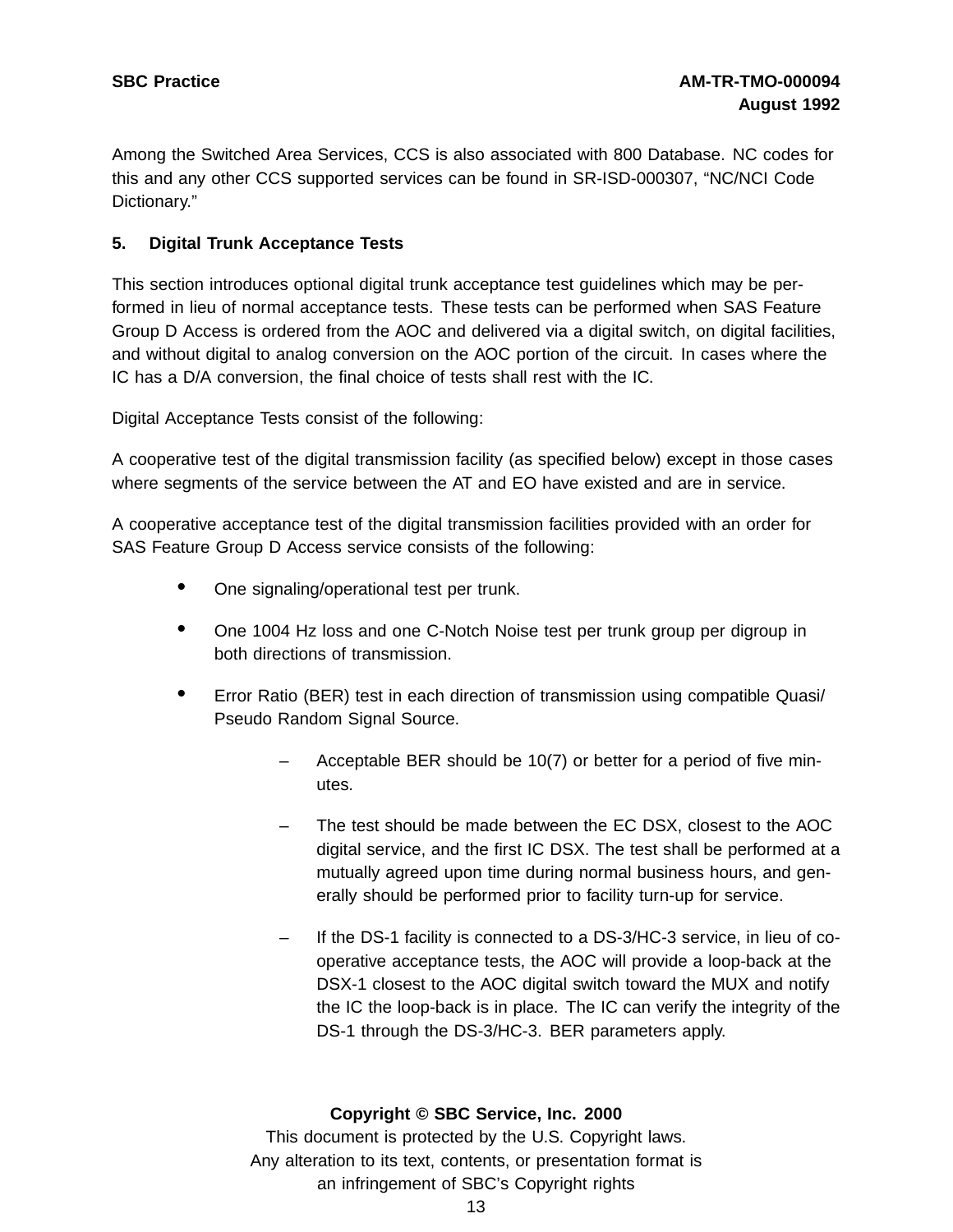Among the Switched Area Services, CCS is also associated with 800 Database. NC codes for this and any other CCS supported services can be found in SR-ISD-000307, "NC/NCI Code Dictionary."

# **5. Digital Trunk Acceptance Tests**

This section introduces optional digital trunk acceptance test guidelines which may be performed in lieu of normal acceptance tests. These tests can be performed when SAS Feature Group D Access is ordered from the AOC and delivered via a digital switch, on digital facilities, and without digital to analog conversion on the AOC portion of the circuit. In cases where the IC has a D/A conversion, the final choice of tests shall rest with the IC.

Digital Acceptance Tests consist of the following:

A cooperative test of the digital transmission facility (as specified below) except in those cases where segments of the service between the AT and EO have existed and are in service.

A cooperative acceptance test of the digital transmission facilities provided with an order for SAS Feature Group D Access service consists of the following:

- One signaling/operational test per trunk.
- One 1004 Hz loss and one C-Notch Noise test per trunk group per digroup in both directions of transmission.
- Error Ratio (BER) test in each direction of transmission using compatible Quasi/ Pseudo Random Signal Source.
	- Acceptable BER should be 10(7) or better for a period of five minutes.
	- The test should be made between the EC DSX, closest to the AOC digital service, and the first IC DSX. The test shall be performed at a mutually agreed upon time during normal business hours, and generally should be performed prior to facility turn-up for service.
	- If the DS-1 facility is connected to a DS-3/HC-3 service, in lieu of cooperative acceptance tests, the AOC will provide a loop-back at the DSX-1 closest to the AOC digital switch toward the MUX and notify the IC the loop-back is in place. The IC can verify the integrity of the DS-1 through the DS-3/HC-3. BER parameters apply.

## **Copyright © SBC Service, Inc. 2000**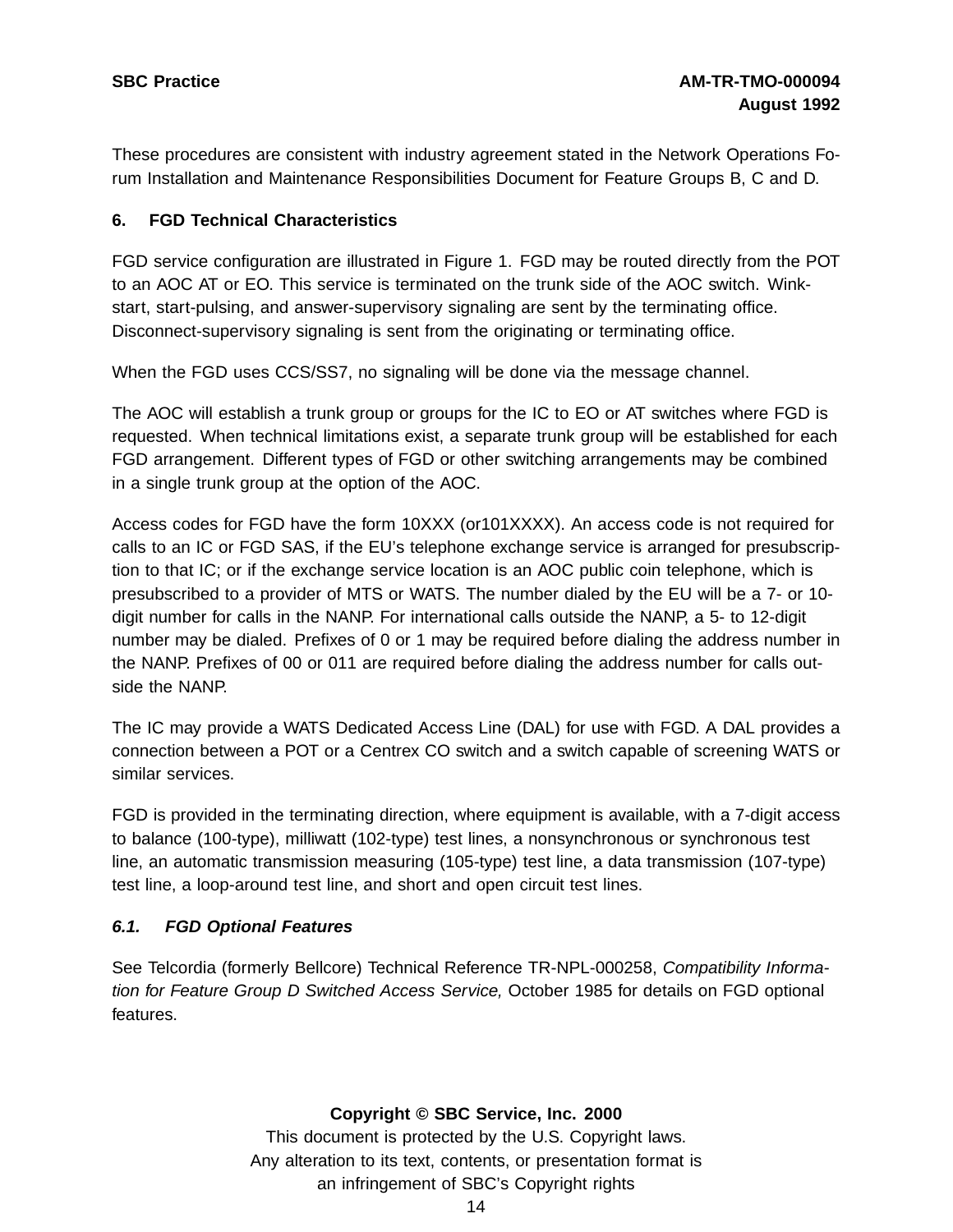These procedures are consistent with industry agreement stated in the Network Operations Forum Installation and Maintenance Responsibilities Document for Feature Groups B, C and D.

## **6. FGD Technical Characteristics**

FGD service configuration are illustrated in Figure 1. FGD may be routed directly from the POT to an AOC AT or EO. This service is terminated on the trunk side of the AOC switch. Winkstart, start-pulsing, and answer-supervisory signaling are sent by the terminating office. Disconnect-supervisory signaling is sent from the originating or terminating office.

When the FGD uses CCS/SS7, no signaling will be done via the message channel.

The AOC will establish a trunk group or groups for the IC to EO or AT switches where FGD is requested. When technical limitations exist, a separate trunk group will be established for each FGD arrangement. Different types of FGD or other switching arrangements may be combined in a single trunk group at the option of the AOC.

Access codes for FGD have the form 10XXX (or101XXXX). An access code is not required for calls to an IC or FGD SAS, if the EU's telephone exchange service is arranged for presubscription to that IC; or if the exchange service location is an AOC public coin telephone, which is presubscribed to a provider of MTS or WATS. The number dialed by the EU will be a 7- or 10 digit number for calls in the NANP. For international calls outside the NANP, a 5- to 12-digit number may be dialed. Prefixes of 0 or 1 may be required before dialing the address number in the NANP. Prefixes of 00 or 011 are required before dialing the address number for calls outside the NANP.

The IC may provide a WATS Dedicated Access Line (DAL) for use with FGD. A DAL provides a connection between a POT or a Centrex CO switch and a switch capable of screening WATS or similar services.

FGD is provided in the terminating direction, where equipment is available, with a 7-digit access to balance (100-type), milliwatt (102-type) test lines, a nonsynchronous or synchronous test line, an automatic transmission measuring (105-type) test line, a data transmission (107-type) test line, a loop-around test line, and short and open circuit test lines.

# **6.1. FGD Optional Features**

See Telcordia (formerly Bellcore) Technical Reference TR-NPL-000258, Compatibility Information for Feature Group D Switched Access Service, October 1985 for details on FGD optional features.

## **Copyright © SBC Service, Inc. 2000**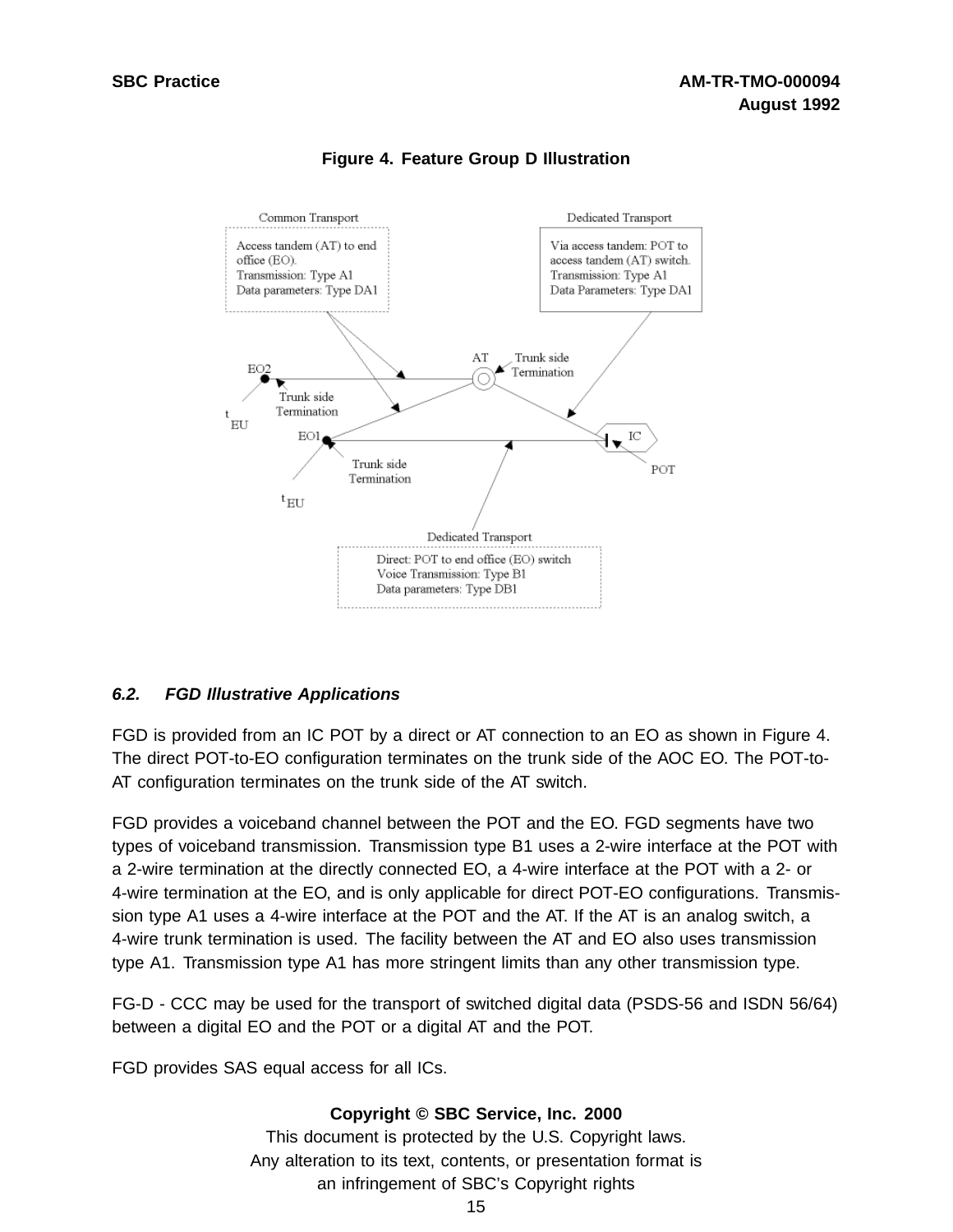

# **Figure 4. Feature Group D Illustration**

## **6.2. FGD Illustrative Applications**

FGD is provided from an IC POT by a direct or AT connection to an EO as shown in Figure 4. The direct POT-to-EO configuration terminates on the trunk side of the AOC EO. The POT-to-AT configuration terminates on the trunk side of the AT switch.

FGD provides a voiceband channel between the POT and the EO. FGD segments have two types of voiceband transmission. Transmission type B1 uses a 2-wire interface at the POT with a 2-wire termination at the directly connected EO, a 4-wire interface at the POT with a 2- or 4-wire termination at the EO, and is only applicable for direct POT-EO configurations. Transmission type A1 uses a 4-wire interface at the POT and the AT. If the AT is an analog switch, a 4-wire trunk termination is used. The facility between the AT and EO also uses transmission type A1. Transmission type A1 has more stringent limits than any other transmission type.

FG-D - CCC may be used for the transport of switched digital data (PSDS-56 and ISDN 56/64) between a digital EO and the POT or a digital AT and the POT.

FGD provides SAS equal access for all ICs.

## **Copyright © SBC Service, Inc. 2000**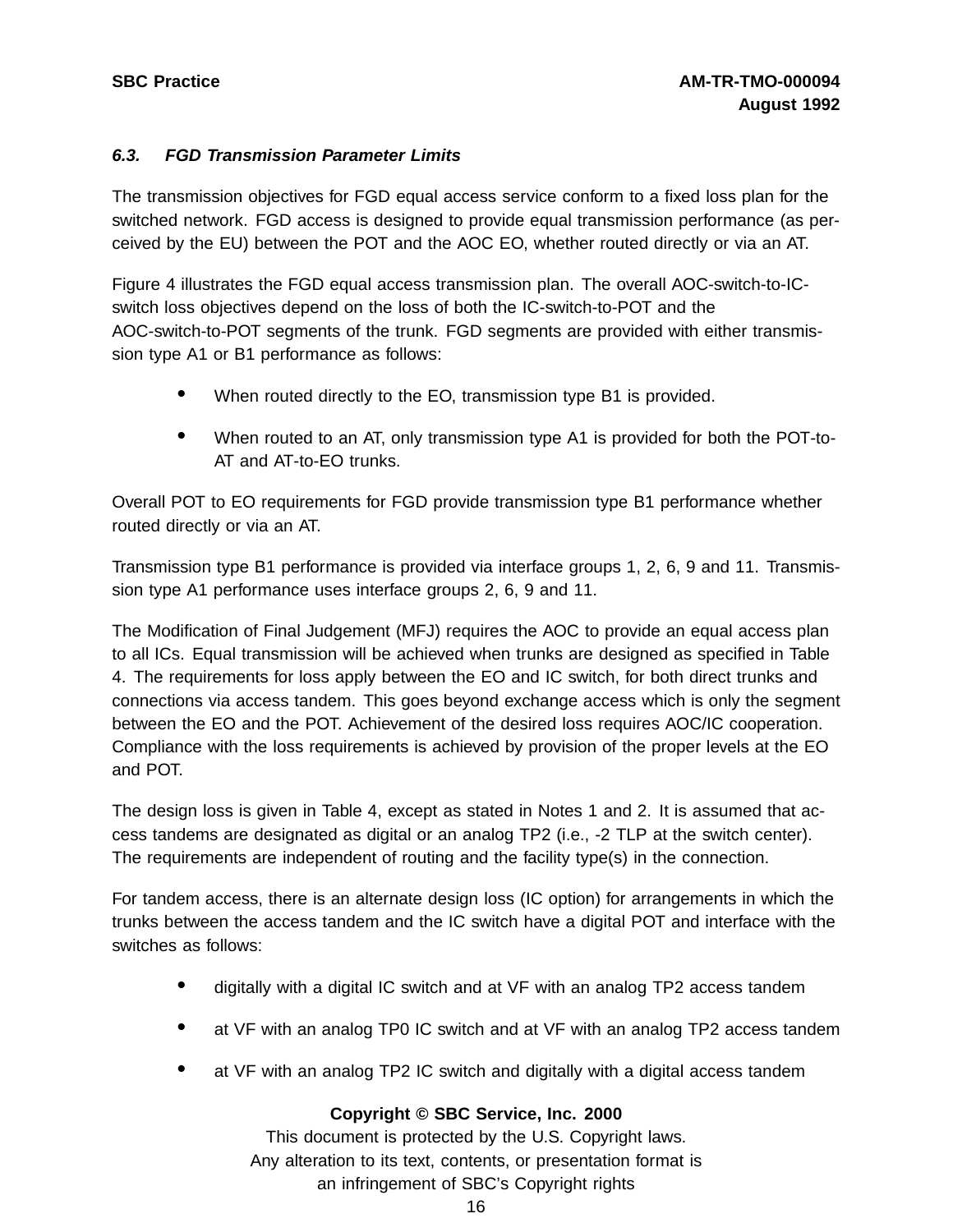# **6.3. FGD Transmission Parameter Limits**

The transmission objectives for FGD equal access service conform to a fixed loss plan for the switched network. FGD access is designed to provide equal transmission performance (as perceived by the EU) between the POT and the AOC EO, whether routed directly or via an AT.

Figure 4 illustrates the FGD equal access transmission plan. The overall AOC-switch-to-ICswitch loss objectives depend on the loss of both the IC-switch-to-POT and the AOC-switch-to-POT segments of the trunk. FGD segments are provided with either transmission type A1 or B1 performance as follows:

- When routed directly to the EO, transmission type B1 is provided.
- When routed to an AT, only transmission type A1 is provided for both the POT-to-AT and AT-to-EO trunks.

Overall POT to EO requirements for FGD provide transmission type B1 performance whether routed directly or via an AT.

Transmission type B1 performance is provided via interface groups 1, 2, 6, 9 and 11. Transmission type A1 performance uses interface groups 2, 6, 9 and 11.

The Modification of Final Judgement (MFJ) requires the AOC to provide an equal access plan to all ICs. Equal transmission will be achieved when trunks are designed as specified in Table 4. The requirements for loss apply between the EO and IC switch, for both direct trunks and connections via access tandem. This goes beyond exchange access which is only the segment between the EO and the POT. Achievement of the desired loss requires AOC/IC cooperation. Compliance with the loss requirements is achieved by provision of the proper levels at the EO and POT.

The design loss is given in Table 4, except as stated in Notes 1 and 2. It is assumed that access tandems are designated as digital or an analog TP2 (i.e., -2 TLP at the switch center). The requirements are independent of routing and the facility type(s) in the connection.

For tandem access, there is an alternate design loss (IC option) for arrangements in which the trunks between the access tandem and the IC switch have a digital POT and interface with the switches as follows:

- digitally with <sup>a</sup> digital IC switch and at VF with an analog TP2 access tandem
- at VF with an analog TP0 IC switch and at VF with an analog TP2 access tandem
- at VF with an analog TP2 IC switch and digitally with a digital access tandem

# **Copyright © SBC Service, Inc. 2000**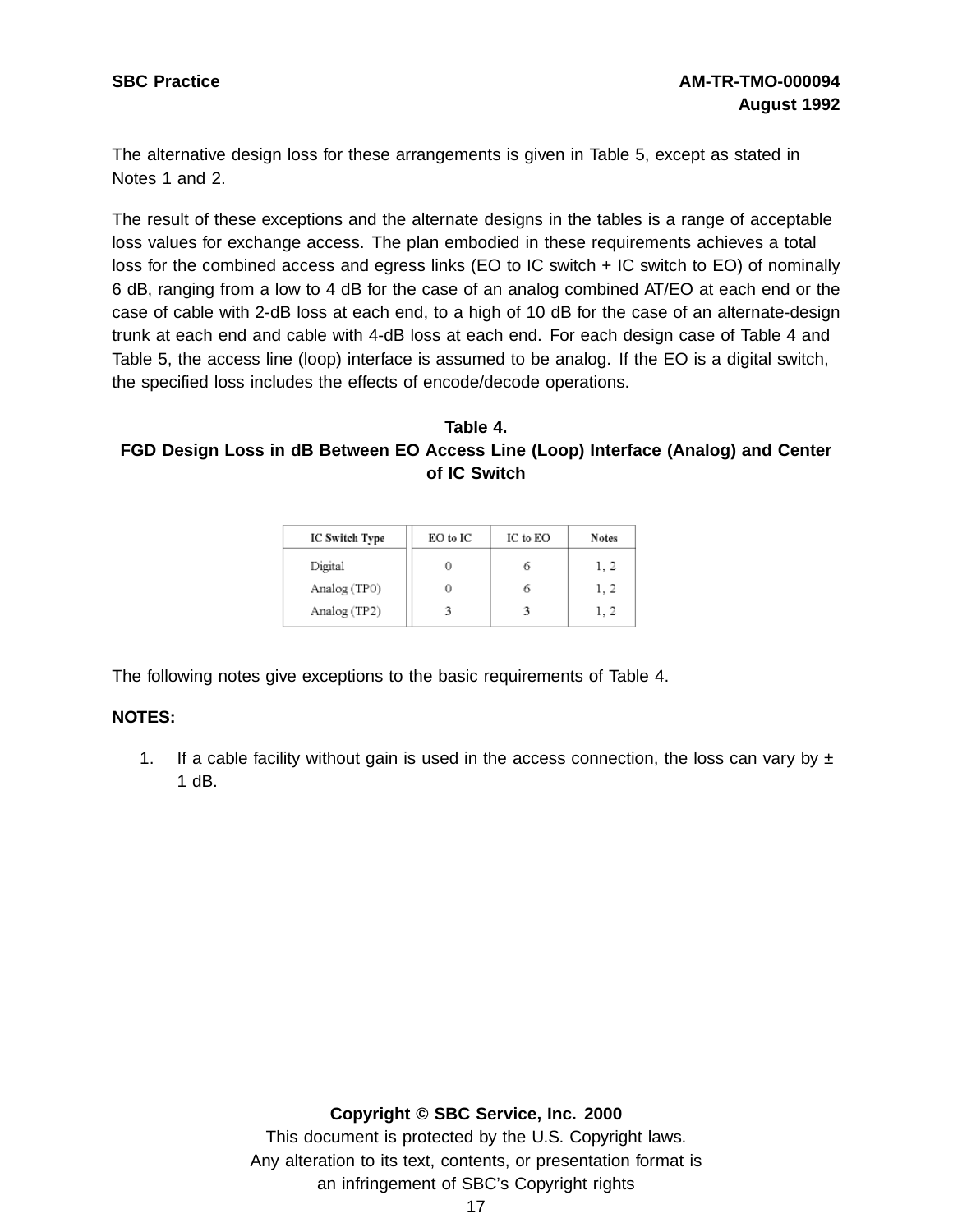The alternative design loss for these arrangements is given in Table 5, except as stated in Notes 1 and 2.

The result of these exceptions and the alternate designs in the tables is a range of acceptable loss values for exchange access. The plan embodied in these requirements achieves a total loss for the combined access and egress links (EO to IC switch + IC switch to EO) of nominally 6 dB, ranging from a low to 4 dB for the case of an analog combined AT/EO at each end or the case of cable with 2-dB loss at each end, to a high of 10 dB for the case of an alternate-design trunk at each end and cable with 4-dB loss at each end. For each design case of Table 4 and Table 5, the access line (loop) interface is assumed to be analog. If the EO is a digital switch, the specified loss includes the effects of encode/decode operations.

# **Table 4. FGD Design Loss in dB Between EO Access Line (Loop) Interface (Analog) and Center of IC Switch**

| IC Switch Type | EO to IC | IC to EO | Notes |
|----------------|----------|----------|-------|
| Digital        |          |          | 1, 2  |
| Analog (TPO)   |          |          | 1.2   |
| Analog (TP2)   |          |          | 1. 2  |

The following notes give exceptions to the basic requirements of Table 4.

# **NOTES:**

1. If a cable facility without gain is used in the access connection, the loss can vary by  $\pm$ 1 dB.

## **Copyright © SBC Service, Inc. 2000**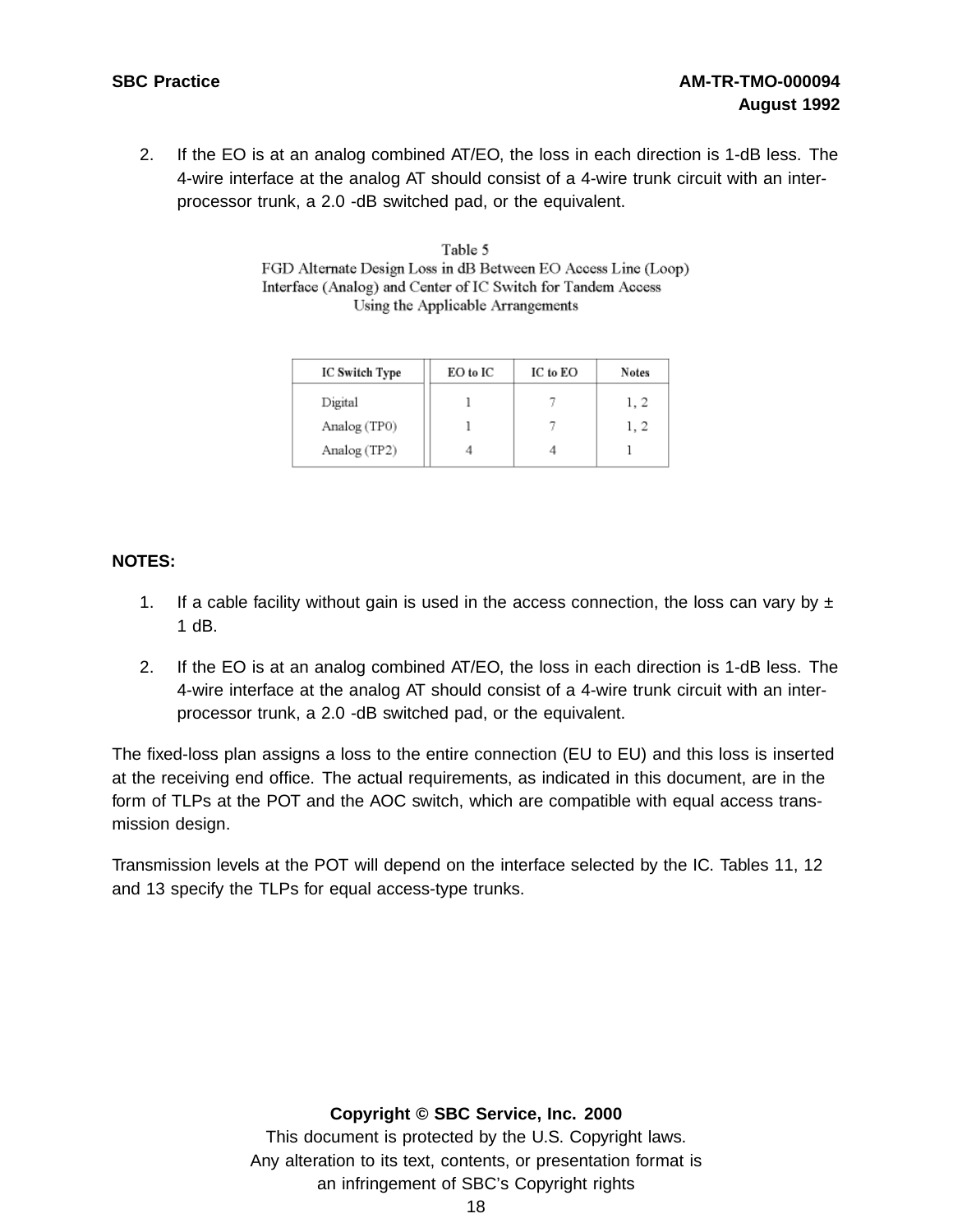2. If the EO is at an analog combined AT/EO, the loss in each direction is 1-dB less. The 4-wire interface at the analog AT should consist of a 4-wire trunk circuit with an interprocessor trunk, a 2.0 -dB switched pad, or the equivalent.

> Table 5 FGD Alternate Design Loss in dB Between EO Access Line (Loop) Interface (Analog) and Center of IC Switch for Tandem Access Using the Applicable Arrangements

| IC Switch Type | EO to IC | IC to EO | Notes |
|----------------|----------|----------|-------|
| Digital        |          |          | 1, 2  |
| Analog (TPO)   |          |          | 1. 2  |
| Analog (TP2)   |          |          |       |

## **NOTES:**

- 1. If a cable facility without gain is used in the access connection, the loss can vary by  $\pm$ 1 dB.
- 2. If the EO is at an analog combined AT/EO, the loss in each direction is 1-dB less. The 4-wire interface at the analog AT should consist of a 4-wire trunk circuit with an interprocessor trunk, a 2.0 -dB switched pad, or the equivalent.

The fixed-loss plan assigns a loss to the entire connection (EU to EU) and this loss is inserted at the receiving end office. The actual requirements, as indicated in this document, are in the form of TLPs at the POT and the AOC switch, which are compatible with equal access transmission design.

Transmission levels at the POT will depend on the interface selected by the IC. Tables 11, 12 and 13 specify the TLPs for equal access-type trunks.

#### **Copyright © SBC Service, Inc. 2000**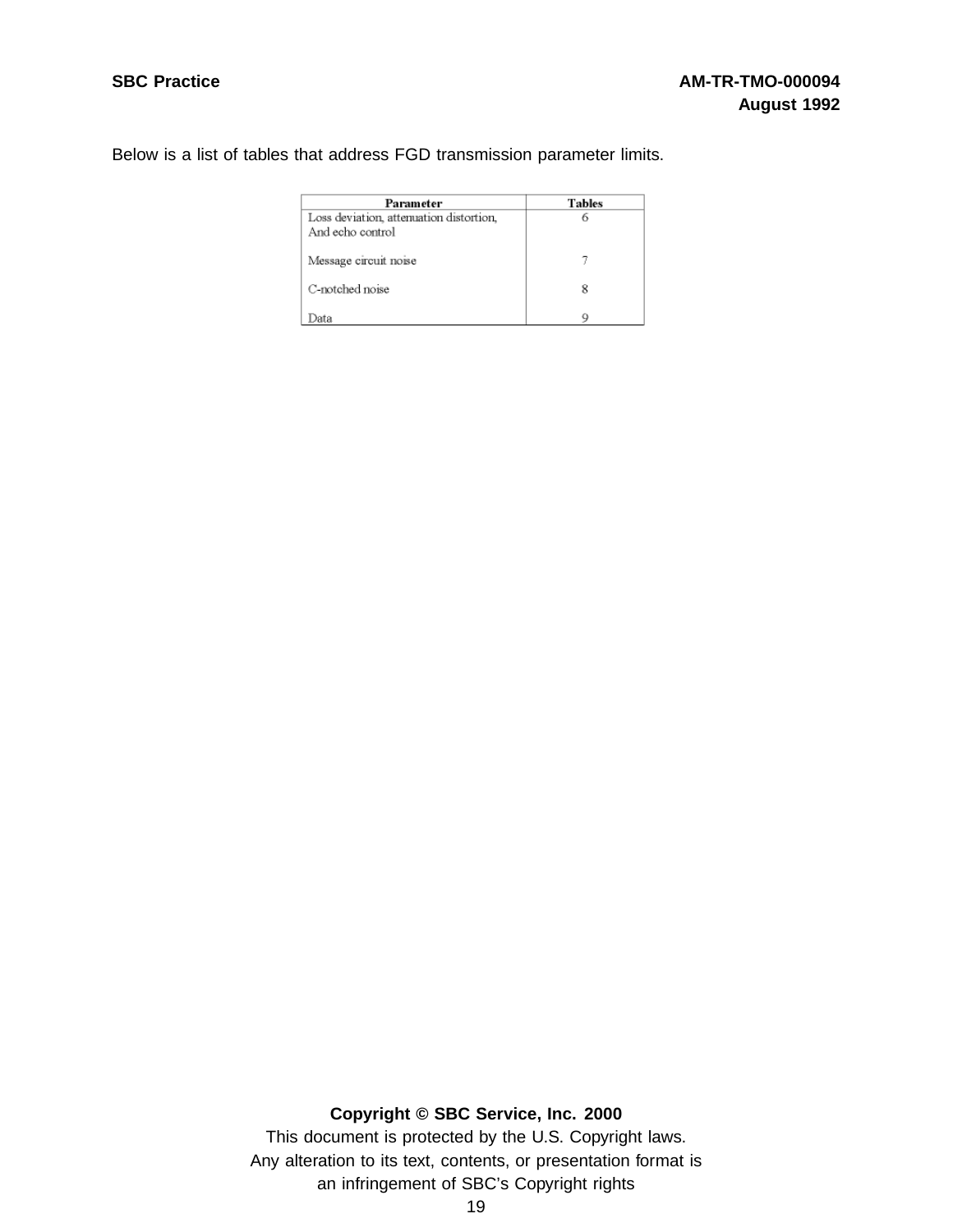Below is a list of tables that address FGD transmission parameter limits.

| Parameter                                                   | Tables |
|-------------------------------------------------------------|--------|
| Loss deviation, attenuation distortion,<br>And echo control |        |
| Message circuit noise                                       |        |
| C-notched noise                                             | 8      |
| )ata                                                        |        |

# **Copyright © SBC Service, Inc. 2000**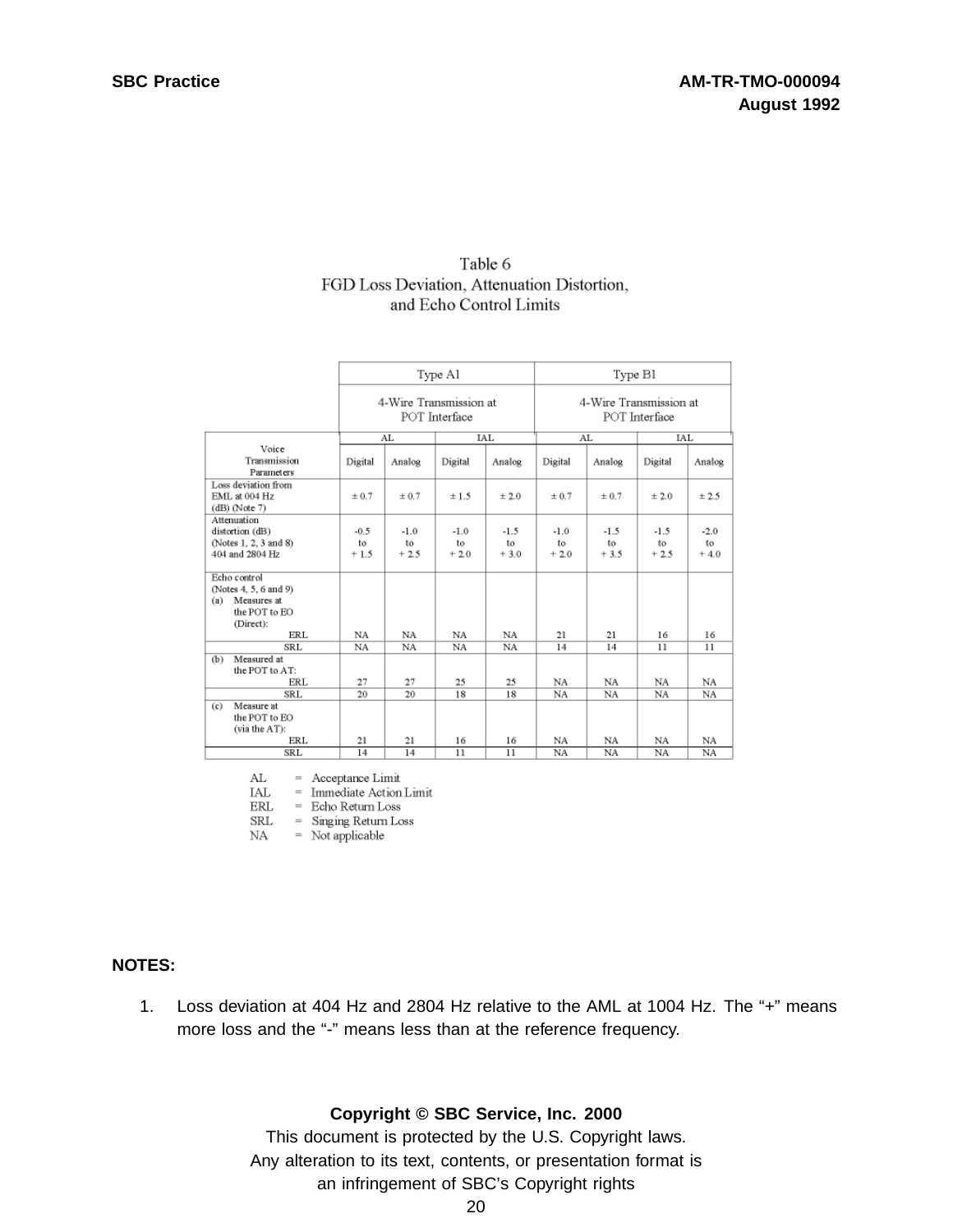#### Table 6 FGD Loss Deviation, Attenuation Distortion, and Echo Control Limits

|                                                                            |                                                                                                              |                        | Type Al                                 |                        |                        | Type B1                |                                         |                        |                        |  |
|----------------------------------------------------------------------------|--------------------------------------------------------------------------------------------------------------|------------------------|-----------------------------------------|------------------------|------------------------|------------------------|-----------------------------------------|------------------------|------------------------|--|
|                                                                            |                                                                                                              |                        | 4-Wire Transmission at<br>POT Interface |                        |                        |                        | 4-Wire Transmission at<br>POT Interface |                        |                        |  |
|                                                                            |                                                                                                              |                        | AL                                      |                        | <b>IAL</b>             |                        | AL                                      | <b>IAL</b>             |                        |  |
|                                                                            | Voice<br>Transmission<br>Parameters                                                                          | Digital                | Analog                                  | Digital                | Analog                 | Digital                | Analog                                  | Digital                | Analog                 |  |
|                                                                            | Loss deviation from<br>EML at 004 Hz<br>$(dB)$ (Note 7)                                                      | ± 0.7                  | ± 0.7                                   | ±1.5                   | ±2.0                   | ± 0.7                  | ± 0.7                                   | ±2.0                   | ± 2.5                  |  |
| Attenuation<br>distortion (dB)<br>(Notes 1, 2, 3 and 8)<br>404 and 2804 Hz |                                                                                                              | $-0.5$<br>to<br>$+1.5$ | $-1.0$<br>to<br>$+2.5$                  | $-1.0$<br>to<br>$+2.0$ | $-1.5$<br>to<br>$+3.0$ | $-1.0$<br>to<br>$+2.0$ | $-1.5$<br>to<br>$+3.5$                  | $-1.5$<br>to<br>$+2.5$ | $-2.0$<br>to<br>$+4.0$ |  |
|                                                                            | Echo control<br>(Notes 4, 5, 6 and 9)<br>(a) Measures at<br>the POT to EO<br>(Direct):<br>ERL.<br><b>SRL</b> | NA.<br>NA              | NA<br>NA                                | <b>NA</b><br>NA        | NA<br>NA               | 21<br>14               | 21<br>14                                | 16<br>11               | 16<br>11               |  |
| (b)                                                                        | Measured at<br>the POT to AT:<br>ERL.                                                                        | 27                     | 27                                      | 25                     | 25                     | NA                     | NA                                      | NA                     | NA                     |  |
| (c)                                                                        | SRL<br>Measure at<br>the POT to EO<br>(via the AT):                                                          | 20                     | 20                                      | 18                     | 18                     | NA                     | NA                                      | NA                     | NA                     |  |
|                                                                            | ERL                                                                                                          | 21                     | 21                                      | 16                     | 16                     | <b>NA</b>              | NA                                      | <b>NA</b>              | NA                     |  |
|                                                                            | <b>SRL</b>                                                                                                   | 14                     | 14                                      | 11                     | 11                     | NA                     | NA                                      | NA                     | NA                     |  |

AL = Acceptance Limit

Taxable<br>
IAL = Immediate Action Limit<br>
ERL = Echo Return Loss<br>
SRL = Singing Return Loss<br>
NA = Not applicable

#### **NOTES:**

1. Loss deviation at 404 Hz and 2804 Hz relative to the AML at 1004 Hz. The "+" means more loss and the "-" means less than at the reference frequency.

#### **Copyright © SBC Service, Inc. 2000**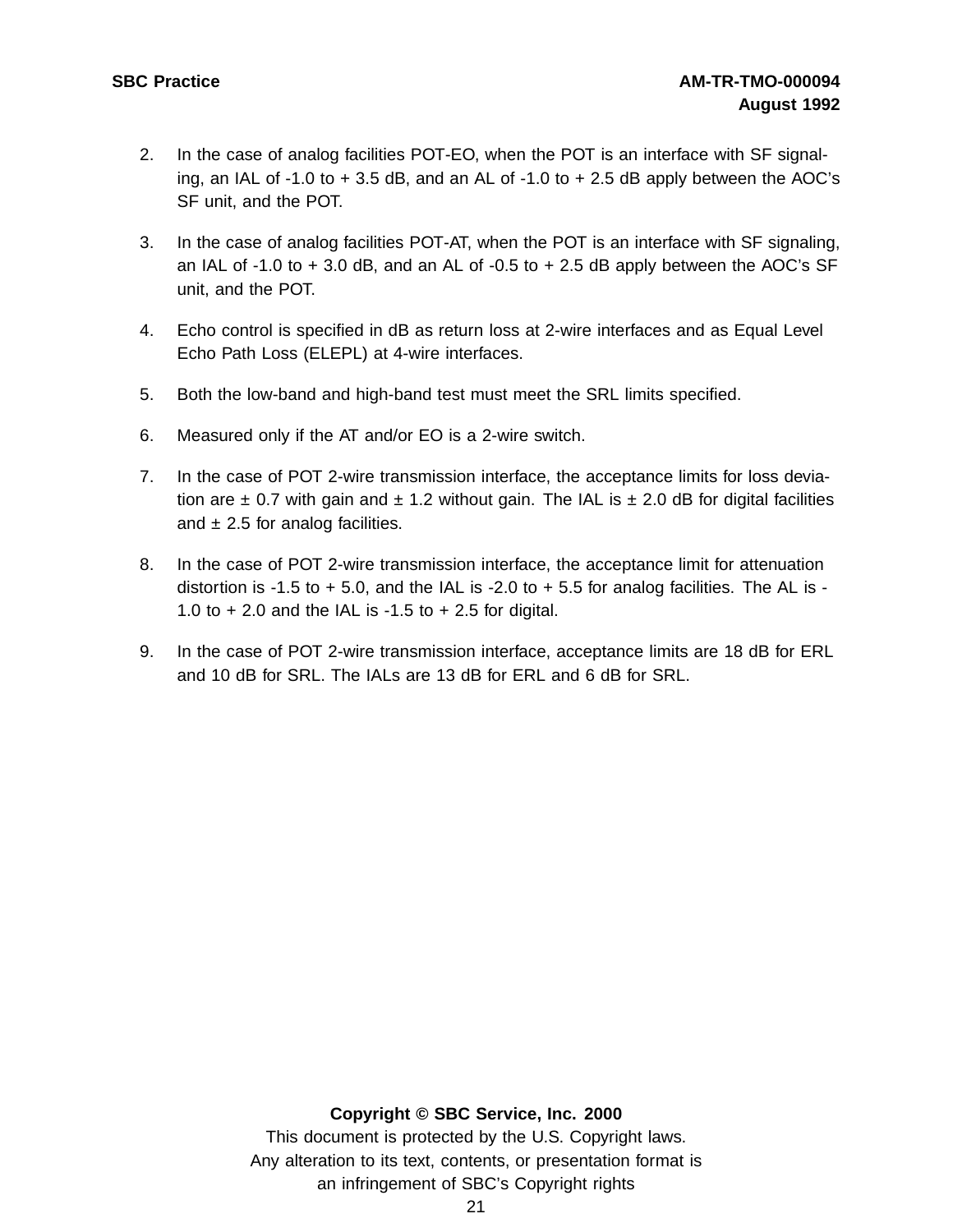- 2. In the case of analog facilities POT-EO, when the POT is an interface with SF signaling, an IAL of -1.0 to  $+$  3.5 dB, and an AL of -1.0 to  $+$  2.5 dB apply between the AOC's SF unit, and the POT.
- 3. In the case of analog facilities POT-AT, when the POT is an interface with SF signaling, an IAL of -1.0 to  $+$  3.0 dB, and an AL of -0.5 to  $+$  2.5 dB apply between the AOC's SF unit, and the POT.
- 4. Echo control is specified in dB as return loss at 2-wire interfaces and as Equal Level Echo Path Loss (ELEPL) at 4-wire interfaces.
- 5. Both the low-band and high-band test must meet the SRL limits specified.
- 6. Measured only if the AT and/or EO is a 2-wire switch.
- 7. In the case of POT 2-wire transmission interface, the acceptance limits for loss deviation are  $\pm$  0.7 with gain and  $\pm$  1.2 without gain. The IAL is  $\pm$  2.0 dB for digital facilities and  $\pm$  2.5 for analog facilities.
- 8. In the case of POT 2-wire transmission interface, the acceptance limit for attenuation distortion is -1.5 to  $+$  5.0, and the IAL is -2.0 to  $+$  5.5 for analog facilities. The AL is -1.0 to  $+ 2.0$  and the IAL is -1.5 to  $+ 2.5$  for digital.
- 9. In the case of POT 2-wire transmission interface, acceptance limits are 18 dB for ERL and 10 dB for SRL. The IALs are 13 dB for ERL and 6 dB for SRL.

#### **Copyright © SBC Service, Inc. 2000**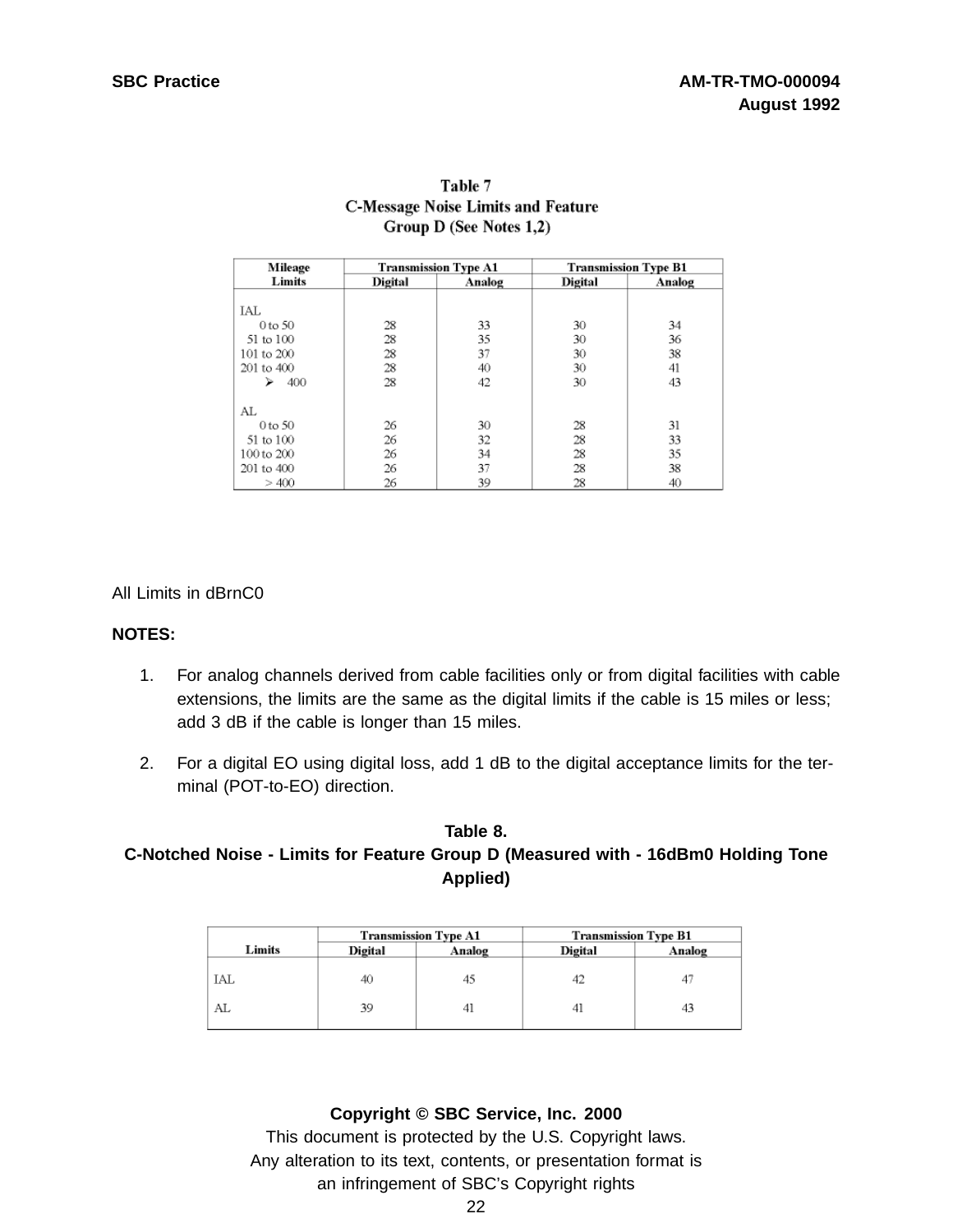| Mileage    |         | <b>Transmission Type A1</b> | <b>Transmission Type B1</b> |        |  |  |
|------------|---------|-----------------------------|-----------------------------|--------|--|--|
| Limits     | Digital | Analog                      | Digital                     | Analog |  |  |
|            |         |                             |                             |        |  |  |
| IAL        |         |                             |                             |        |  |  |
| 0 to 50    | 28      | 33                          | 30                          | 34     |  |  |
| 51 to 100  | 28      | 35                          | 30                          | 36     |  |  |
| 101 to 200 | 28      | 37                          | 30                          | 38     |  |  |
| 201 to 400 | 28      |                             | 30                          | 41     |  |  |
| 400<br>⋗   | 28      | 42                          | 30                          | 43     |  |  |
|            |         |                             |                             |        |  |  |
| AL         |         |                             |                             |        |  |  |
| 0 to 50    | 26      | 30                          | 28                          | 31     |  |  |
| 51 to 100  | 26      | 32                          | 28                          | 33     |  |  |
| 100 to 200 | 26      | 34                          | 28                          | 35     |  |  |
| 201 to 400 | 26      | 37                          | 28                          | 38     |  |  |
| >400       | 26      | 39                          | 28                          | 40     |  |  |

#### Table 7 **C-Message Noise Limits and Feature** Group D (See Notes 1,2)

All Limits in dBrnC0

## **NOTES:**

- 1. For analog channels derived from cable facilities only or from digital facilities with cable extensions, the limits are the same as the digital limits if the cable is 15 miles or less; add 3 dB if the cable is longer than 15 miles.
- 2. For a digital EO using digital loss, add 1 dB to the digital acceptance limits for the terminal (POT-to-EO) direction.

# **Table 8.**

# **C-Notched Noise - Limits for Feature Group D (Measured with - 16dBm0 Holding Tone Applied)**

|        |         | <b>Transmission Type A1</b> | <b>Transmission Type B1</b> |        |  |
|--------|---------|-----------------------------|-----------------------------|--------|--|
| Limits | Digital | Analog                      | Digital                     | Analog |  |
| IAL    | 40      | 45                          | 42                          | 47     |  |
| AL     | 39      | 4 <sub>1</sub>              | 41                          | 43     |  |

## **Copyright © SBC Service, Inc. 2000**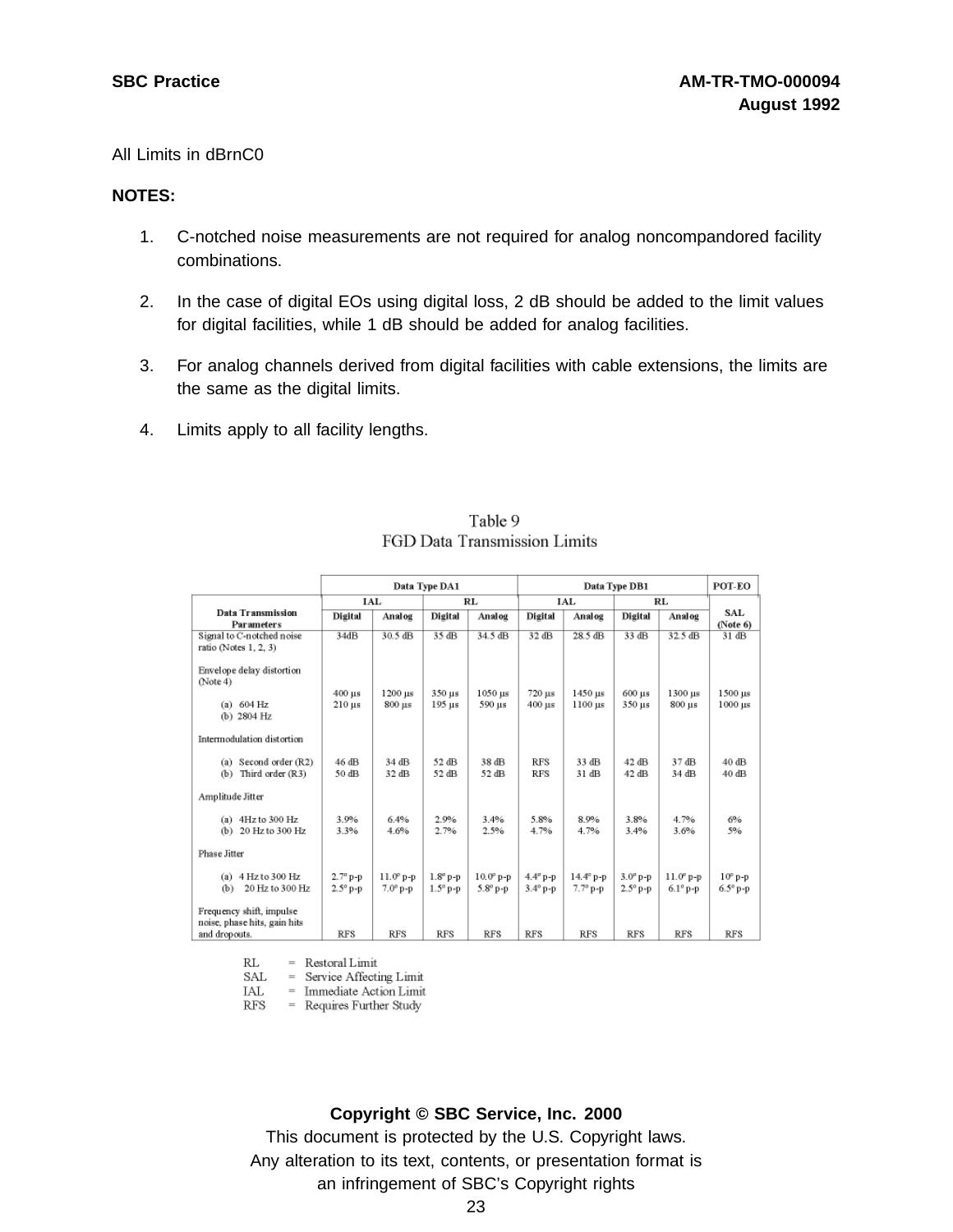#### All Limits in dBrnC0

#### **NOTES:**

- 1. C-notched noise measurements are not required for analog noncompandored facility combinations.
- 2. In the case of digital EOs using digital loss, 2 dB should be added to the limit values for digital facilities, while 1 dB should be added for analog facilities.
- 3. For analog channels derived from digital facilities with cable extensions, the limits are the same as the digital limits.
- 4. Limits apply to all facility lengths.

|                                                                           | Data Type DA1                          |                                         |                                     | Data Type DB1                         |                                        |                                          |                                    | POT-EO                               |                                                       |
|---------------------------------------------------------------------------|----------------------------------------|-----------------------------------------|-------------------------------------|---------------------------------------|----------------------------------------|------------------------------------------|------------------------------------|--------------------------------------|-------------------------------------------------------|
|                                                                           |                                        | <b>IAL</b>                              | RL                                  |                                       |                                        | <b>IAL</b>                               |                                    | RL                                   |                                                       |
| Data Transmission<br>Parameters                                           | Digital                                | Analog                                  | Digital                             | Analog                                | Digital                                | Analog                                   | Digital                            | Analog                               | <b>SAL</b><br>(Note 6)                                |
| Signal to C-notched noise<br>ratio (Notes 1, 2, 3)                        | 34dB                                   | 30.5 dB                                 | 35 dB                               | 34.5 dB                               | 32 dB                                  | 28.5 dB                                  | 33 dB                              | 32.5 dB                              | 31 dB                                                 |
| Envelope delay distortion<br>(Note 4)                                     |                                        |                                         |                                     |                                       |                                        |                                          |                                    |                                      |                                                       |
| (a) 604 Hz<br>(b) 2804 Hz                                                 | $400$ us<br>210 <sub>us</sub>          | 1200 us<br>$800 \ \mu s$                | 350 us<br>$195 \text{ }\mu\text{s}$ | $1050$ $\mu$ s<br>590 us              | 720 us<br>$400 \ \mu s$                | 1450 us<br>$1100$ us                     | 600 us<br>350 us                   | 1300 us<br>$800 \text{ }\mu\text{s}$ | $1500 \,\mathrm{\mu s}$<br>$1000 \text{ }\mu\text{s}$ |
| Intermodulation distortion                                                |                                        |                                         |                                     |                                       |                                        |                                          |                                    |                                      |                                                       |
| Second order (R2)<br>(a)<br>Third order (R3)<br>(b)                       | 46 dB<br>50 dB                         | 34 dB<br>32 dB                          | 52 dB<br>52 dB                      | 38 dB<br>52 dB                        | <b>RFS</b><br><b>RFS</b>               | 33 dB<br>31 dB                           | $42 \text{ dB}$<br>42dB            | 37dB<br>34 dB                        | 40 dB<br>40dB                                         |
| Amplitude Jitter                                                          |                                        |                                         |                                     |                                       |                                        |                                          |                                    |                                      |                                                       |
| 4Hz to 300 Hz<br>(a)<br>20 Hz to 300 Hz<br>(b)                            | 3.9%<br>3.3%                           | 6.4%<br>4.6%                            | 2.9%<br>2.7%                        | 3.4%<br>2.5%                          | 5.8%<br>4.7%                           | 8.9%<br>4.7%                             | 3.8%<br>3.4%                       | 4.7%<br>3.6%                         | 6%<br>5%                                              |
| <b>Phase Jitter</b>                                                       |                                        |                                         |                                     |                                       |                                        |                                          |                                    |                                      |                                                       |
| 4 Hz to 300 Hz<br>(a)<br>(b)<br>20 Hz to 300 Hz                           | $2.7^{\circ}$ p-p<br>$2.5^{\circ}$ p-p | $11.0^{\circ}$ p-p<br>$7.0^{\circ}$ p-p | $1.8a$ p-p<br>$1.5^{\circ}$ p-p     | $10.0^{\circ}$ p-p<br>$5.8^\circ$ p-p | $4.4^{\circ}$ p-p<br>$3.4^{\circ}$ p-p | $14.4^{\circ}$ p-p<br>$7.7^{\circ}$ p-p. | $3.0^{p}$ p-p<br>$2.5^{\circ}$ p-p | $11.0e$ p-p<br>$6.1^{\circ}$ p-p     | $10^{\circ}$ p-p<br>$6.5^{\circ}$ p-p                 |
| Frequency shift, impulse<br>noise, phase hits, gain hits<br>and dropouts. | <b>RFS</b>                             | <b>RFS</b>                              | <b>RFS</b>                          | <b>RFS</b>                            | <b>RFS</b>                             | <b>RFS</b>                               | <b>RFS</b>                         | <b>RFS</b>                           | <b>RFS</b>                                            |
|                                                                           |                                        |                                         |                                     |                                       |                                        |                                          |                                    |                                      |                                                       |

| Table 9                      |  |
|------------------------------|--|
| FGD Data Transmission Limits |  |

RL = Restoral Limit<br>
SAL = Service Affecting Limit<br>
IAL = Immediate Action Limit<br>
RFS = Requires Further Study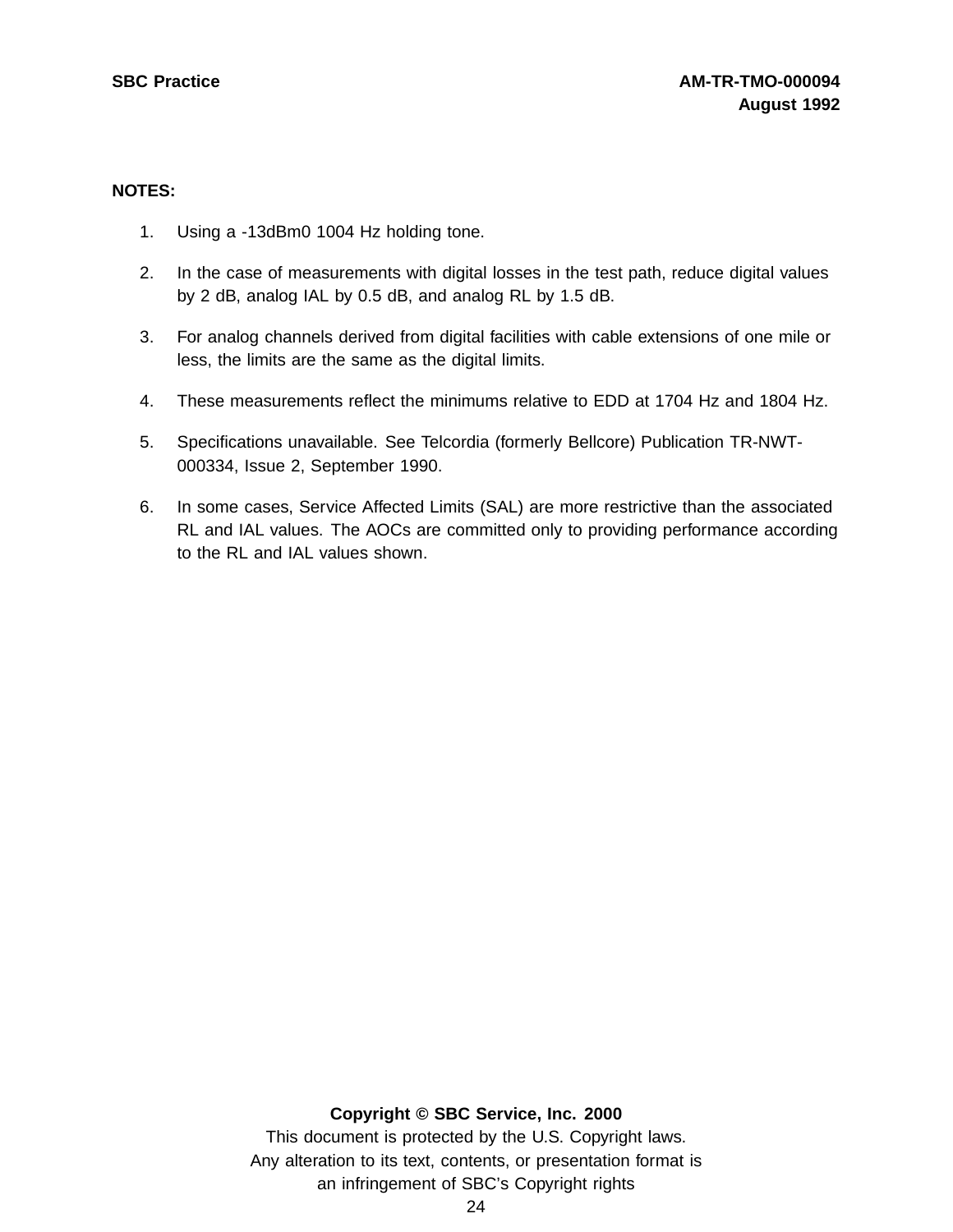# **NOTES:**

- 1. Using a -13dBm0 1004 Hz holding tone.
- 2. In the case of measurements with digital losses in the test path, reduce digital values by 2 dB, analog IAL by 0.5 dB, and analog RL by 1.5 dB.
- 3. For analog channels derived from digital facilities with cable extensions of one mile or less, the limits are the same as the digital limits.
- 4. These measurements reflect the minimums relative to EDD at 1704 Hz and 1804 Hz.
- 5. Specifications unavailable. See Telcordia (formerly Bellcore) Publication TR-NWT-000334, Issue 2, September 1990.
- 6. In some cases, Service Affected Limits (SAL) are more restrictive than the associated RL and IAL values. The AOCs are committed only to providing performance according to the RL and IAL values shown.

## **Copyright © SBC Service, Inc. 2000**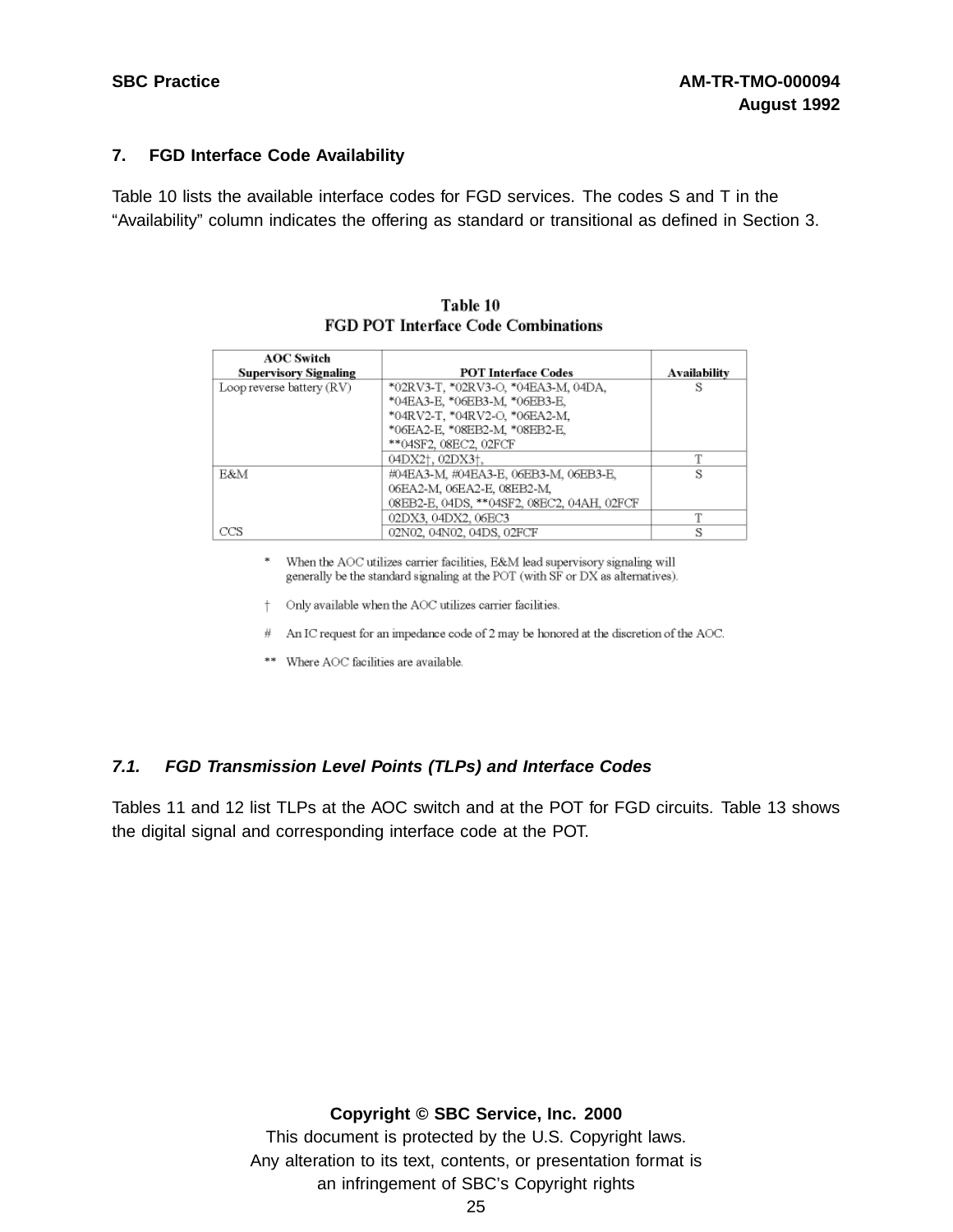## **7. FGD Interface Code Availability**

Table 10 lists the available interface codes for FGD services. The codes S and T in the "Availability" column indicates the offering as standard or transitional as defined in Section 3.

| <b>AOC Switch</b>            |                                            |              |
|------------------------------|--------------------------------------------|--------------|
| <b>Supervisory Signaling</b> | <b>POT Interface Codes</b>                 | Availability |
| Loop reverse battery (RV)    | *02RV3-T, *02RV3-O, *04EA3-M, 04DA,        |              |
|                              | *04EA3-E, *06EB3-M, *06EB3-E,              |              |
|                              | *04RV2-T, *04RV2-O, *06EA2-M,              |              |
|                              | *06EA2-E, *08EB2-M, *08EB2-E,              |              |
|                              | **04SF2, 08EC2, 02FCF                      |              |
|                              | 04DX2†, 02DX3†,                            |              |
| E&M                          | #04EA3-M. #04EA3-E, 06EB3-M, 06EB3-E,      | S            |
|                              | 06EA2-M. 06EA2-E. 08EB2-M.                 |              |
|                              | 08EB2-E, 04DS, **04SF2, 08EC2, 04AH, 02FCF |              |
|                              | 02DX3, 04DX2, 06EC3                        |              |
| CCS                          | 02N02, 04N02, 04DS, 02FCF                  | S            |

Table 10 **FGD POT Interface Code Combinations** 

\* When the AOC utilizes carrier facilities, E&M lead supervisory signaling will generally be the standard signaling at the POT (with SF or DX as alternatives).

- | Only available when the AOC utilizes carrier facilities.
- $\#$  An IC request for an impedance code of 2 may be honored at the discretion of the AOC.
- \*\* Where AOC facilities are available.

## **7.1. FGD Transmission Level Points (TLPs) and Interface Codes**

Tables 11 and 12 list TLPs at the AOC switch and at the POT for FGD circuits. Table 13 shows the digital signal and corresponding interface code at the POT.

**Copyright © SBC Service, Inc. 2000**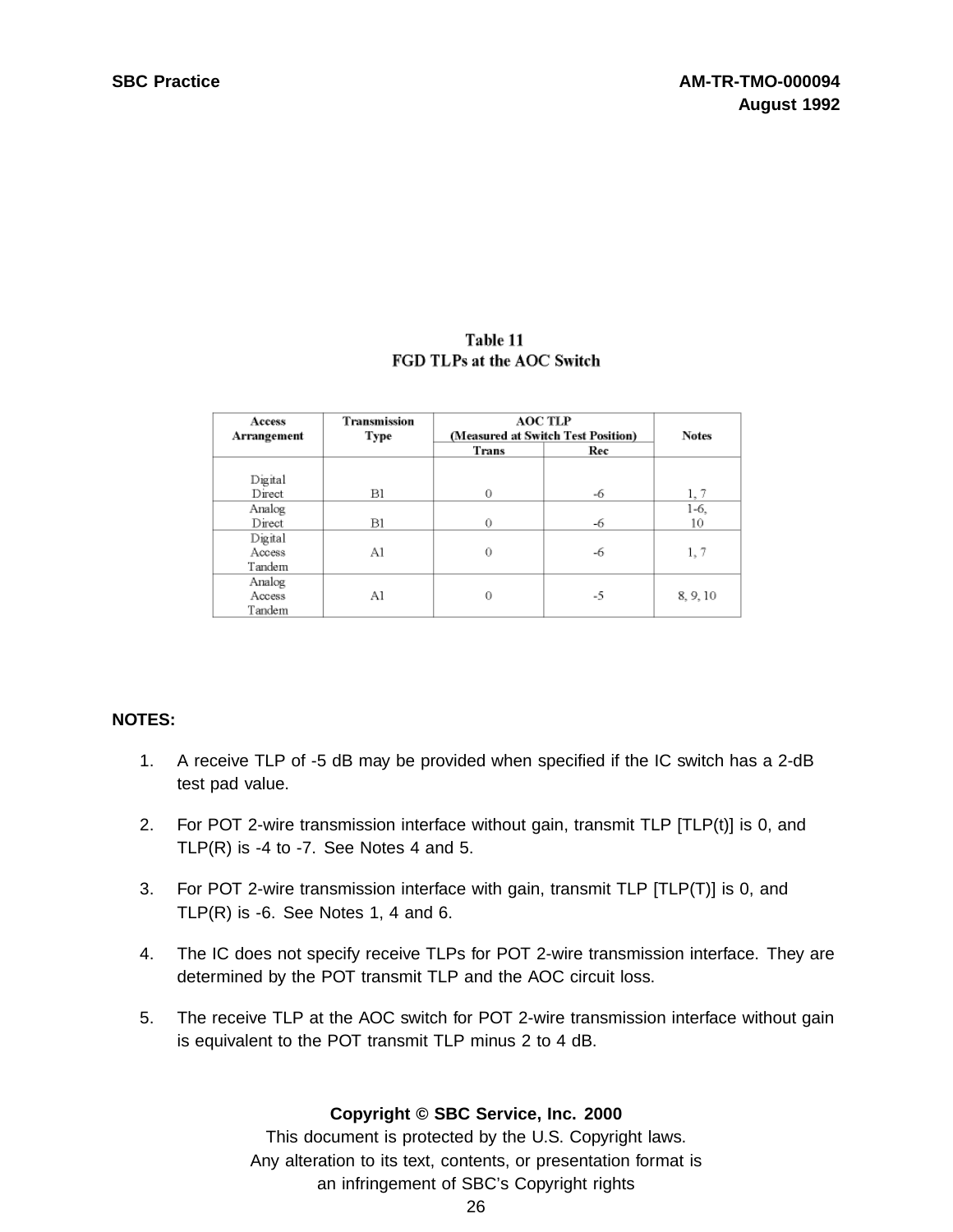## Table 11 FGD TLPs at the AOC Switch

| Access<br>Arrangement | Transmission<br>Type | AOC TLP<br>(Measured at Switch Test Position) |     | <b>Notes</b> |
|-----------------------|----------------------|-----------------------------------------------|-----|--------------|
|                       |                      | Trans                                         | Rec |              |
|                       |                      |                                               |     |              |
| Digital               |                      |                                               |     |              |
| Direct                | Вl                   | $\Omega$                                      | -6  | 1, 7         |
| Analog                |                      |                                               |     | $1-6$ ,      |
| Direct                | B1                   | 0                                             | -6  | 10           |
| Digital               |                      |                                               |     |              |
| Access                | A1                   | 0                                             | -6  | 1, 7         |
| Tandem                |                      |                                               |     |              |
| Analog                |                      |                                               |     |              |
| Access                | Al                   | $\Omega$                                      | -5  | 8, 9, 10     |
| Tandem                |                      |                                               |     |              |

## **NOTES:**

- 1. A receive TLP of -5 dB may be provided when specified if the IC switch has a 2-dB test pad value.
- 2. For POT 2-wire transmission interface without gain, transmit TLP [TLP(t)] is 0, and TLP(R) is -4 to -7. See Notes 4 and 5.
- 3. For POT 2-wire transmission interface with gain, transmit TLP [TLP(T)] is 0, and TLP(R) is -6. See Notes 1, 4 and 6.
- 4. The IC does not specify receive TLPs for POT 2-wire transmission interface. They are determined by the POT transmit TLP and the AOC circuit loss.
- 5. The receive TLP at the AOC switch for POT 2-wire transmission interface without gain is equivalent to the POT transmit TLP minus 2 to 4 dB.

## **Copyright © SBC Service, Inc. 2000**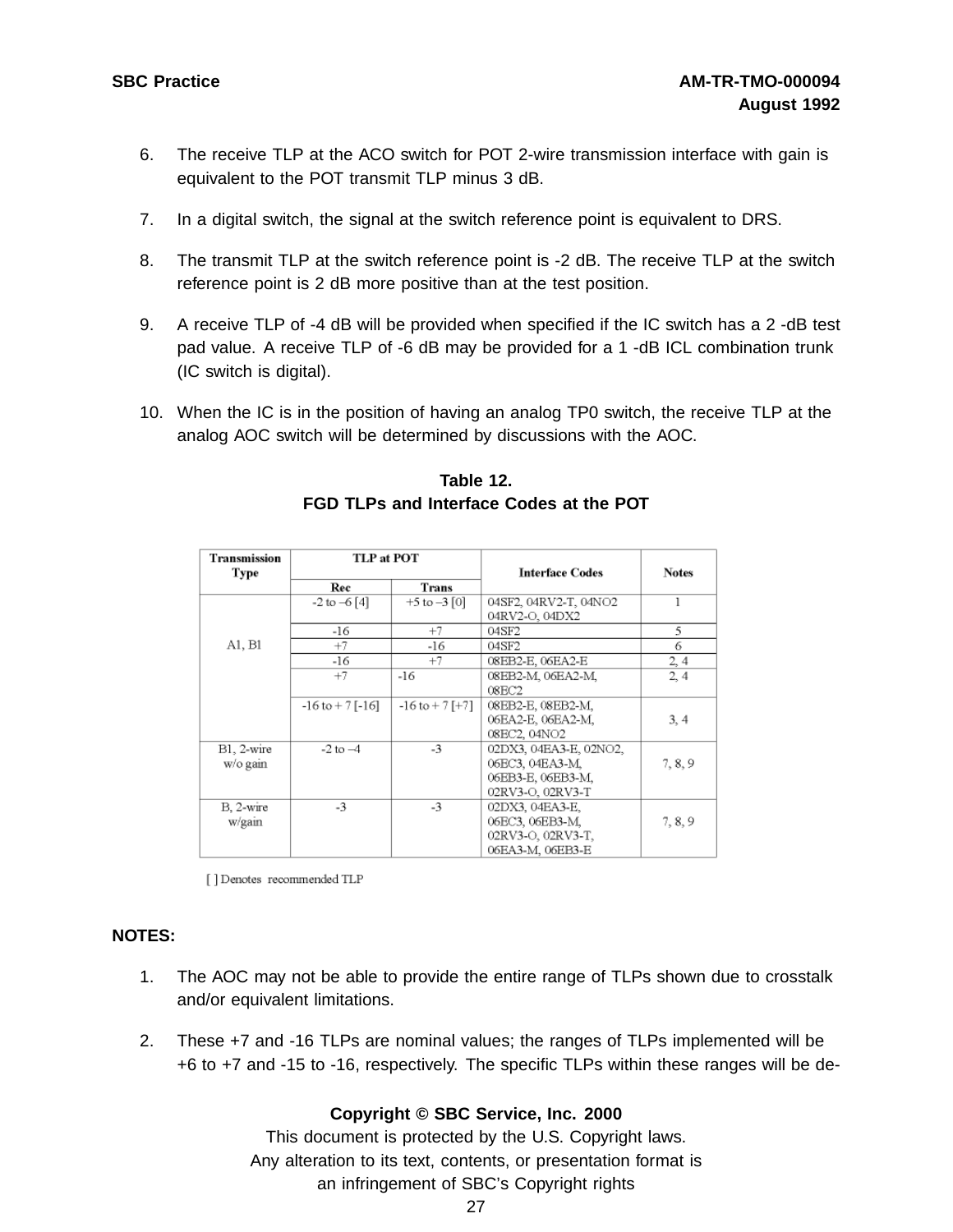- 6. The receive TLP at the ACO switch for POT 2-wire transmission interface with gain is equivalent to the POT transmit TLP minus 3 dB.
- 7. In a digital switch, the signal at the switch reference point is equivalent to DRS.
- 8. The transmit TLP at the switch reference point is -2 dB. The receive TLP at the switch reference point is 2 dB more positive than at the test position.
- 9. A receive TLP of -4 dB will be provided when specified if the IC switch has a 2 -dB test pad value. A receive TLP of -6 dB may be provided for a 1 -dB ICL combination trunk (IC switch is digital).
- 10. When the IC is in the position of having an analog TP0 switch, the receive TLP at the analog AOC switch will be determined by discussions with the AOC.

| Transmission           | TLP at POT          |                    |                                                                                    |              |
|------------------------|---------------------|--------------------|------------------------------------------------------------------------------------|--------------|
| Type                   | Rec                 | Trans              | <b>Interface Codes</b>                                                             | <b>Notes</b> |
|                        | $-2$ to $-6$ [4]    | $+5$ to $-3$ [0]   | 04SF2, 04RV2-T, 04NO2<br>04RV2-O, 04DX2                                            | 1            |
|                        | -16                 | $+7$               | 04SF2                                                                              | 5.           |
| A1, B1                 | $+7$                | -16                | 04SF2                                                                              | 6            |
|                        | -16                 | $+7$               | 08EB2-E, 06EA2-E                                                                   | 2, 4         |
|                        | $+7$                | -16                | 08EB2-M, 06EA2-M,<br>08EC2                                                         | 2, 4         |
|                        | $-16$ to $+7$ [-16] | $-16$ to $+7$ [+7] | 08EB2-E, 08EB2-M,<br>06EA2-E, 06EA2-M,<br>08EC2, 04NO2                             | 3, 4         |
| Bl. 2-wire<br>w/o gain | $-2$ to $-4$        | -3                 | 02DX3, 04EA3-E, 02NO2,<br>06EC3, 04EA3-M.<br>06EB3-E, 06EB3-M,<br>02RV3-O, 02RV3-T | 7, 8, 9      |
| B. 2-wire<br>w/gain    | -3                  | $-3$               | 02DX3, 04EA3-E,<br>06EC3, 06EB3-M,<br>02RV3-O, 02RV3-T,<br>06EA3-M 06EB3-E         | 7, 8, 9      |

# **Table 12. FGD TLPs and Interface Codes at the POT**

[ ] Denotes recommended TLP

## **NOTES:**

- 1. The AOC may not be able to provide the entire range of TLPs shown due to crosstalk and/or equivalent limitations.
- 2. These +7 and -16 TLPs are nominal values; the ranges of TLPs implemented will be +6 to +7 and -15 to -16, respectively. The specific TLPs within these ranges will be de-

## **Copyright © SBC Service, Inc. 2000**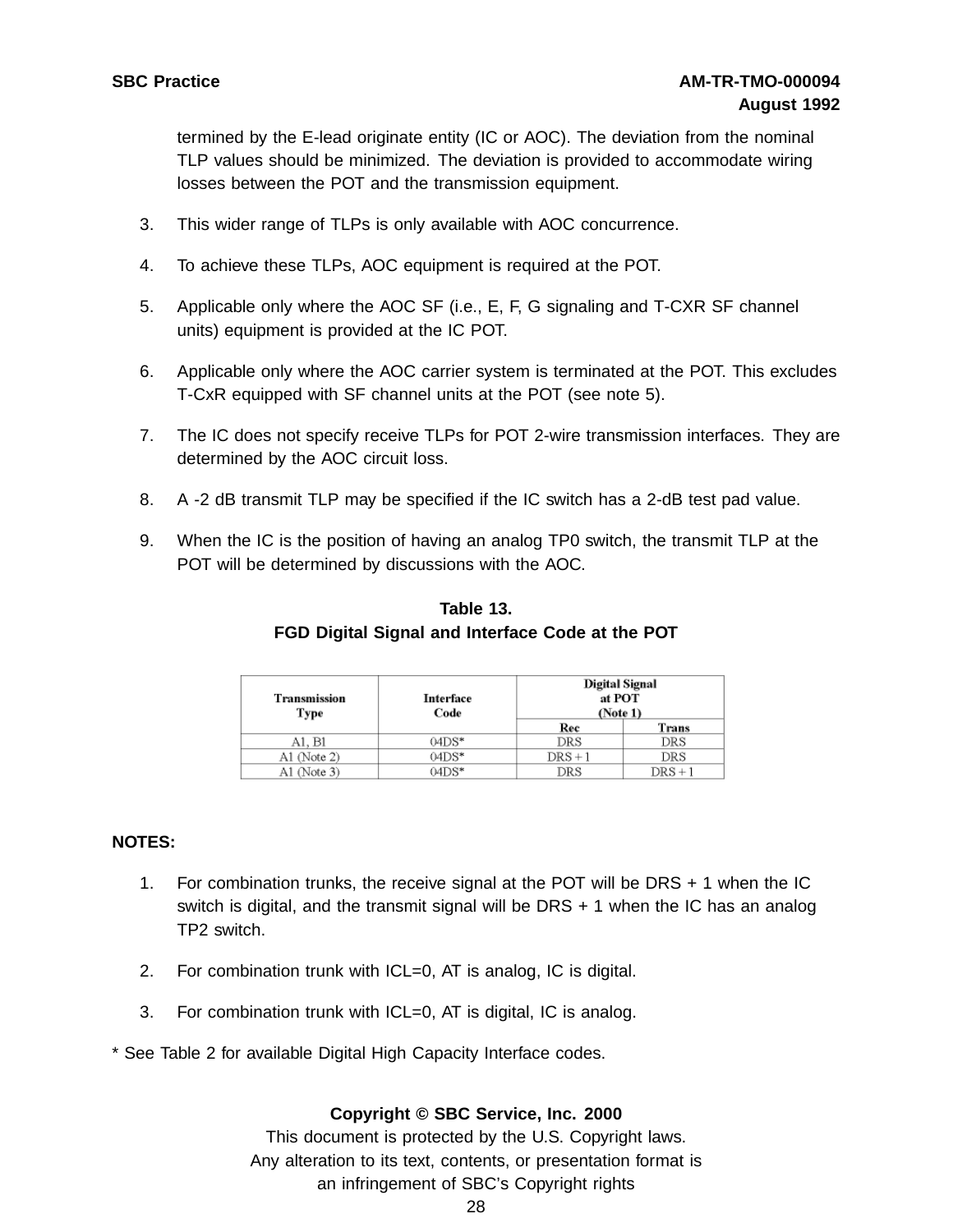termined by the E-lead originate entity (IC or AOC). The deviation from the nominal TLP values should be minimized. The deviation is provided to accommodate wiring losses between the POT and the transmission equipment.

- 3. This wider range of TLPs is only available with AOC concurrence.
- 4. To achieve these TLPs, AOC equipment is required at the POT.
- 5. Applicable only where the AOC SF (i.e., E, F, G signaling and T-CXR SF channel units) equipment is provided at the IC POT.
- 6. Applicable only where the AOC carrier system is terminated at the POT. This excludes T-CxR equipped with SF channel units at the POT (see note 5).
- 7. The IC does not specify receive TLPs for POT 2-wire transmission interfaces. They are determined by the AOC circuit loss.
- 8. A -2 dB transmit TLP may be specified if the IC switch has a 2-dB test pad value.
- 9. When the IC is the position of having an analog TP0 switch, the transmit TLP at the POT will be determined by discussions with the AOC.

| Transmission<br>Type | Interface<br>Code |         | Digital Signal<br>at POT<br>(Note 1) |  |
|----------------------|-------------------|---------|--------------------------------------|--|
|                      |                   | Rec     | Trans                                |  |
| A1. B1               | $04DS*$           | DRS     | DRS                                  |  |
| A1 (Note 2)          | $04DS*$           | DRS + 1 | DRS                                  |  |
| A1 (Note 3)          | 04DS*             | DRS     | DRS + 1                              |  |

**Table 13. FGD Digital Signal and Interface Code at the POT**

## **NOTES:**

- 1. For combination trunks, the receive signal at the POT will be DRS + 1 when the IC switch is digital, and the transmit signal will be DRS  $+$  1 when the IC has an analog TP2 switch.
- 2. For combination trunk with ICL=0, AT is analog, IC is digital.
- 3. For combination trunk with ICL=0, AT is digital, IC is analog.
- \* See Table 2 for available Digital High Capacity Interface codes.

## **Copyright © SBC Service, Inc. 2000**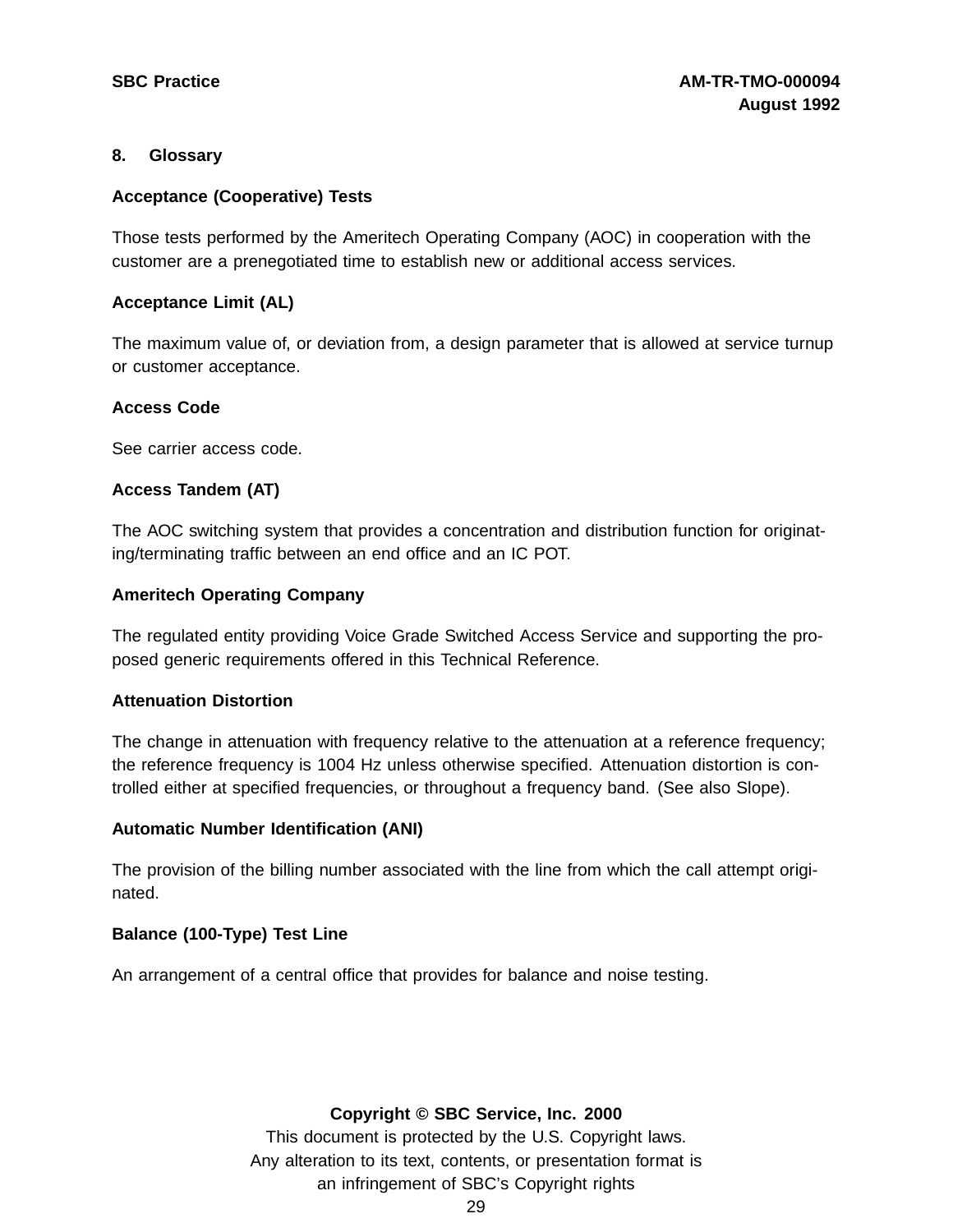#### **8. Glossary**

## **Acceptance (Cooperative) Tests**

Those tests performed by the Ameritech Operating Company (AOC) in cooperation with the customer are a prenegotiated time to establish new or additional access services.

# **Acceptance Limit (AL)**

The maximum value of, or deviation from, a design parameter that is allowed at service turnup or customer acceptance.

## **Access Code**

See carrier access code.

## **Access Tandem (AT)**

The AOC switching system that provides a concentration and distribution function for originating/terminating traffic between an end office and an IC POT.

## **Ameritech Operating Company**

The regulated entity providing Voice Grade Switched Access Service and supporting the proposed generic requirements offered in this Technical Reference.

## **Attenuation Distortion**

The change in attenuation with frequency relative to the attenuation at a reference frequency; the reference frequency is 1004 Hz unless otherwise specified. Attenuation distortion is controlled either at specified frequencies, or throughout a frequency band. (See also Slope).

## **Automatic Number Identification (ANI)**

The provision of the billing number associated with the line from which the call attempt originated.

## **Balance (100-Type) Test Line**

An arrangement of a central office that provides for balance and noise testing.

## **Copyright © SBC Service, Inc. 2000**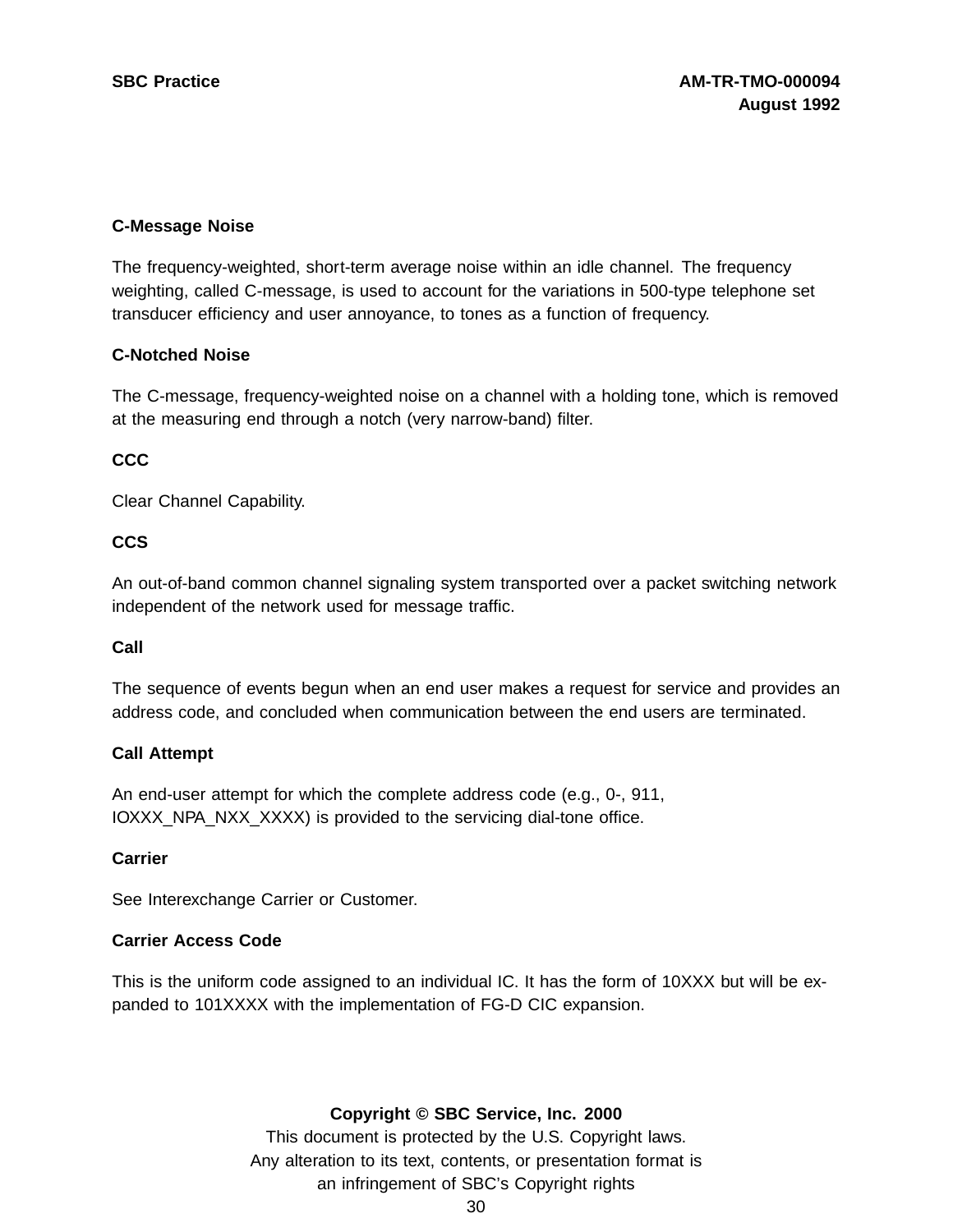#### **C-Message Noise**

The frequency-weighted, short-term average noise within an idle channel. The frequency weighting, called C-message, is used to account for the variations in 500-type telephone set transducer efficiency and user annoyance, to tones as a function of frequency.

## **C-Notched Noise**

The C-message, frequency-weighted noise on a channel with a holding tone, which is removed at the measuring end through a notch (very narrow-band) filter.

## **CCC**

Clear Channel Capability.

## **CCS**

An out-of-band common channel signaling system transported over a packet switching network independent of the network used for message traffic.

#### **Call**

The sequence of events begun when an end user makes a request for service and provides an address code, and concluded when communication between the end users are terminated.

#### **Call Attempt**

An end-user attempt for which the complete address code (e.g., 0-, 911, IOXXX\_NPA\_NXX\_XXXX) is provided to the servicing dial-tone office.

## **Carrier**

See Interexchange Carrier or Customer.

## **Carrier Access Code**

This is the uniform code assigned to an individual IC. It has the form of 10XXX but will be expanded to 101XXXX with the implementation of FG-D CIC expansion.

**Copyright © SBC Service, Inc. 2000**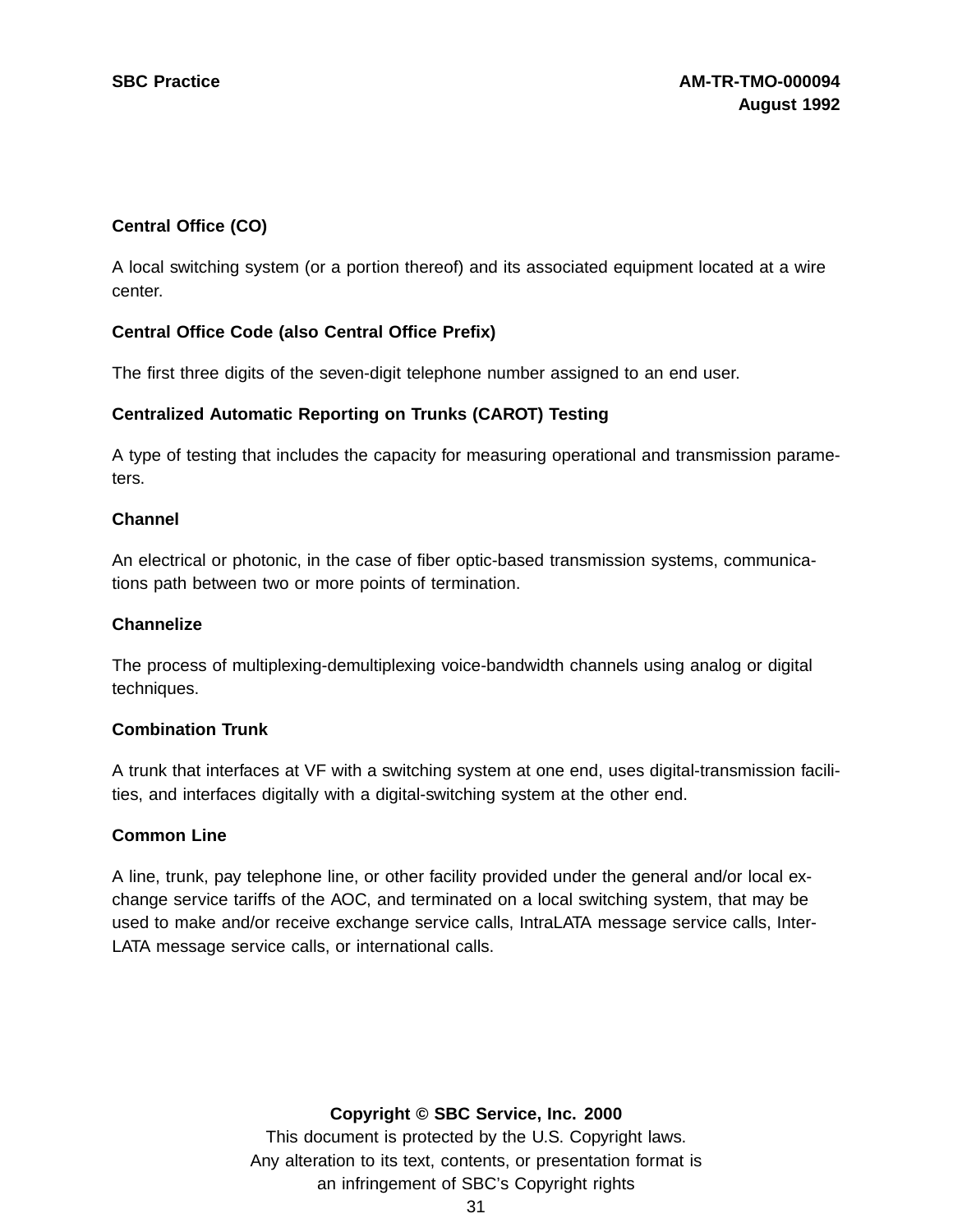# **Central Office (CO)**

A local switching system (or a portion thereof) and its associated equipment located at a wire center.

# **Central Office Code (also Central Office Prefix)**

The first three digits of the seven-digit telephone number assigned to an end user.

# **Centralized Automatic Reporting on Trunks (CAROT) Testing**

A type of testing that includes the capacity for measuring operational and transmission parameters.

#### **Channel**

An electrical or photonic, in the case of fiber optic-based transmission systems, communications path between two or more points of termination.

#### **Channelize**

The process of multiplexing-demultiplexing voice-bandwidth channels using analog or digital techniques.

## **Combination Trunk**

A trunk that interfaces at VF with a switching system at one end, uses digital-transmission facilities, and interfaces digitally with a digital-switching system at the other end.

## **Common Line**

A line, trunk, pay telephone line, or other facility provided under the general and/or local exchange service tariffs of the AOC, and terminated on a local switching system, that may be used to make and/or receive exchange service calls, IntraLATA message service calls, Inter-LATA message service calls, or international calls.

**Copyright © SBC Service, Inc. 2000**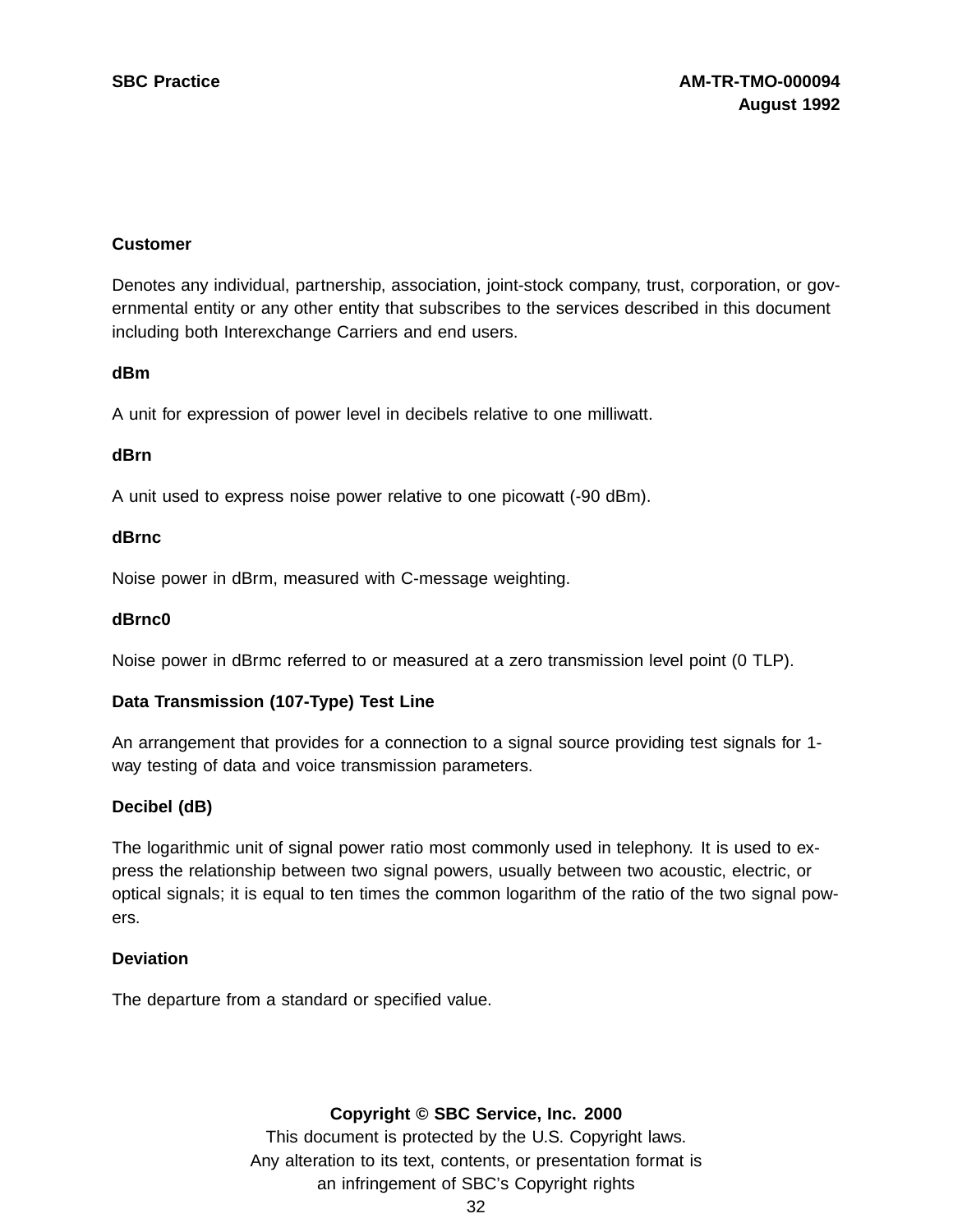## **Customer**

Denotes any individual, partnership, association, joint-stock company, trust, corporation, or governmental entity or any other entity that subscribes to the services described in this document including both Interexchange Carriers and end users.

#### **dBm**

A unit for expression of power level in decibels relative to one milliwatt.

#### **dBrn**

A unit used to express noise power relative to one picowatt (-90 dBm).

#### **dBrnc**

Noise power in dBrm, measured with C-message weighting.

#### **dBrnc0**

Noise power in dBrmc referred to or measured at a zero transmission level point (0 TLP).

## **Data Transmission (107-Type) Test Line**

An arrangement that provides for a connection to a signal source providing test signals for 1 way testing of data and voice transmission parameters.

## **Decibel (dB)**

The logarithmic unit of signal power ratio most commonly used in telephony. It is used to express the relationship between two signal powers, usually between two acoustic, electric, or optical signals; it is equal to ten times the common logarithm of the ratio of the two signal powers.

## **Deviation**

The departure from a standard or specified value.

## **Copyright © SBC Service, Inc. 2000**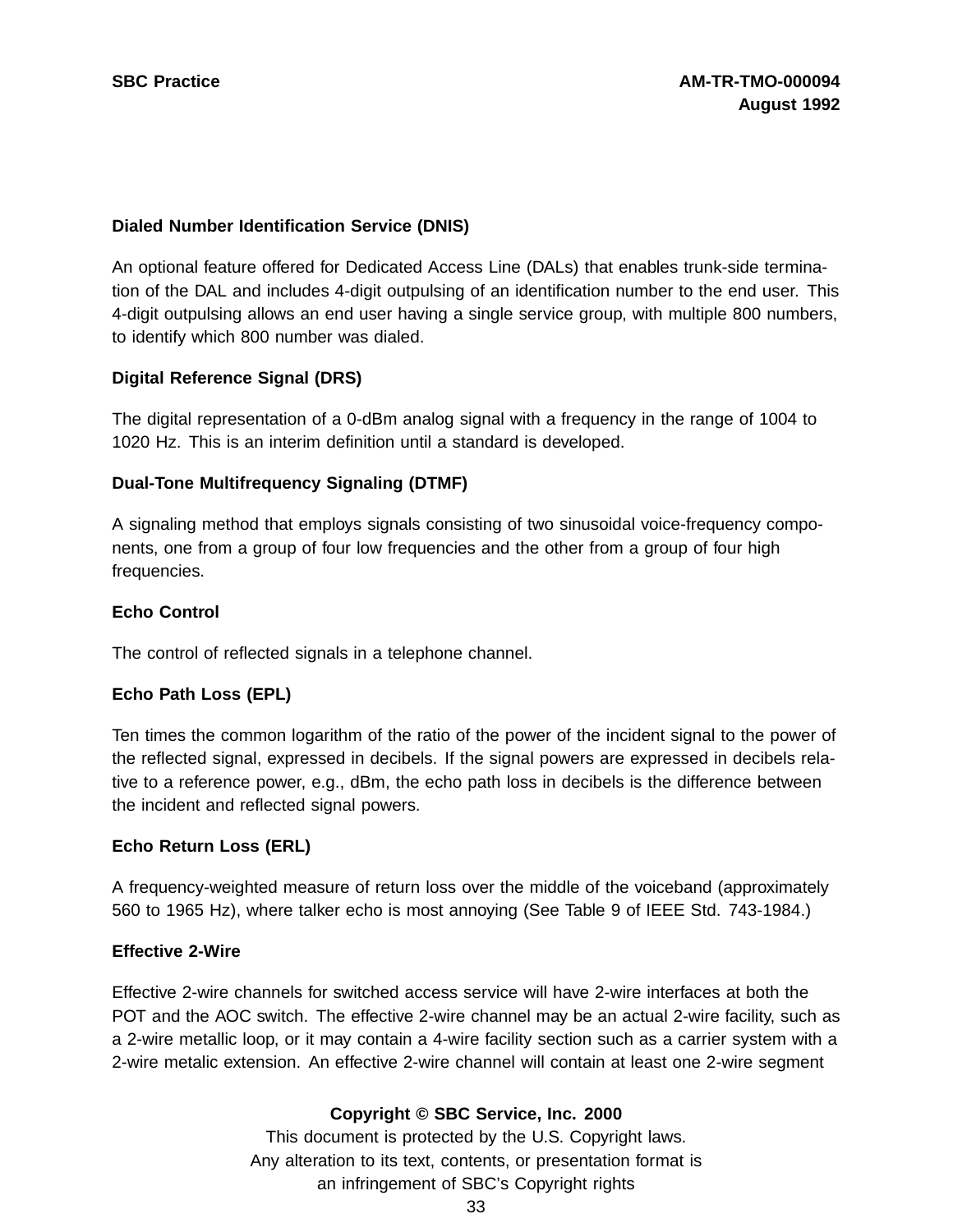## **Dialed Number Identification Service (DNIS)**

An optional feature offered for Dedicated Access Line (DALs) that enables trunk-side termination of the DAL and includes 4-digit outpulsing of an identification number to the end user. This 4-digit outpulsing allows an end user having a single service group, with multiple 800 numbers, to identify which 800 number was dialed.

# **Digital Reference Signal (DRS)**

The digital representation of a 0-dBm analog signal with a frequency in the range of 1004 to 1020 Hz. This is an interim definition until a standard is developed.

# **Dual-Tone Multifrequency Signaling (DTMF)**

A signaling method that employs signals consisting of two sinusoidal voice-frequency components, one from a group of four low frequencies and the other from a group of four high frequencies.

# **Echo Control**

The control of reflected signals in a telephone channel.

## **Echo Path Loss (EPL)**

Ten times the common logarithm of the ratio of the power of the incident signal to the power of the reflected signal, expressed in decibels. If the signal powers are expressed in decibels relative to a reference power, e.g., dBm, the echo path loss in decibels is the difference between the incident and reflected signal powers.

## **Echo Return Loss (ERL)**

A frequency-weighted measure of return loss over the middle of the voiceband (approximately 560 to 1965 Hz), where talker echo is most annoying (See Table 9 of IEEE Std. 743-1984.)

## **Effective 2-Wire**

Effective 2-wire channels for switched access service will have 2-wire interfaces at both the POT and the AOC switch. The effective 2-wire channel may be an actual 2-wire facility, such as a 2-wire metallic loop, or it may contain a 4-wire facility section such as a carrier system with a 2-wire metalic extension. An effective 2-wire channel will contain at least one 2-wire segment

## **Copyright © SBC Service, Inc. 2000**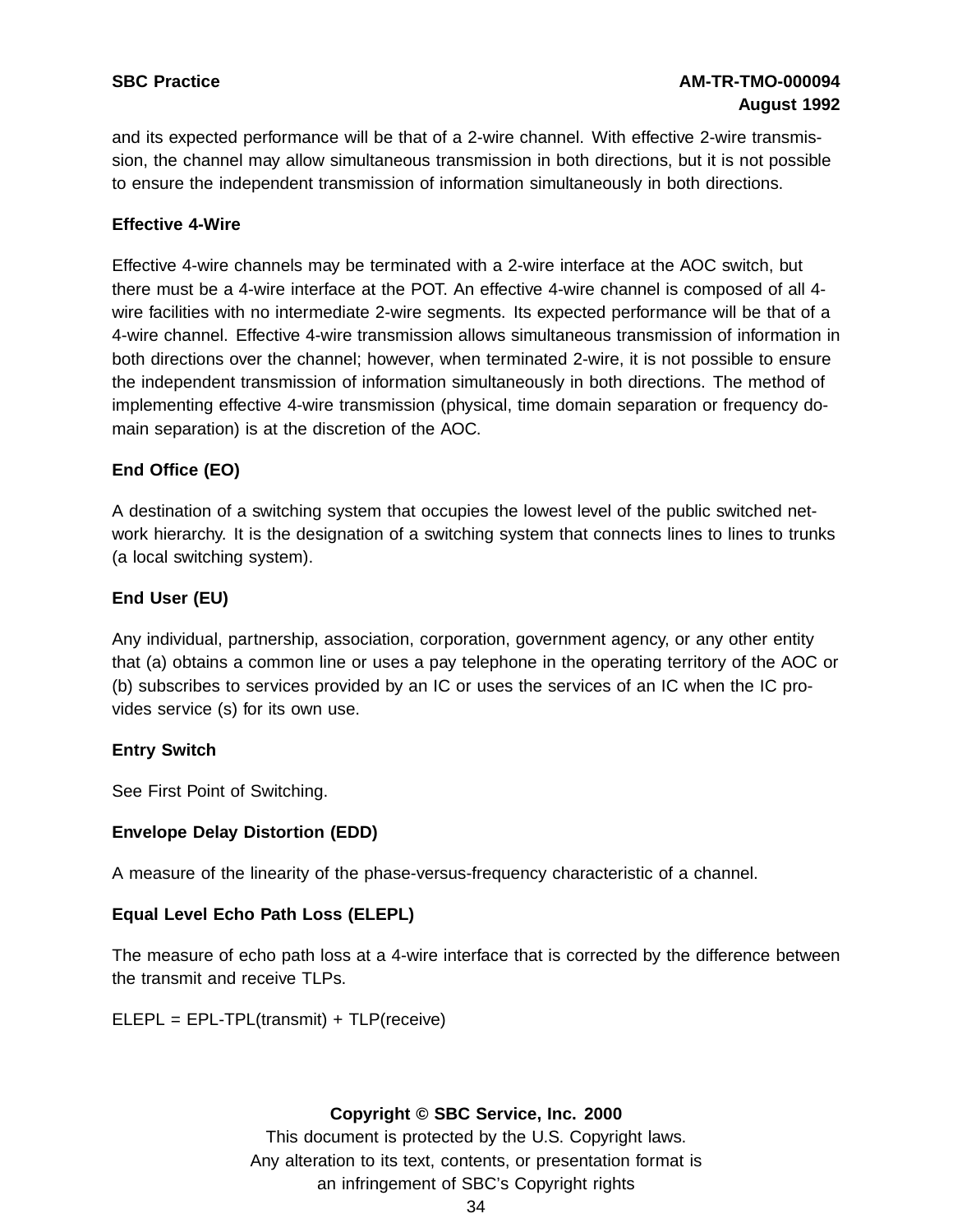and its expected performance will be that of a 2-wire channel. With effective 2-wire transmission, the channel may allow simultaneous transmission in both directions, but it is not possible to ensure the independent transmission of information simultaneously in both directions.

## **Effective 4-Wire**

Effective 4-wire channels may be terminated with a 2-wire interface at the AOC switch, but there must be a 4-wire interface at the POT. An effective 4-wire channel is composed of all 4 wire facilities with no intermediate 2-wire segments. Its expected performance will be that of a 4-wire channel. Effective 4-wire transmission allows simultaneous transmission of information in both directions over the channel; however, when terminated 2-wire, it is not possible to ensure the independent transmission of information simultaneously in both directions. The method of implementing effective 4-wire transmission (physical, time domain separation or frequency domain separation) is at the discretion of the AOC.

# **End Office (EO)**

A destination of a switching system that occupies the lowest level of the public switched network hierarchy. It is the designation of a switching system that connects lines to lines to trunks (a local switching system).

# **End User (EU)**

Any individual, partnership, association, corporation, government agency, or any other entity that (a) obtains a common line or uses a pay telephone in the operating territory of the AOC or (b) subscribes to services provided by an IC or uses the services of an IC when the IC provides service (s) for its own use.

## **Entry Switch**

See First Point of Switching.

## **Envelope Delay Distortion (EDD)**

A measure of the linearity of the phase-versus-frequency characteristic of a channel.

## **Equal Level Echo Path Loss (ELEPL)**

The measure of echo path loss at a 4-wire interface that is corrected by the difference between the transmit and receive TLPs.

ELEPL = EPL-TPL(transmit) + TLP(receive)

## **Copyright © SBC Service, Inc. 2000**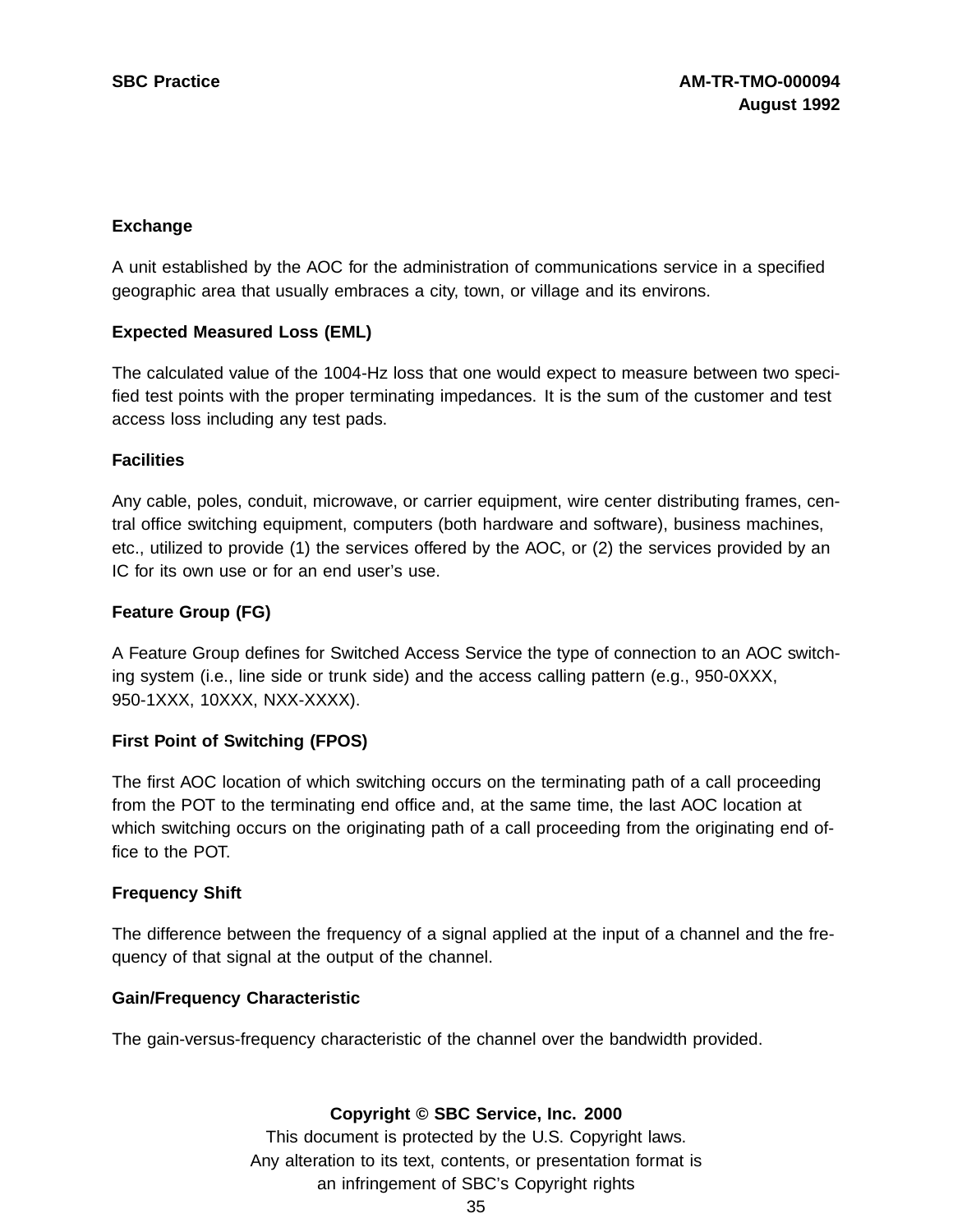## **Exchange**

A unit established by the AOC for the administration of communications service in a specified geographic area that usually embraces a city, town, or village and its environs.

# **Expected Measured Loss (EML)**

The calculated value of the 1004-Hz loss that one would expect to measure between two specified test points with the proper terminating impedances. It is the sum of the customer and test access loss including any test pads.

## **Facilities**

Any cable, poles, conduit, microwave, or carrier equipment, wire center distributing frames, central office switching equipment, computers (both hardware and software), business machines, etc., utilized to provide (1) the services offered by the AOC, or (2) the services provided by an IC for its own use or for an end user's use.

## **Feature Group (FG)**

A Feature Group defines for Switched Access Service the type of connection to an AOC switching system (i.e., line side or trunk side) and the access calling pattern (e.g., 950-0XXX, 950-1XXX, 10XXX, NXX-XXXX).

## **First Point of Switching (FPOS)**

The first AOC location of which switching occurs on the terminating path of a call proceeding from the POT to the terminating end office and, at the same time, the last AOC location at which switching occurs on the originating path of a call proceeding from the originating end office to the POT.

## **Frequency Shift**

The difference between the frequency of a signal applied at the input of a channel and the frequency of that signal at the output of the channel.

## **Gain/Frequency Characteristic**

The gain-versus-frequency characteristic of the channel over the bandwidth provided.

## **Copyright © SBC Service, Inc. 2000**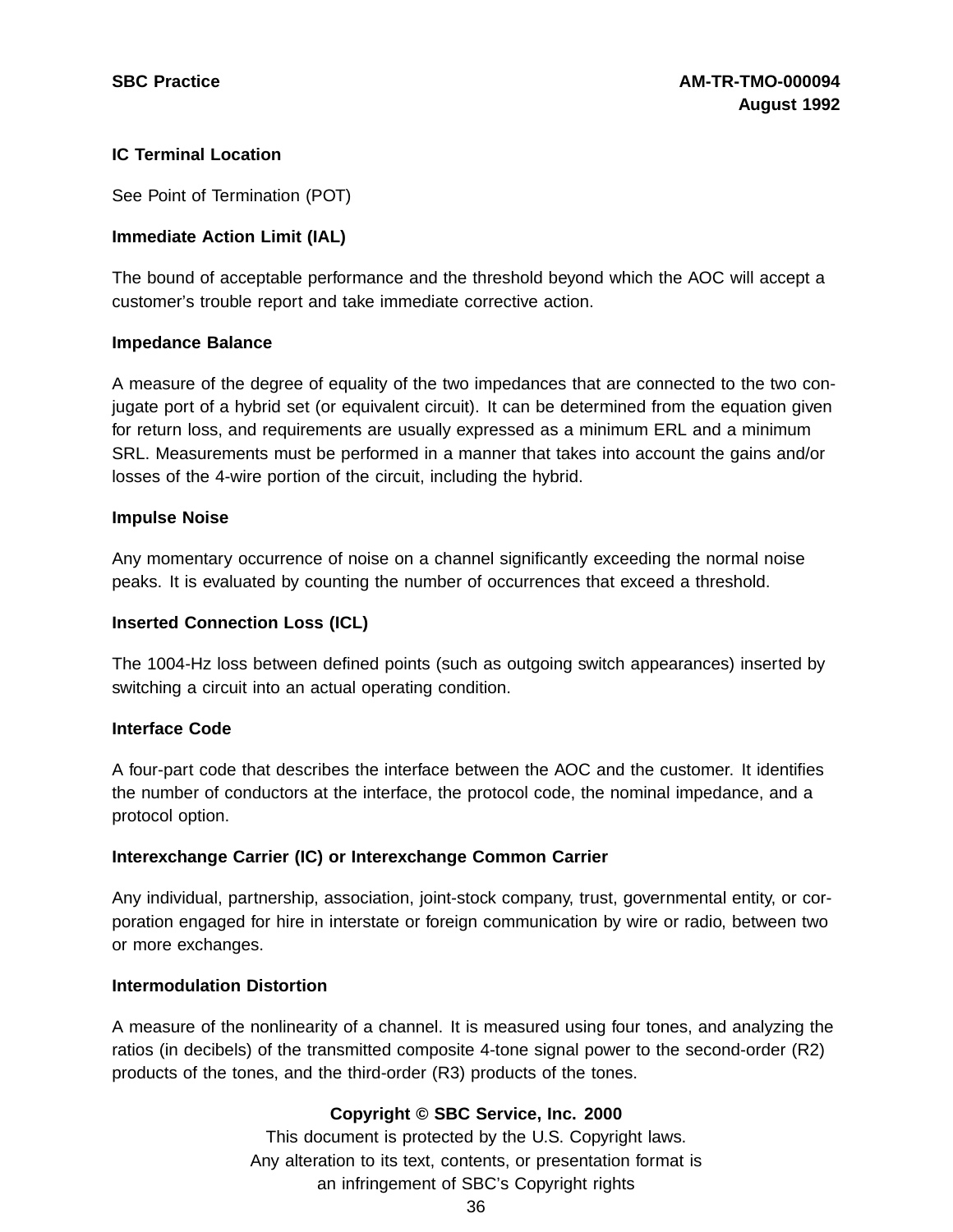# **IC Terminal Location**

See Point of Termination (POT)

# **Immediate Action Limit (IAL)**

The bound of acceptable performance and the threshold beyond which the AOC will accept a customer's trouble report and take immediate corrective action.

#### **Impedance Balance**

A measure of the degree of equality of the two impedances that are connected to the two conjugate port of a hybrid set (or equivalent circuit). It can be determined from the equation given for return loss, and requirements are usually expressed as a minimum ERL and a minimum SRL. Measurements must be performed in a manner that takes into account the gains and/or losses of the 4-wire portion of the circuit, including the hybrid.

#### **Impulse Noise**

Any momentary occurrence of noise on a channel significantly exceeding the normal noise peaks. It is evaluated by counting the number of occurrences that exceed a threshold.

## **Inserted Connection Loss (ICL)**

The 1004-Hz loss between defined points (such as outgoing switch appearances) inserted by switching a circuit into an actual operating condition.

## **Interface Code**

A four-part code that describes the interface between the AOC and the customer. It identifies the number of conductors at the interface, the protocol code, the nominal impedance, and a protocol option.

## **Interexchange Carrier (IC) or Interexchange Common Carrier**

Any individual, partnership, association, joint-stock company, trust, governmental entity, or corporation engaged for hire in interstate or foreign communication by wire or radio, between two or more exchanges.

#### **Intermodulation Distortion**

A measure of the nonlinearity of a channel. It is measured using four tones, and analyzing the ratios (in decibels) of the transmitted composite 4-tone signal power to the second-order (R2) products of the tones, and the third-order (R3) products of the tones.

## **Copyright © SBC Service, Inc. 2000**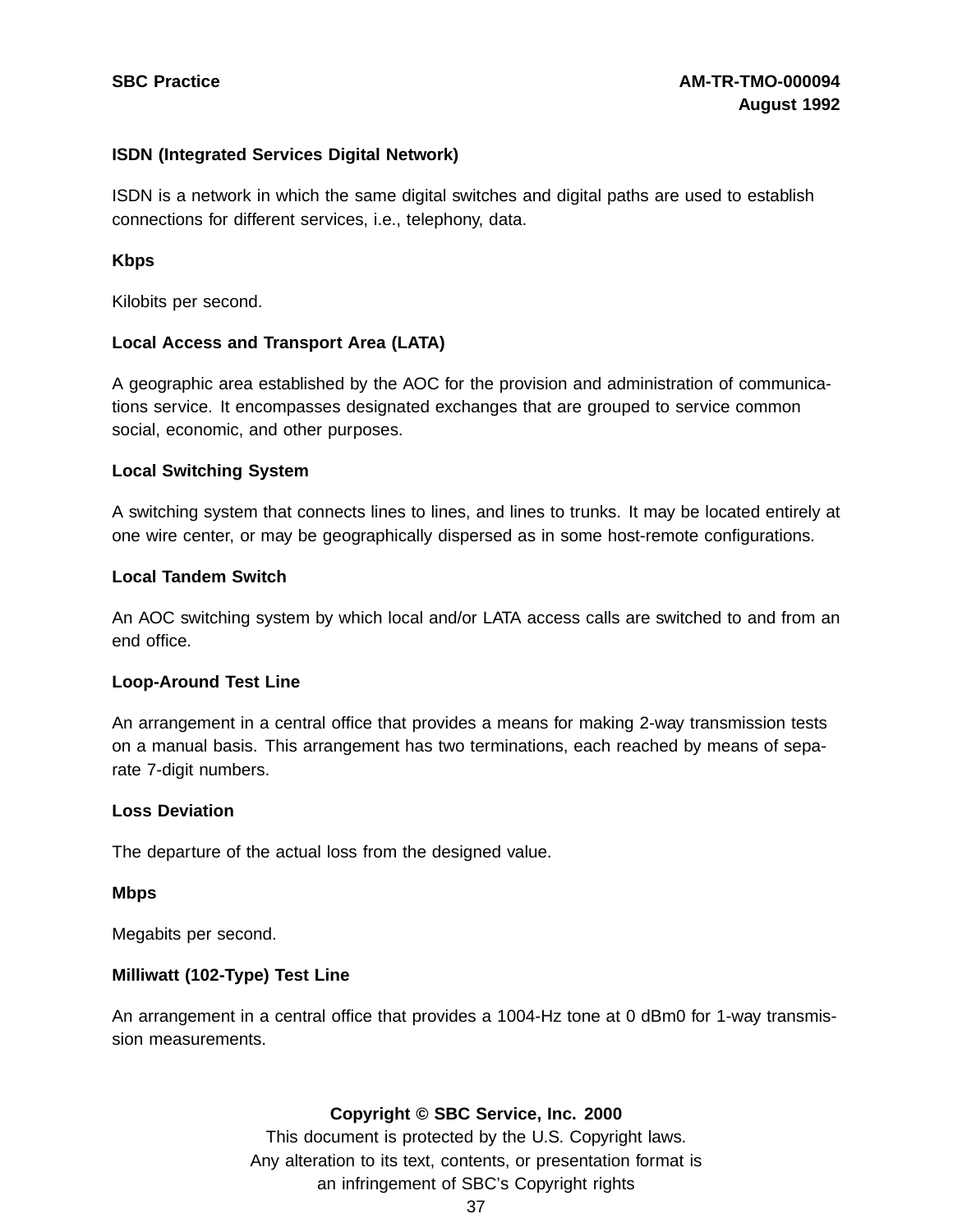#### **ISDN (Integrated Services Digital Network)**

ISDN is a network in which the same digital switches and digital paths are used to establish connections for different services, i.e., telephony, data.

#### **Kbps**

Kilobits per second.

## **Local Access and Transport Area (LATA)**

A geographic area established by the AOC for the provision and administration of communications service. It encompasses designated exchanges that are grouped to service common social, economic, and other purposes.

#### **Local Switching System**

A switching system that connects lines to lines, and lines to trunks. It may be located entirely at one wire center, or may be geographically dispersed as in some host-remote configurations.

#### **Local Tandem Switch**

An AOC switching system by which local and/or LATA access calls are switched to and from an end office.

#### **Loop-Around Test Line**

An arrangement in a central office that provides a means for making 2-way transmission tests on a manual basis. This arrangement has two terminations, each reached by means of separate 7-digit numbers.

#### **Loss Deviation**

The departure of the actual loss from the designed value.

#### **Mbps**

Megabits per second.

## **Milliwatt (102-Type) Test Line**

An arrangement in a central office that provides a 1004-Hz tone at 0 dBm0 for 1-way transmission measurements.

## **Copyright © SBC Service, Inc. 2000**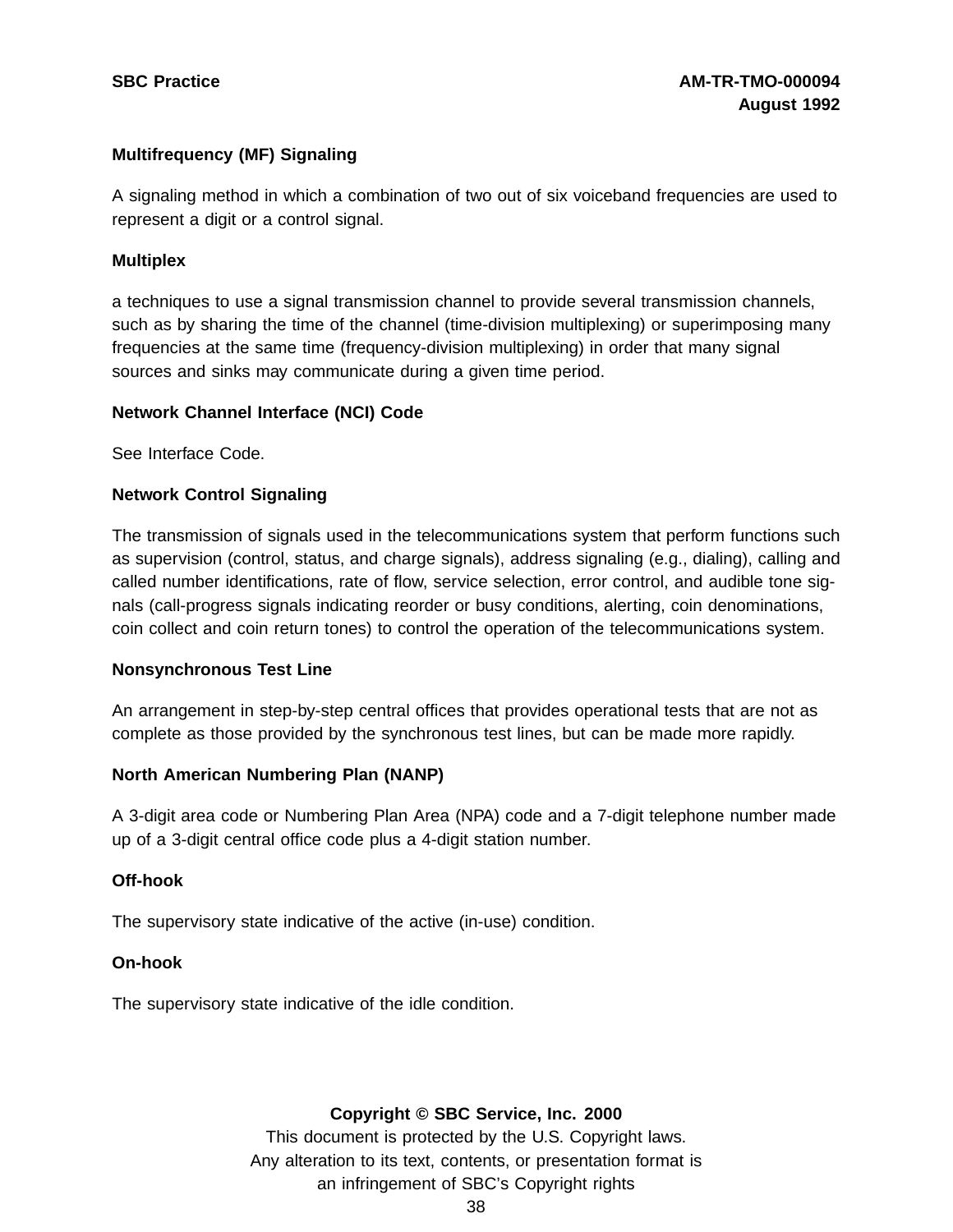## **Multifrequency (MF) Signaling**

A signaling method in which a combination of two out of six voiceband frequencies are used to represent a digit or a control signal.

#### **Multiplex**

a techniques to use a signal transmission channel to provide several transmission channels, such as by sharing the time of the channel (time-division multiplexing) or superimposing many frequencies at the same time (frequency-division multiplexing) in order that many signal sources and sinks may communicate during a given time period.

#### **Network Channel Interface (NCI) Code**

See Interface Code.

#### **Network Control Signaling**

The transmission of signals used in the telecommunications system that perform functions such as supervision (control, status, and charge signals), address signaling (e.g., dialing), calling and called number identifications, rate of flow, service selection, error control, and audible tone signals (call-progress signals indicating reorder or busy conditions, alerting, coin denominations, coin collect and coin return tones) to control the operation of the telecommunications system.

#### **Nonsynchronous Test Line**

An arrangement in step-by-step central offices that provides operational tests that are not as complete as those provided by the synchronous test lines, but can be made more rapidly.

#### **North American Numbering Plan (NANP)**

A 3-digit area code or Numbering Plan Area (NPA) code and a 7-digit telephone number made up of a 3-digit central office code plus a 4-digit station number.

#### **Off-hook**

The supervisory state indicative of the active (in-use) condition.

#### **On-hook**

The supervisory state indicative of the idle condition.

#### **Copyright © SBC Service, Inc. 2000**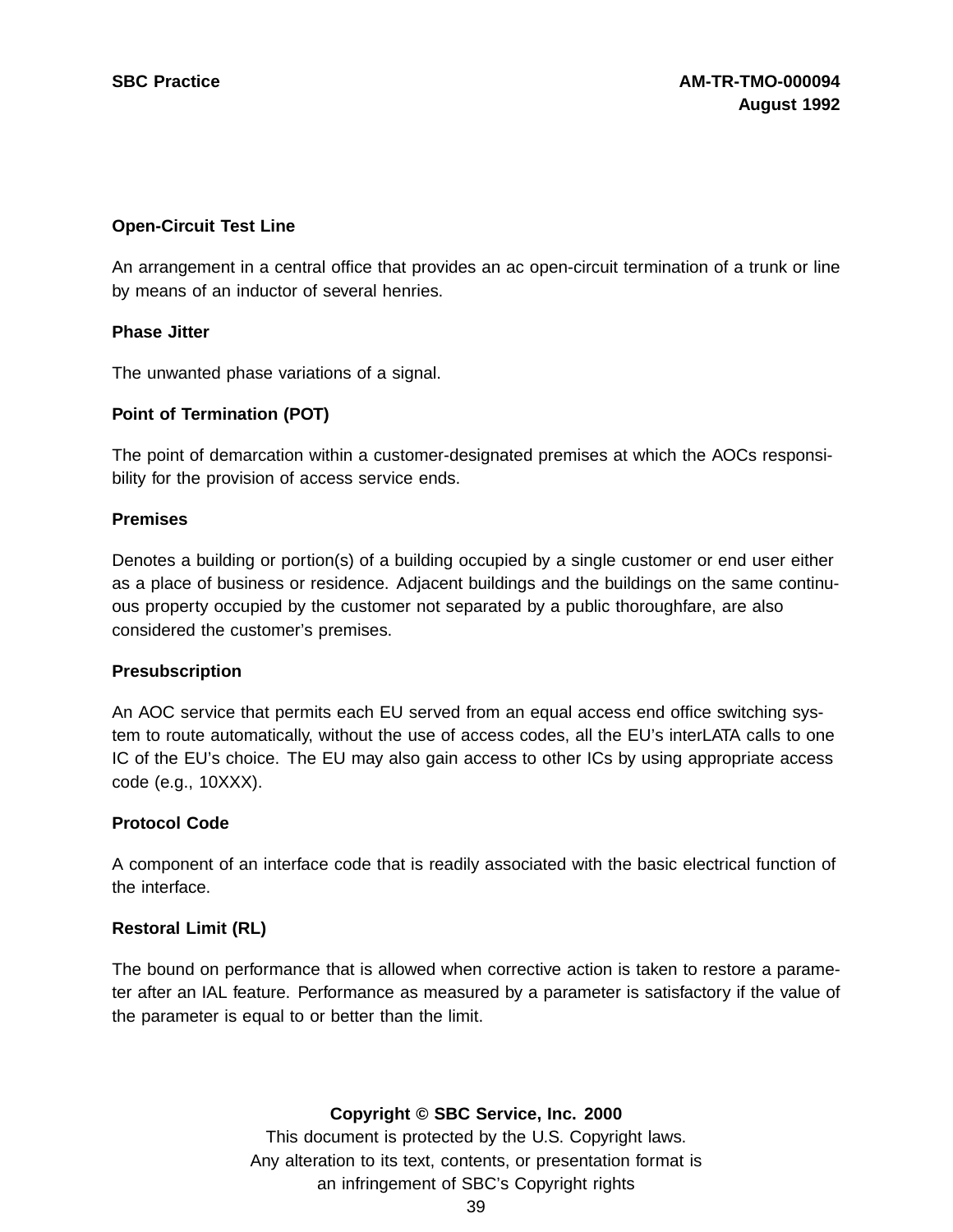#### **Open-Circuit Test Line**

An arrangement in a central office that provides an ac open-circuit termination of a trunk or line by means of an inductor of several henries.

#### **Phase Jitter**

The unwanted phase variations of a signal.

## **Point of Termination (POT)**

The point of demarcation within a customer-designated premises at which the AOCs responsibility for the provision of access service ends.

#### **Premises**

Denotes a building or portion(s) of a building occupied by a single customer or end user either as a place of business or residence. Adjacent buildings and the buildings on the same continuous property occupied by the customer not separated by a public thoroughfare, are also considered the customer's premises.

#### **Presubscription**

An AOC service that permits each EU served from an equal access end office switching system to route automatically, without the use of access codes, all the EU's interLATA calls to one IC of the EU's choice. The EU may also gain access to other ICs by using appropriate access code (e.g., 10XXX).

#### **Protocol Code**

A component of an interface code that is readily associated with the basic electrical function of the interface.

## **Restoral Limit (RL)**

The bound on performance that is allowed when corrective action is taken to restore a parameter after an IAL feature. Performance as measured by a parameter is satisfactory if the value of the parameter is equal to or better than the limit.

**Copyright © SBC Service, Inc. 2000**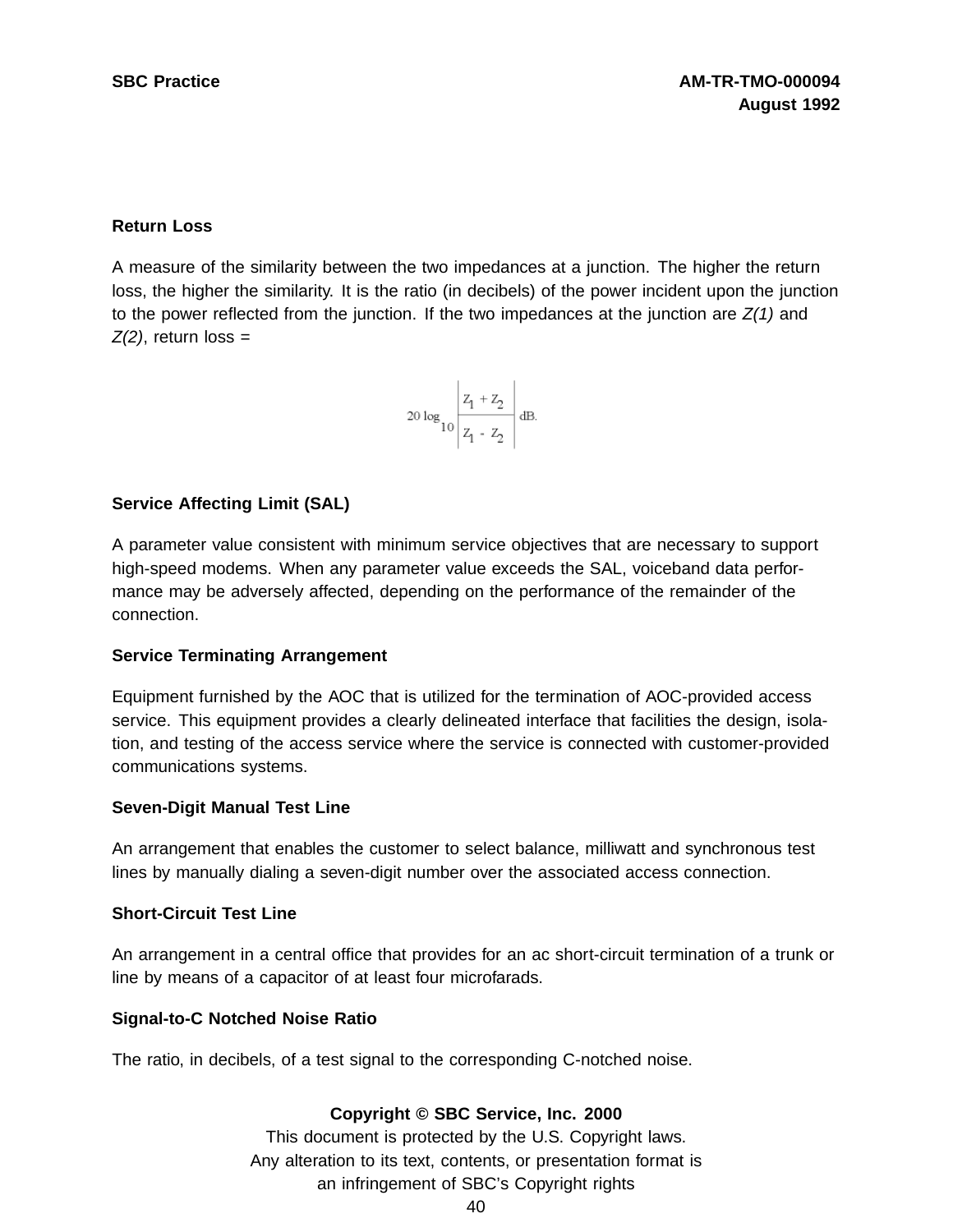#### **Return Loss**

A measure of the similarity between the two impedances at a junction. The higher the return loss, the higher the similarity. It is the ratio (in decibels) of the power incident upon the junction to the power reflected from the junction. If the two impedances at the junction are  $Z(1)$  and  $Z(2)$ , return loss =

$$
20 \log_{10} \left| \frac{Z_1 + Z_2}{Z_1 - Z_2} \right| d\mathbb{B}
$$

# **Service Affecting Limit (SAL)**

A parameter value consistent with minimum service objectives that are necessary to support high-speed modems. When any parameter value exceeds the SAL, voiceband data performance may be adversely affected, depending on the performance of the remainder of the connection.

## **Service Terminating Arrangement**

Equipment furnished by the AOC that is utilized for the termination of AOC-provided access service. This equipment provides a clearly delineated interface that facilities the design, isolation, and testing of the access service where the service is connected with customer-provided communications systems.

## **Seven-Digit Manual Test Line**

An arrangement that enables the customer to select balance, milliwatt and synchronous test lines by manually dialing a seven-digit number over the associated access connection.

#### **Short-Circuit Test Line**

An arrangement in a central office that provides for an ac short-circuit termination of a trunk or line by means of a capacitor of at least four microfarads.

#### **Signal-to-C Notched Noise Ratio**

The ratio, in decibels, of a test signal to the corresponding C-notched noise.

## **Copyright © SBC Service, Inc. 2000**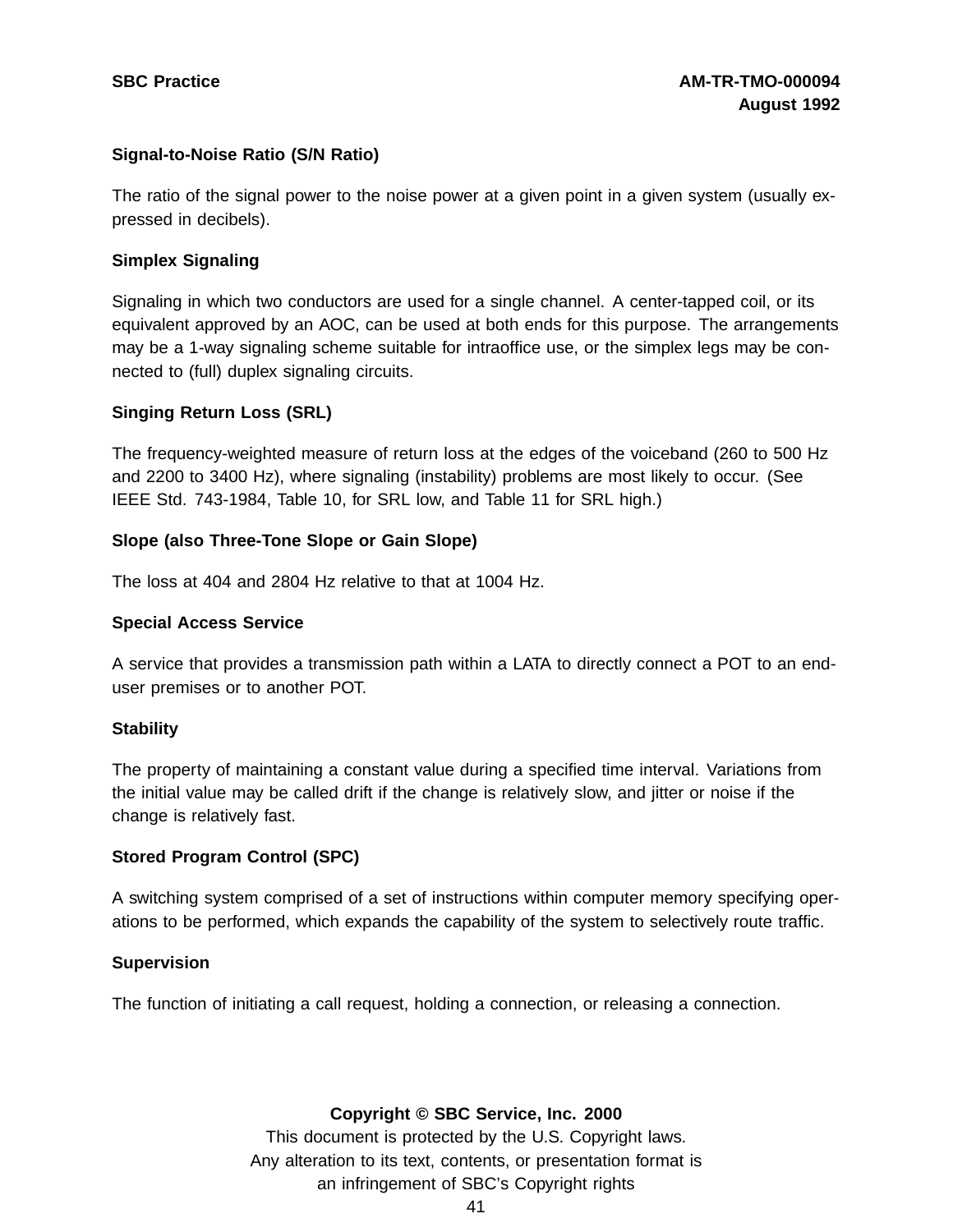## **Signal-to-Noise Ratio (S/N Ratio)**

The ratio of the signal power to the noise power at a given point in a given system (usually expressed in decibels).

## **Simplex Signaling**

Signaling in which two conductors are used for a single channel. A center-tapped coil, or its equivalent approved by an AOC, can be used at both ends for this purpose. The arrangements may be a 1-way signaling scheme suitable for intraoffice use, or the simplex legs may be connected to (full) duplex signaling circuits.

## **Singing Return Loss (SRL)**

The frequency-weighted measure of return loss at the edges of the voiceband (260 to 500 Hz and 2200 to 3400 Hz), where signaling (instability) problems are most likely to occur. (See IEEE Std. 743-1984, Table 10, for SRL low, and Table 11 for SRL high.)

## **Slope (also Three-Tone Slope or Gain Slope)**

The loss at 404 and 2804 Hz relative to that at 1004 Hz.

#### **Special Access Service**

A service that provides a transmission path within a LATA to directly connect a POT to an enduser premises or to another POT.

## **Stability**

The property of maintaining a constant value during a specified time interval. Variations from the initial value may be called drift if the change is relatively slow, and jitter or noise if the change is relatively fast.

## **Stored Program Control (SPC)**

A switching system comprised of a set of instructions within computer memory specifying operations to be performed, which expands the capability of the system to selectively route traffic.

## **Supervision**

The function of initiating a call request, holding a connection, or releasing a connection.

## **Copyright © SBC Service, Inc. 2000**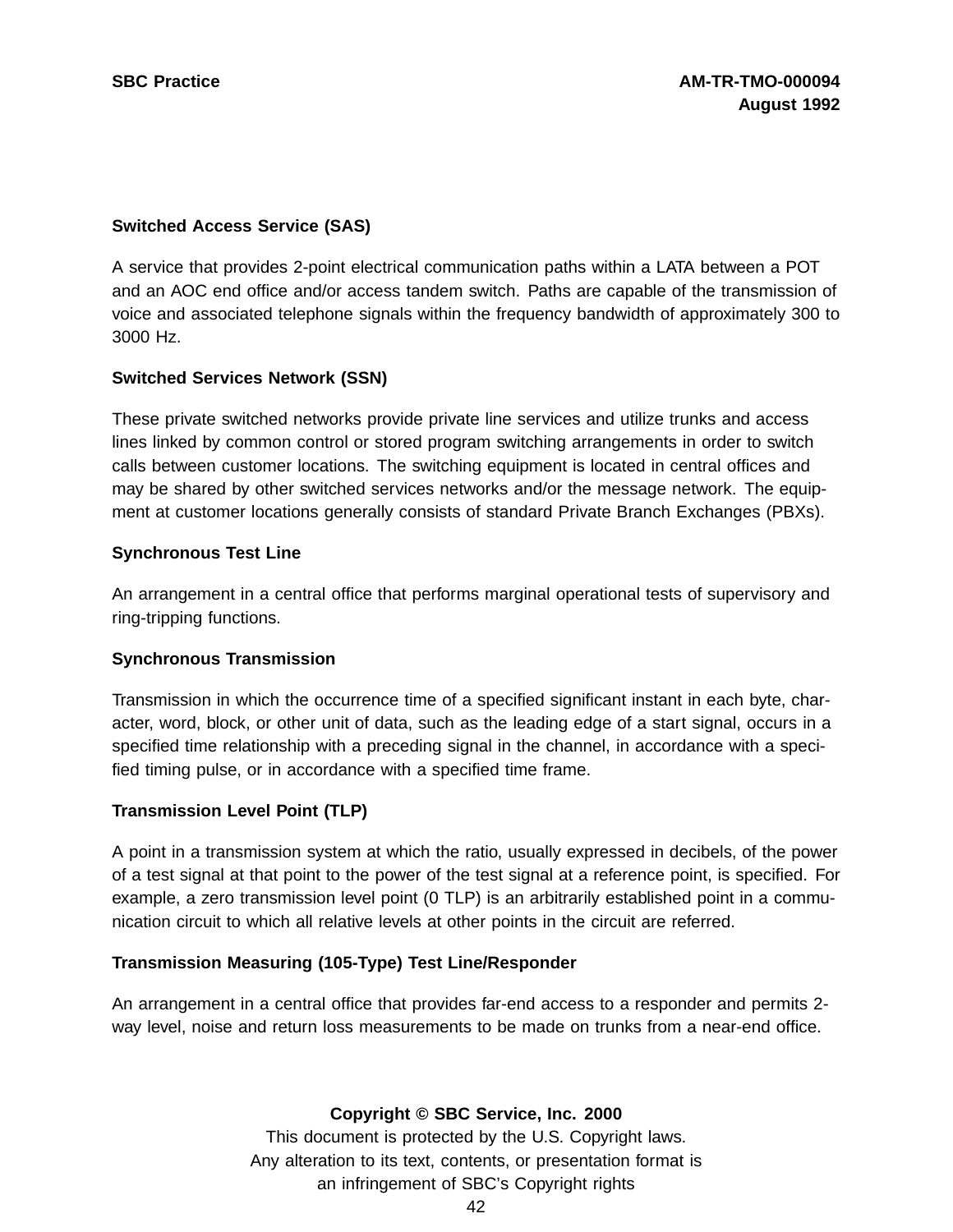## **Switched Access Service (SAS)**

A service that provides 2-point electrical communication paths within a LATA between a POT and an AOC end office and/or access tandem switch. Paths are capable of the transmission of voice and associated telephone signals within the frequency bandwidth of approximately 300 to 3000 Hz.

# **Switched Services Network (SSN)**

These private switched networks provide private line services and utilize trunks and access lines linked by common control or stored program switching arrangements in order to switch calls between customer locations. The switching equipment is located in central offices and may be shared by other switched services networks and/or the message network. The equipment at customer locations generally consists of standard Private Branch Exchanges (PBXs).

## **Synchronous Test Line**

An arrangement in a central office that performs marginal operational tests of supervisory and ring-tripping functions.

## **Synchronous Transmission**

Transmission in which the occurrence time of a specified significant instant in each byte, character, word, block, or other unit of data, such as the leading edge of a start signal, occurs in a specified time relationship with a preceding signal in the channel, in accordance with a specified timing pulse, or in accordance with a specified time frame.

## **Transmission Level Point (TLP)**

A point in a transmission system at which the ratio, usually expressed in decibels, of the power of a test signal at that point to the power of the test signal at a reference point, is specified. For example, a zero transmission level point (0 TLP) is an arbitrarily established point in a communication circuit to which all relative levels at other points in the circuit are referred.

## **Transmission Measuring (105-Type) Test Line/Responder**

An arrangement in a central office that provides far-end access to a responder and permits 2 way level, noise and return loss measurements to be made on trunks from a near-end office.

**Copyright © SBC Service, Inc. 2000**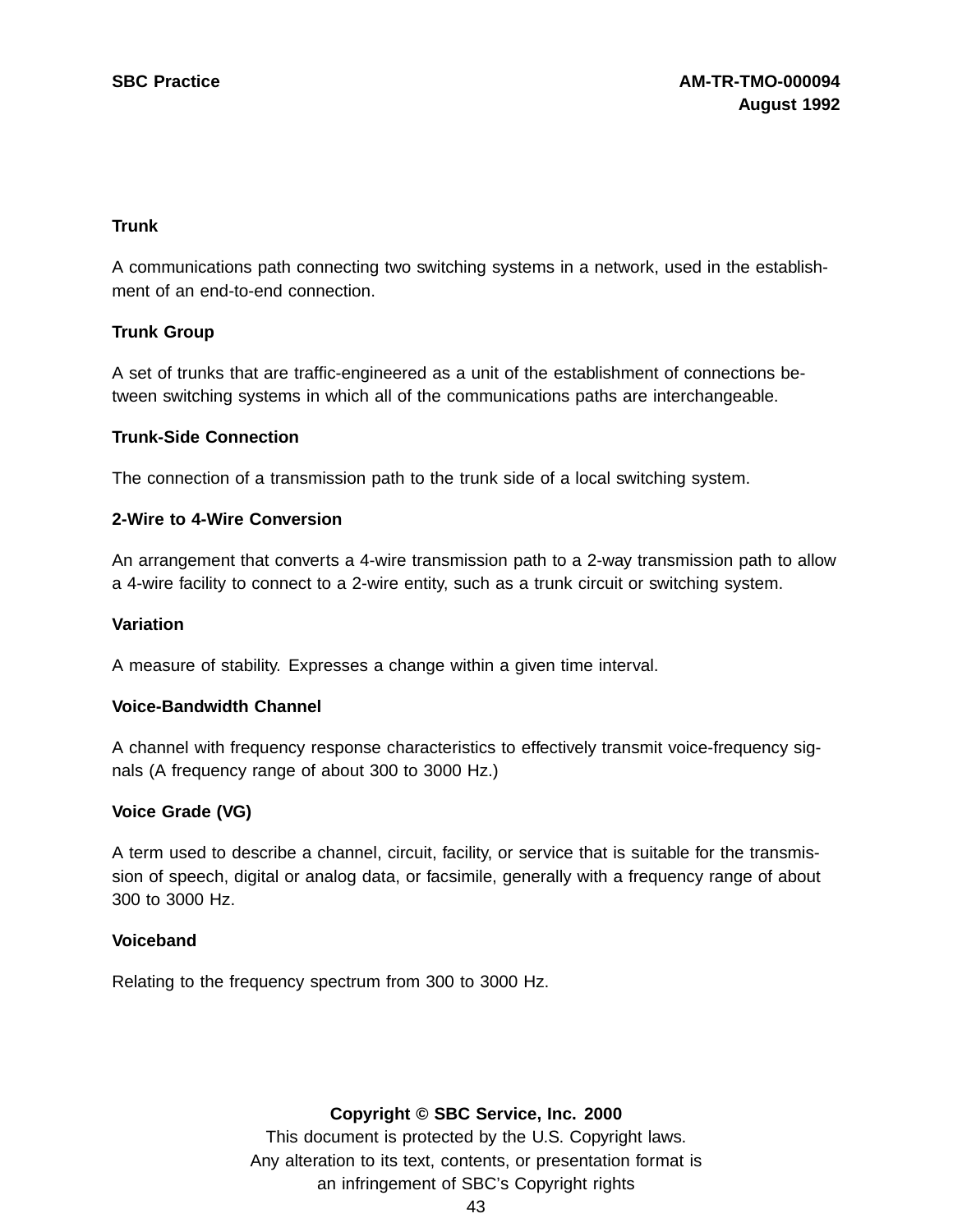## **Trunk**

A communications path connecting two switching systems in a network, used in the establishment of an end-to-end connection.

# **Trunk Group**

A set of trunks that are traffic-engineered as a unit of the establishment of connections between switching systems in which all of the communications paths are interchangeable.

## **Trunk-Side Connection**

The connection of a transmission path to the trunk side of a local switching system.

## **2-Wire to 4-Wire Conversion**

An arrangement that converts a 4-wire transmission path to a 2-way transmission path to allow a 4-wire facility to connect to a 2-wire entity, such as a trunk circuit or switching system.

#### **Variation**

A measure of stability. Expresses a change within a given time interval.

## **Voice-Bandwidth Channel**

A channel with frequency response characteristics to effectively transmit voice-frequency signals (A frequency range of about 300 to 3000 Hz.)

## **Voice Grade (VG)**

A term used to describe a channel, circuit, facility, or service that is suitable for the transmission of speech, digital or analog data, or facsimile, generally with a frequency range of about 300 to 3000 Hz.

## **Voiceband**

Relating to the frequency spectrum from 300 to 3000 Hz.

## **Copyright © SBC Service, Inc. 2000**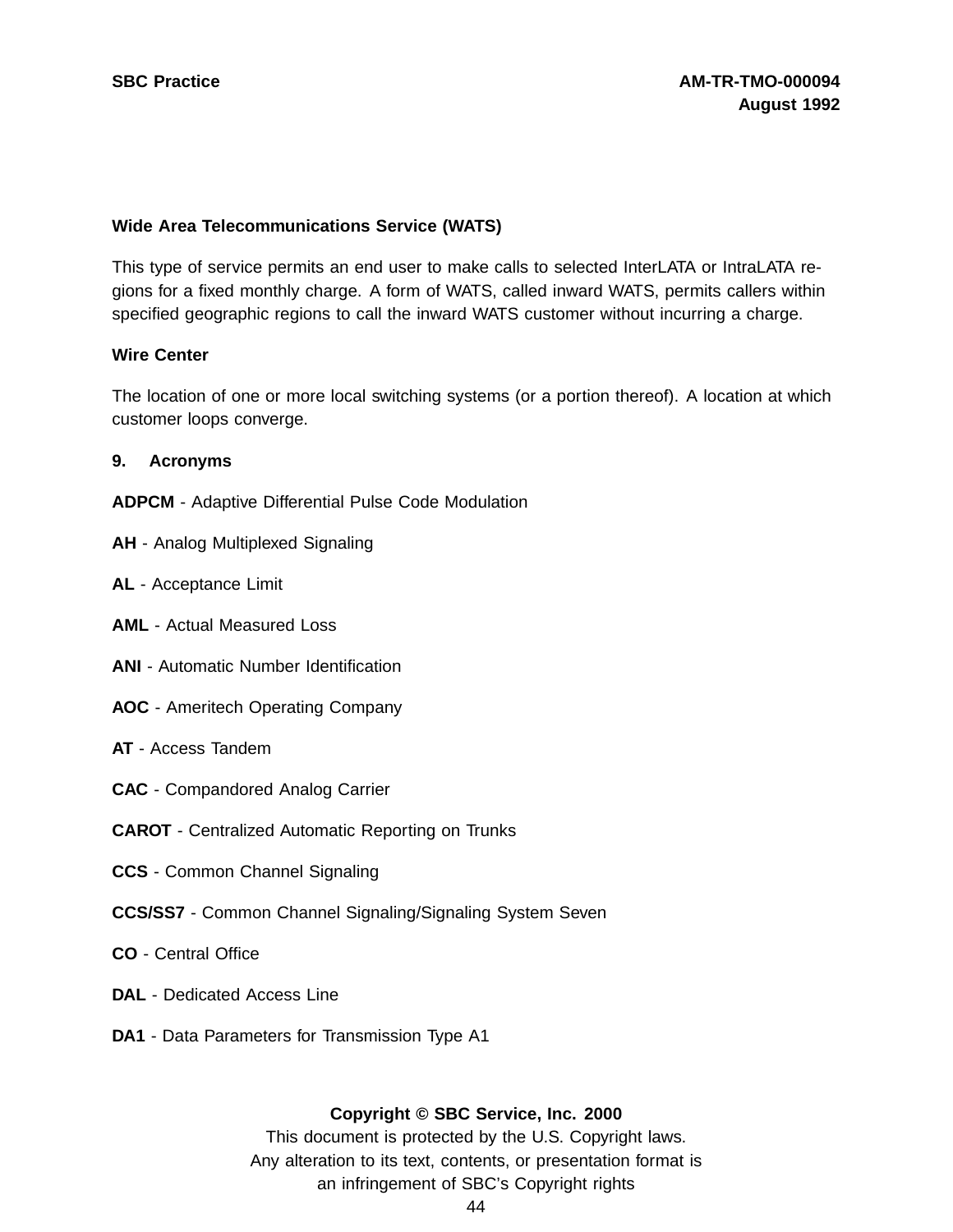## **Wide Area Telecommunications Service (WATS)**

This type of service permits an end user to make calls to selected InterLATA or IntraLATA regions for a fixed monthly charge. A form of WATS, called inward WATS, permits callers within specified geographic regions to call the inward WATS customer without incurring a charge.

## **Wire Center**

The location of one or more local switching systems (or a portion thereof). A location at which customer loops converge.

# **9. Acronyms**

- **ADPCM** Adaptive Differential Pulse Code Modulation
- **AH** Analog Multiplexed Signaling
- **AL** Acceptance Limit
- **AML** Actual Measured Loss
- **ANI** Automatic Number Identification
- **AOC** Ameritech Operating Company
- **AT** Access Tandem
- **CAC** Compandored Analog Carrier
- **CAROT** Centralized Automatic Reporting on Trunks
- **CCS** Common Channel Signaling
- **CCS/SS7** Common Channel Signaling/Signaling System Seven
- **CO** Central Office
- **DAL** Dedicated Access Line
- **DA1** Data Parameters for Transmission Type A1

## **Copyright © SBC Service, Inc. 2000**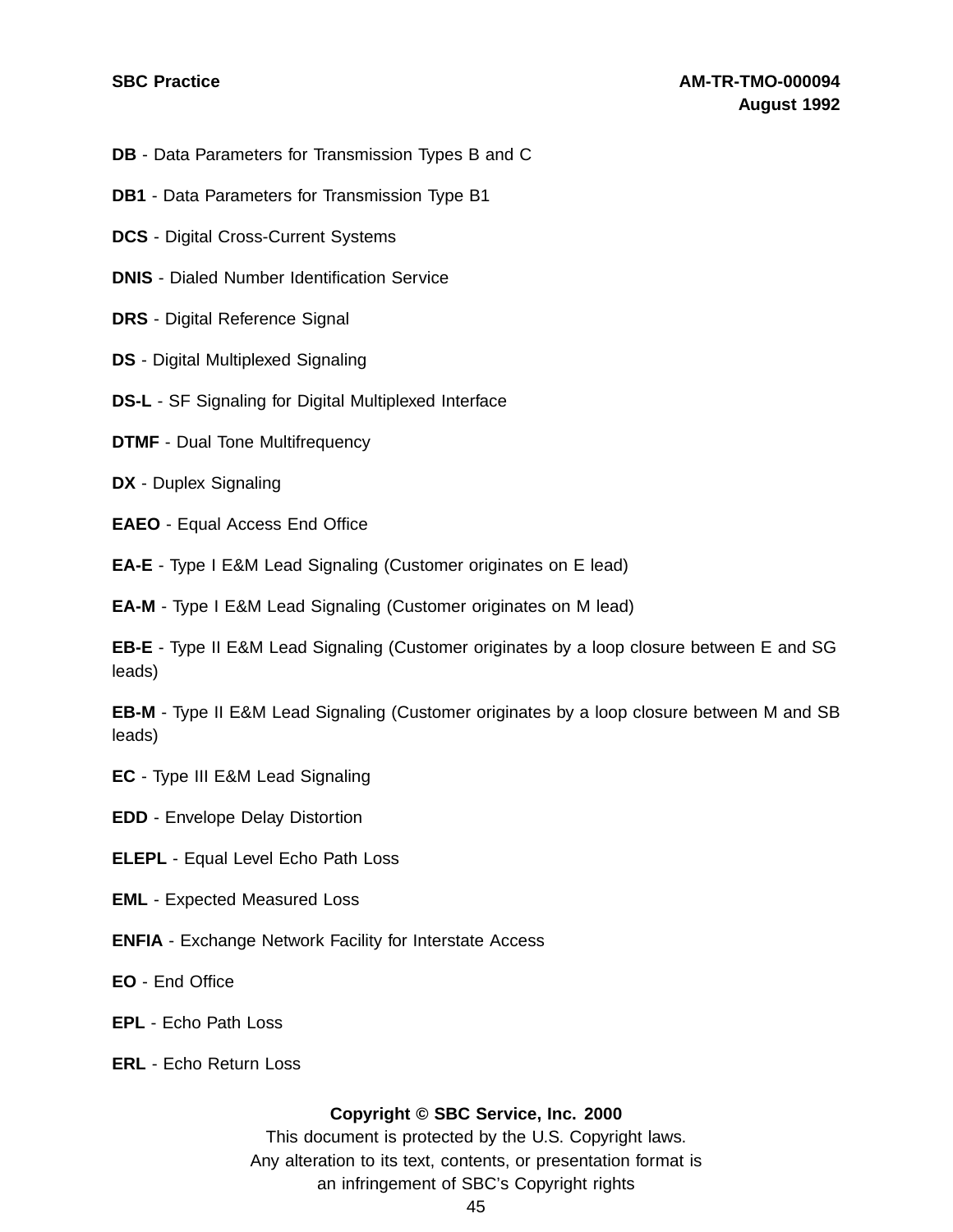- **DB** Data Parameters for Transmission Types B and C
- **DB1** Data Parameters for Transmission Type B1
- **DCS** Digital Cross-Current Systems
- **DNIS** Dialed Number Identification Service
- **DRS** Digital Reference Signal
- **DS** Digital Multiplexed Signaling
- **DS-L** SF Signaling for Digital Multiplexed Interface
- **DTMF** Dual Tone Multifrequency
- **DX** Duplex Signaling
- **EAEO** Equal Access End Office
- **EA-E** Type I E&M Lead Signaling (Customer originates on E lead)
- **EA-M** Type I E&M Lead Signaling (Customer originates on M lead)

**EB-E** - Type II E&M Lead Signaling (Customer originates by a loop closure between E and SG leads)

**EB-M** - Type II E&M Lead Signaling (Customer originates by a loop closure between M and SB leads)

- **EC** Type III E&M Lead Signaling
- **EDD** Envelope Delay Distortion
- **ELEPL** Equal Level Echo Path Loss
- **EML** Expected Measured Loss
- **ENFIA** Exchange Network Facility for Interstate Access
- **EO** End Office
- **EPL** Echo Path Loss
- **ERL** Echo Return Loss

#### **Copyright © SBC Service, Inc. 2000**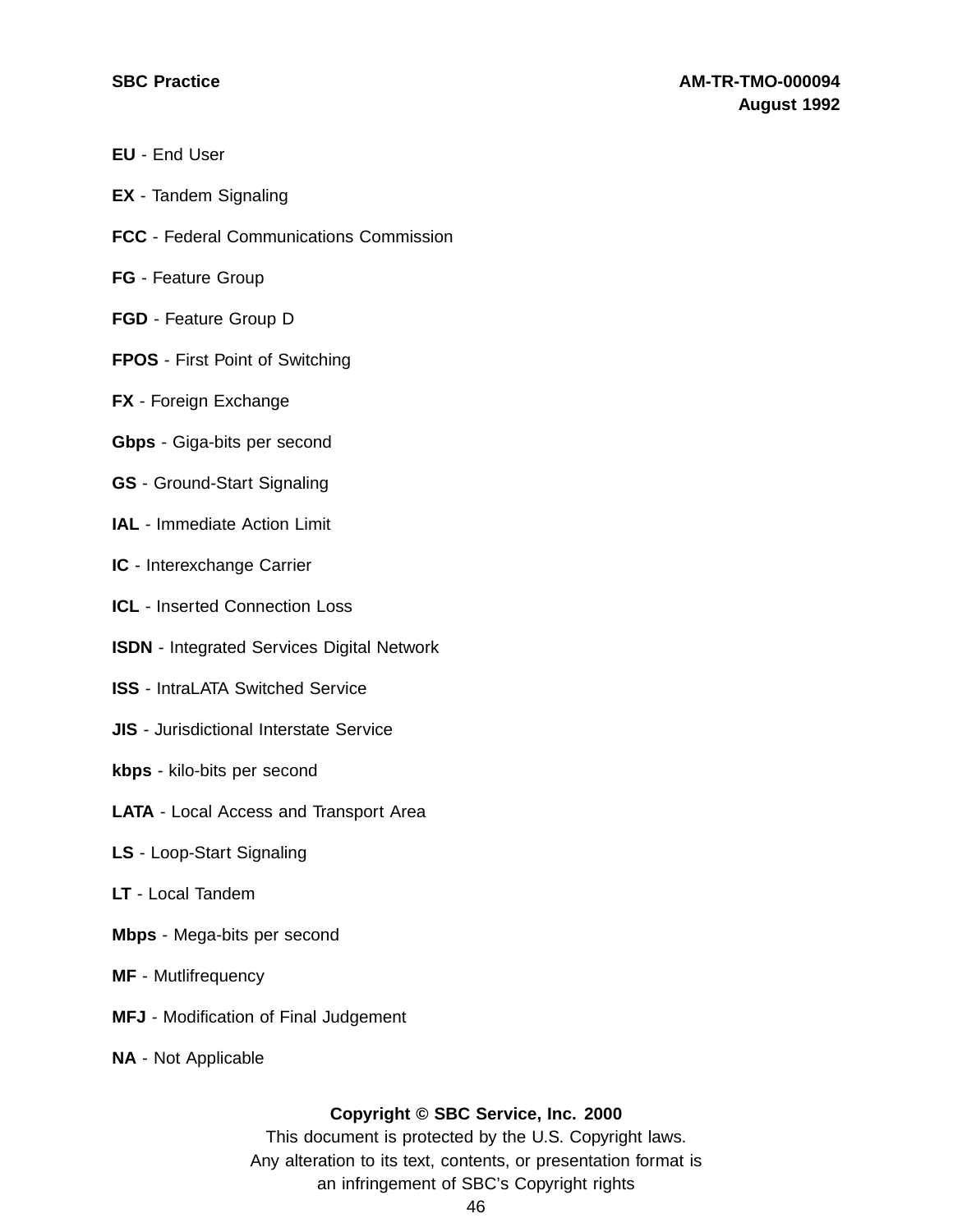- **EU** End User
- **EX** Tandem Signaling
- **FCC** Federal Communications Commission
- **FG** Feature Group
- **FGD** Feature Group D
- **FPOS** First Point of Switching
- **FX** Foreign Exchange
- **Gbps** Giga-bits per second
- **GS** Ground-Start Signaling
- **IAL** Immediate Action Limit
- **IC** Interexchange Carrier
- **ICL** Inserted Connection Loss
- **ISDN** Integrated Services Digital Network
- **ISS** IntraLATA Switched Service
- **JIS** Jurisdictional Interstate Service
- **kbps** kilo-bits per second
- **LATA** Local Access and Transport Area
- **LS** Loop-Start Signaling
- **LT** Local Tandem
- **Mbps** Mega-bits per second
- **MF** Mutlifrequency
- **MFJ** Modification of Final Judgement
- **NA** Not Applicable

#### **Copyright © SBC Service, Inc. 2000**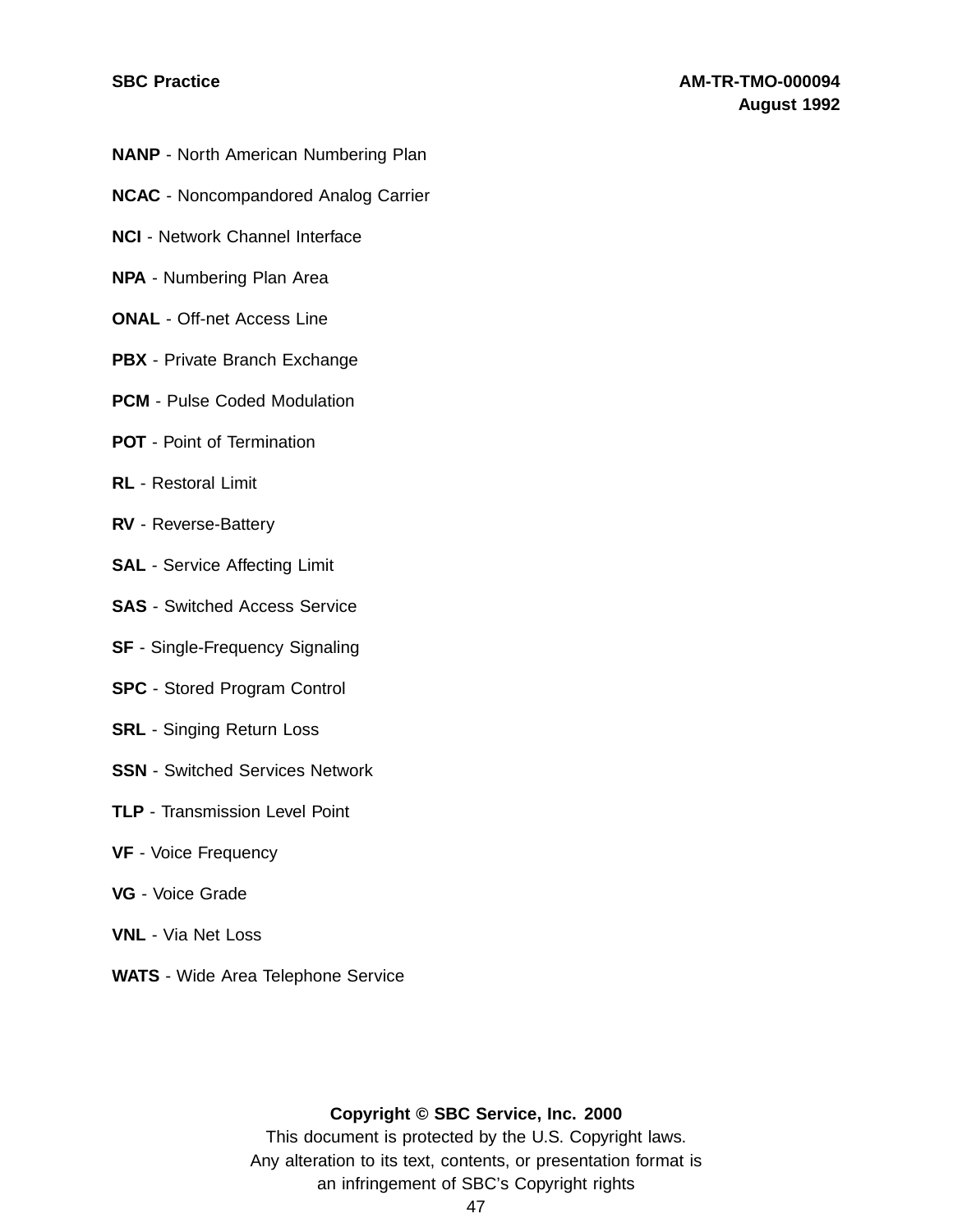- **NANP** North American Numbering Plan
- **NCAC** Noncompandored Analog Carrier
- **NCI** Network Channel Interface
- **NPA** Numbering Plan Area
- **ONAL** Off-net Access Line
- **PBX** Private Branch Exchange
- **PCM** Pulse Coded Modulation
- **POT** Point of Termination
- **RL** Restoral Limit
- **RV** Reverse-Battery
- **SAL** Service Affecting Limit
- **SAS** Switched Access Service
- **SF** Single-Frequency Signaling
- **SPC** Stored Program Control
- **SRL** Singing Return Loss
- **SSN** Switched Services Network
- **TLP** Transmission Level Point
- **VF** Voice Frequency
- **VG** Voice Grade
- **VNL** Via Net Loss
- **WATS** Wide Area Telephone Service

#### **Copyright © SBC Service, Inc. 2000**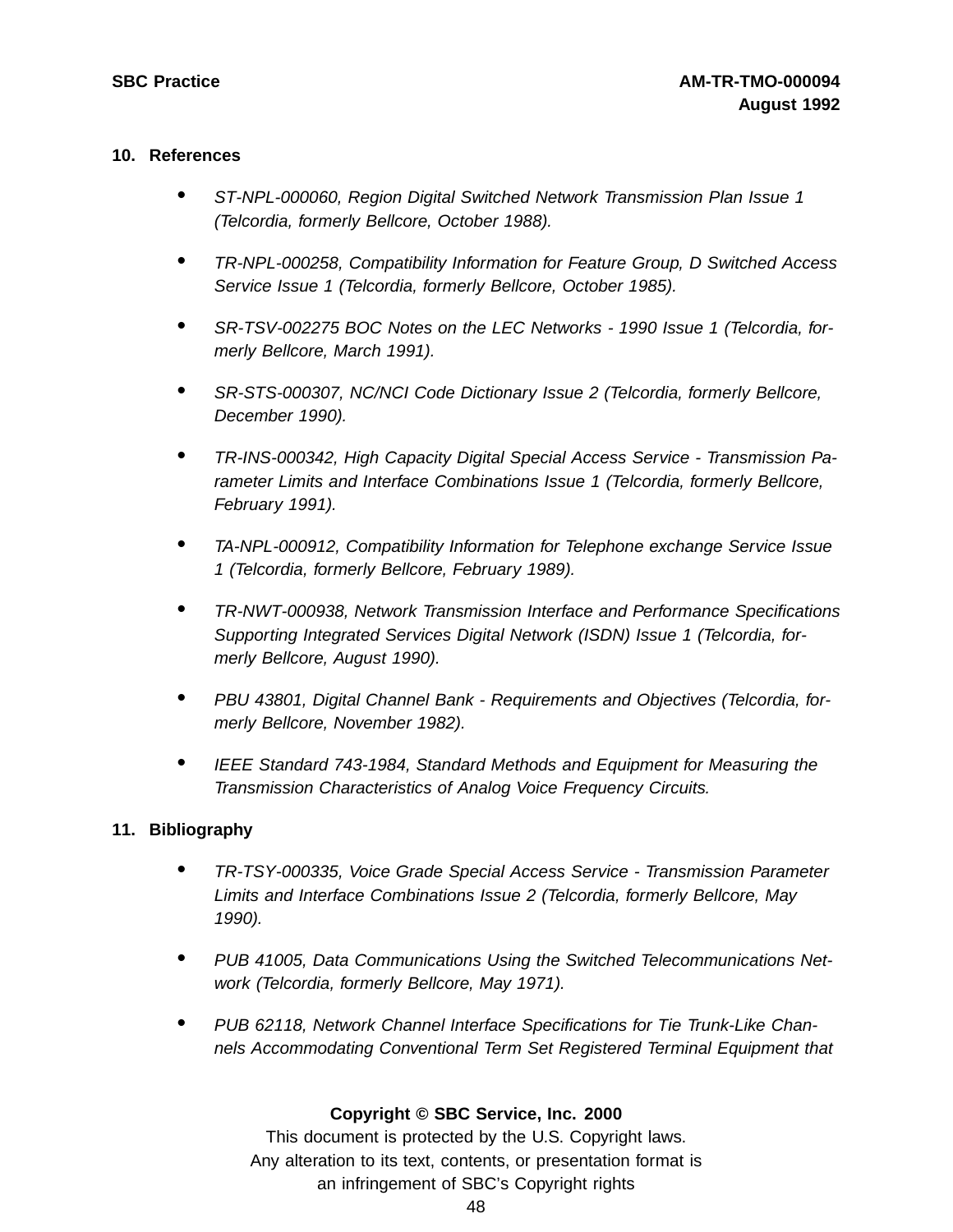## **10. References**

- ST-NPL-000060, Region Digital Switched Network Transmission Plan Issue <sup>1</sup> (Telcordia, formerly Bellcore, October 1988).
- TR-NPL-000258, Compatibility Information for Feature Group, <sup>D</sup> Switched Access Service Issue 1 (Telcordia, formerly Bellcore, October 1985).
- SR-TSV-002275 BOC Notes on the LEC Networks <sup>1990</sup> Issue <sup>1</sup> (Telcordia, formerly Bellcore, March 1991).
- SR-STS-000307, NC/NCI Code Dictionary Issue <sup>2</sup> (Telcordia, formerly Bellcore, December 1990).
- TR-INS-000342, High Capacity Digital Special Access Service Transmission Parameter Limits and Interface Combinations Issue 1 (Telcordia, formerly Bellcore, February 1991).
- TA-NPL-000912, Compatibility Information for Telephone exchange Service Issue 1 (Telcordia, formerly Bellcore, February 1989).
- TR-NWT-000938, Network Transmission Interface and Performance Specifications Supporting Integrated Services Digital Network (ISDN) Issue 1 (Telcordia, formerly Bellcore, August 1990).
- PBU 43801, Digital Channel Bank Requirements and Objectives (Telcordia, formerly Bellcore, November 1982).
- IEEE Standard 743-1984, Standard Methods and Equipment for Measuring the Transmission Characteristics of Analog Voice Frequency Circuits.

# **11. Bibliography**

- TR-TSY-000335, Voice Grade Special Access Service Transmission Parameter Limits and Interface Combinations Issue 2 (Telcordia, formerly Bellcore, May 1990).
- PUB 41005, Data Communications Using the Switched Telecommunications Network (Telcordia, formerly Bellcore, May 1971).
- PUB 62118, Network Channel Interface Specifications for Tie Trunk-Like Channels Accommodating Conventional Term Set Registered Terminal Equipment that

# **Copyright © SBC Service, Inc. 2000**